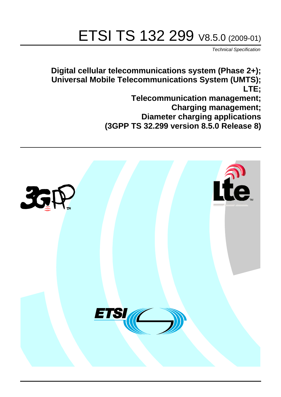# ETSI TS 132 299 V8.5.0 (2009-01)

*Technical Specification*

**Digital cellular telecommunications system (Phase 2+); Universal Mobile Telecommunications System (UMTS); LTE; Telecommunication management;**

**Charging management;**

**Diameter charging applications (3GPP TS 32.299 version 8.5.0 Release 8)**

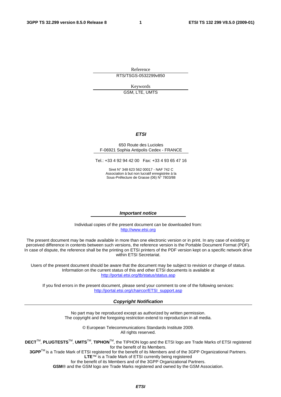Reference RTS/TSGS-0532299v850

> Keywords GSM, LTE, UMTS

### *ETSI*

#### 650 Route des Lucioles F-06921 Sophia Antipolis Cedex - FRANCE

Tel.: +33 4 92 94 42 00 Fax: +33 4 93 65 47 16

Siret N° 348 623 562 00017 - NAF 742 C Association à but non lucratif enregistrée à la Sous-Préfecture de Grasse (06) N° 7803/88

#### *Important notice*

Individual copies of the present document can be downloaded from: [http://www.etsi.org](http://www.etsi.org/)

The present document may be made available in more than one electronic version or in print. In any case of existing or perceived difference in contents between such versions, the reference version is the Portable Document Format (PDF). In case of dispute, the reference shall be the printing on ETSI printers of the PDF version kept on a specific network drive within ETSI Secretariat.

Users of the present document should be aware that the document may be subject to revision or change of status. Information on the current status of this and other ETSI documents is available at <http://portal.etsi.org/tb/status/status.asp>

If you find errors in the present document, please send your comment to one of the following services: [http://portal.etsi.org/chaircor/ETSI\\_support.asp](http://portal.etsi.org/chaircor/ETSI_support.asp)

#### *Copyright Notification*

No part may be reproduced except as authorized by written permission. The copyright and the foregoing restriction extend to reproduction in all media.

> © European Telecommunications Standards Institute 2009. All rights reserved.

**DECT**TM, **PLUGTESTS**TM, **UMTS**TM, **TIPHON**TM, the TIPHON logo and the ETSI logo are Trade Marks of ETSI registered for the benefit of its Members.

**3GPP**TM is a Trade Mark of ETSI registered for the benefit of its Members and of the 3GPP Organizational Partners. **LTE**™ is a Trade Mark of ETSI currently being registered

for the benefit of its Members and of the 3GPP Organizational Partners.

**GSM**® and the GSM logo are Trade Marks registered and owned by the GSM Association.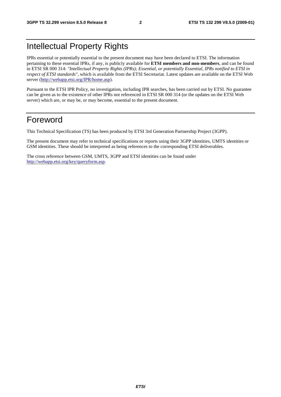## Intellectual Property Rights

IPRs essential or potentially essential to the present document may have been declared to ETSI. The information pertaining to these essential IPRs, if any, is publicly available for **ETSI members and non-members**, and can be found in ETSI SR 000 314: *"Intellectual Property Rights (IPRs); Essential, or potentially Essential, IPRs notified to ETSI in respect of ETSI standards"*, which is available from the ETSI Secretariat. Latest updates are available on the ETSI Web server [\(http://webapp.etsi.org/IPR/home.asp\)](http://webapp.etsi.org/IPR/home.asp).

Pursuant to the ETSI IPR Policy, no investigation, including IPR searches, has been carried out by ETSI. No guarantee can be given as to the existence of other IPRs not referenced in ETSI SR 000 314 (or the updates on the ETSI Web server) which are, or may be, or may become, essential to the present document.

## Foreword

This Technical Specification (TS) has been produced by ETSI 3rd Generation Partnership Project (3GPP).

The present document may refer to technical specifications or reports using their 3GPP identities, UMTS identities or GSM identities. These should be interpreted as being references to the corresponding ETSI deliverables.

The cross reference between GSM, UMTS, 3GPP and ETSI identities can be found under [http://webapp.etsi.org/key/queryform.asp.](http://webapp.etsi.org/key/queryform.asp)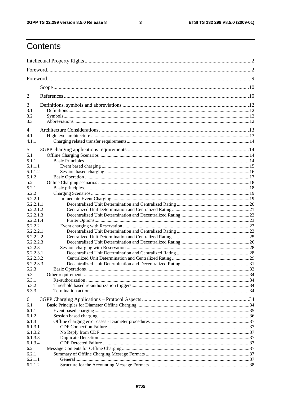$\mathbf{3}$ 

## Contents

| 1                    |  |  |  |  |  |
|----------------------|--|--|--|--|--|
| $\overline{2}$       |  |  |  |  |  |
| 3                    |  |  |  |  |  |
| 3.1                  |  |  |  |  |  |
| 3.2                  |  |  |  |  |  |
| 3.3                  |  |  |  |  |  |
| 4                    |  |  |  |  |  |
| 4.1                  |  |  |  |  |  |
| 4.1.1                |  |  |  |  |  |
| 5                    |  |  |  |  |  |
| 5.1                  |  |  |  |  |  |
| 5.1.1                |  |  |  |  |  |
| 5.1.1.1              |  |  |  |  |  |
| 5.1.1.2              |  |  |  |  |  |
| 5.1.2                |  |  |  |  |  |
| 5.2                  |  |  |  |  |  |
| 5.2.1                |  |  |  |  |  |
| 5.2.2                |  |  |  |  |  |
| 5.2.2.1              |  |  |  |  |  |
| 5.2.2.1.1            |  |  |  |  |  |
| 5.2.2.1.2            |  |  |  |  |  |
| 5.2.2.1.3            |  |  |  |  |  |
| 5.2.2.1.4            |  |  |  |  |  |
| 5.2.2.2<br>5.2.2.2.1 |  |  |  |  |  |
| 5.2.2.2.2            |  |  |  |  |  |
| 5.2.2.2.3            |  |  |  |  |  |
| 5.2.2.3              |  |  |  |  |  |
| 5.2.2.3.1            |  |  |  |  |  |
| 5.2.2.3.2            |  |  |  |  |  |
| 5.2.2.3.3            |  |  |  |  |  |
| 5.2.3                |  |  |  |  |  |
| 5.3                  |  |  |  |  |  |
| 5.3.1                |  |  |  |  |  |
| 5.3.2                |  |  |  |  |  |
| 5.3.3                |  |  |  |  |  |
| 6                    |  |  |  |  |  |
| 6.1                  |  |  |  |  |  |
| 6.1.1                |  |  |  |  |  |
| 6.1.2                |  |  |  |  |  |
| 6.1.3                |  |  |  |  |  |
| 6.1.3.1              |  |  |  |  |  |
| 6.1.3.2              |  |  |  |  |  |
| 6.1.3.3              |  |  |  |  |  |
| 6.1.3.4              |  |  |  |  |  |
| 6.2                  |  |  |  |  |  |
| 6.2.1                |  |  |  |  |  |
| 6.2.1.1              |  |  |  |  |  |
| 6.2.1.2              |  |  |  |  |  |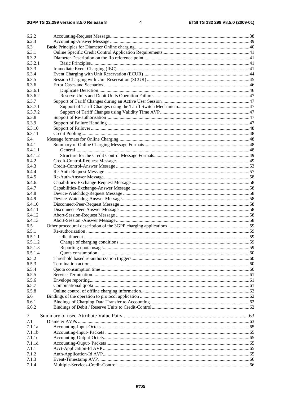| 6.2.2              |                                  |    |
|--------------------|----------------------------------|----|
| 6.2.3              |                                  |    |
| 6.3                |                                  |    |
| 6.3.1              |                                  |    |
| 6.3.2              |                                  |    |
| 6.3.2.1            |                                  |    |
| 6.3.3              |                                  |    |
| 6.3.4              |                                  |    |
| 6.3.5              |                                  |    |
| 6.3.6              |                                  |    |
| 6.3.6.1            |                                  |    |
| 6.3.6.2            |                                  |    |
| 6.3.7              |                                  |    |
| 6.3.7.1            |                                  |    |
| 6.3.7.2            |                                  |    |
| 6.3.8              |                                  |    |
| 6.3.9              |                                  |    |
| 6.3.10             |                                  |    |
| 6.3.11             |                                  |    |
| 6.4                |                                  |    |
| 6.4.1              |                                  |    |
| 6.4.1.1            |                                  |    |
| 6.4.1.2            |                                  |    |
| 6.4.2              |                                  |    |
| 6.4.3              |                                  |    |
| 6.4.4              |                                  |    |
| 6.4.5              |                                  |    |
| 6.4.6.             |                                  |    |
| 6.4.7              |                                  |    |
| 6.4.8              |                                  |    |
| 6.4.9              |                                  |    |
| 6.4.10             |                                  |    |
| 6.4.11             |                                  |    |
| 6.4.12             |                                  |    |
| 6.4.13             |                                  |    |
| 6.5                |                                  |    |
| 6.5.1              |                                  |    |
| 6.5.1.1            |                                  |    |
| 6.5.1.2            |                                  |    |
| 6.5.1.3            |                                  |    |
| 6.5.1.4            |                                  |    |
| 6.5.2              |                                  |    |
| 6.5.3              |                                  |    |
| 6.5.4              |                                  |    |
| 6.5.5              |                                  |    |
| 6.5.6              |                                  |    |
| 6.5.7              |                                  |    |
| 6.5.8              |                                  |    |
| 6.6                |                                  |    |
|                    |                                  |    |
| 6.6.1              |                                  |    |
| 6.6.2              |                                  |    |
| 7                  |                                  |    |
| 7.1                |                                  |    |
| 7.1.1a             |                                  |    |
| 7.1.1 <sub>b</sub> |                                  |    |
| 7.1.1c             |                                  |    |
| 7.1.1d             |                                  |    |
| 7.1.1              |                                  |    |
| 7.1.2              |                                  |    |
| 7.1.3              |                                  |    |
| 714                | Multiple-Services-Credit-Control | 66 |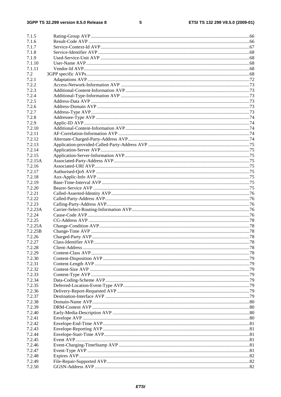### $\overline{\mathbf{5}}$

| 7.1.5   |  |
|---------|--|
| 7.1.6   |  |
| 7.1.7   |  |
| 7.1.8   |  |
| 7.1.9   |  |
| 7.1.10  |  |
| 7.1.11  |  |
|         |  |
| 7.2     |  |
| 7.2.1   |  |
| 7.2.2   |  |
| 7.2.3   |  |
| 7.2.4   |  |
| 7.2.5   |  |
| 7.2.6   |  |
| 7.2.7   |  |
|         |  |
| 7.2.8   |  |
| 7.2.9   |  |
| 7.2.10  |  |
| 7.2.11  |  |
| 7.2.12  |  |
| 7.2.13  |  |
| 7.2.14  |  |
| 7.2.15  |  |
| 7.2.15A |  |
|         |  |
| 7.2.16  |  |
| 7.2.17  |  |
| 7.2.18  |  |
| 7.2.19  |  |
| 7.2.20  |  |
| 7.2.21  |  |
| 7.2.22  |  |
| 7.2.23  |  |
|         |  |
| 7.2.23A |  |
| 7.2.24  |  |
| 7.2.25  |  |
| 7.2.25A |  |
| 7.2.25B |  |
| 7.2.26  |  |
| 7.2.27  |  |
| 7.2.28  |  |
| 7.2.29  |  |
|         |  |
| 7.2.30  |  |
| 7.2.31  |  |
| 7.2.32  |  |
| 7.2.33  |  |
| 7.2.34  |  |
| 7.2.35  |  |
| 7.2.36  |  |
| 7.2.37  |  |
| 7.2.38  |  |
|         |  |
| 7.2.39  |  |
| 7.2.40  |  |
| 7.2.41  |  |
| 7.2.42  |  |
| 7.2.43  |  |
| 7.2.44  |  |
| 7.2.45  |  |
| 7.2.46  |  |
| 7.2.47  |  |
|         |  |
| 7.2.48  |  |
| 7.2.49  |  |
| 7.2.50  |  |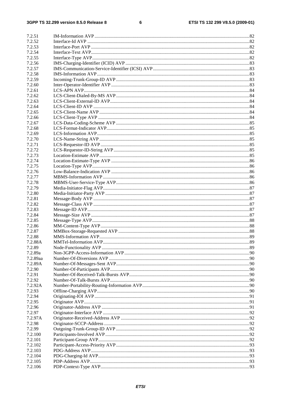#### $\bf 6$

| 7.2.51           |  |
|------------------|--|
| 7.2.52           |  |
| 7.2.53           |  |
| 7.2.54           |  |
| 7.2.55           |  |
| 7.2.56           |  |
| 7.2.57           |  |
| 7.2.58           |  |
| 7.2.59           |  |
| 7.2.60           |  |
| 7.2.61           |  |
| 7.2.62           |  |
| 7.2.63           |  |
| 7.2.64           |  |
| 7.2.65           |  |
|                  |  |
| 7.2.66           |  |
| 7.2.67<br>7.2.68 |  |
| 7.2.69           |  |
|                  |  |
| 7.2.70           |  |
| 7.2.71           |  |
| 7.2.72           |  |
| 7.2.73           |  |
| 7.2.74           |  |
| 7.2.75           |  |
| 7.2.76           |  |
| 7.2.77           |  |
| 7.2.78           |  |
| 7.2.79           |  |
| 7.2.80           |  |
| 7.2.81           |  |
| 7.2.82           |  |
| 7.2.83           |  |
| 7.2.84           |  |
| 7.2.85           |  |
| 7.2.86           |  |
| 7.2.87           |  |
| 7.2.88           |  |
| 7.2.88A          |  |
| 7.2.89           |  |
| 7.2.89a          |  |
| 7.2.89aa         |  |
| 7.2.89A          |  |
| 7.2.90           |  |
| 7.2.91           |  |
| 7.2.92           |  |
| 7.2.92A          |  |
| 7.2.93           |  |
| 7.2.94           |  |
| 7.2.95           |  |
| 7.2.96           |  |
| 7.2.97           |  |
| 7.2.97A          |  |
| 7.2.98           |  |
| 7.2.99           |  |
| 7.2.100          |  |
| 7.2.101          |  |
| 7.2.102          |  |
| 7.2.103          |  |
| 7.2.104          |  |
|                  |  |
| 7.2.105          |  |
| 7.2.106          |  |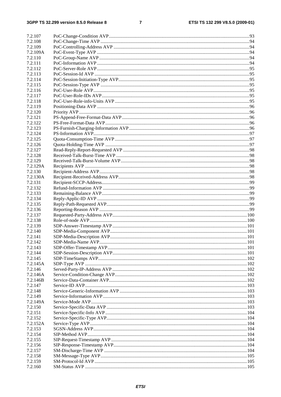### $\overline{7}$

| 7.2.107             |  |
|---------------------|--|
| 7.2.108             |  |
| 7.2.109             |  |
| 7.2.109A            |  |
| 7.2.110             |  |
| 7.2.111             |  |
| 7.2.112             |  |
| 7.2.113             |  |
| 7.2.114             |  |
| 7.2.115             |  |
| 7.2.116             |  |
|                     |  |
| 7.2.117             |  |
| 7.2.118             |  |
| 7.2.119             |  |
| 7.2.120             |  |
| 7.2.121             |  |
| 7.2.122             |  |
| 7.2.123             |  |
| 7.2.124             |  |
| 7.2.125             |  |
| 7.2.126             |  |
| 7.2.127             |  |
| 7.2.128             |  |
| 7.2.129             |  |
| 7.2.129A            |  |
| 7.2.130             |  |
| 7.2.130A            |  |
| 7.2.131             |  |
| 7.2.132             |  |
| 7.2.133             |  |
| 7.2.134             |  |
| 7.2.135             |  |
| 7.2.136             |  |
| 7.2.137             |  |
| 7.2.138             |  |
| 7.2.139             |  |
| 7.2.140             |  |
| 7.2.141             |  |
| 7.2.142             |  |
| 7.2.143             |  |
| 7.2.144             |  |
| 7.2.145             |  |
| 7.2.145A            |  |
| 7.2.146             |  |
| 7.2.146A            |  |
|                     |  |
| 7.2.146B<br>7.2.147 |  |
|                     |  |
| 7.2.148             |  |
| 7.2.149             |  |
| 7.2.149A            |  |
| 7.2.150             |  |
| 7.2.151             |  |
| 7.2.152             |  |
| 7.2.152A            |  |
| 7.2.153             |  |
| 7.2.154             |  |
| 7.2.155             |  |
| 7.2.156             |  |
| 7.2.157             |  |
| 7.2.158             |  |
| 7.2.159             |  |
| 7.2.160             |  |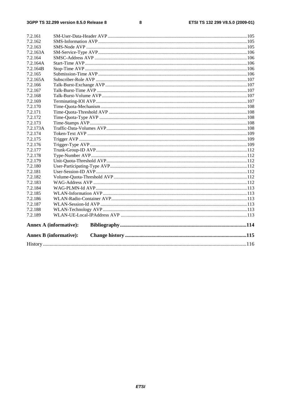#### $\pmb{8}$

| 7.2.161  |                               |  |  |
|----------|-------------------------------|--|--|
| 7.2.162  |                               |  |  |
| 7.2.163  |                               |  |  |
| 7.2.163A |                               |  |  |
| 7.2.164  |                               |  |  |
| 7.2.164A |                               |  |  |
| 7.2.164B |                               |  |  |
| 7.2.165  |                               |  |  |
| 7.2.165A |                               |  |  |
| 7.2.166  |                               |  |  |
| 7.2.167  |                               |  |  |
| 7.2.168  |                               |  |  |
| 7.2.169  |                               |  |  |
| 7.2.170  |                               |  |  |
| 7.2.171  |                               |  |  |
| 7.2.172  |                               |  |  |
| 7.2.173  |                               |  |  |
| 7.2.173A |                               |  |  |
| 7.2.174  |                               |  |  |
| 7.2.175  |                               |  |  |
| 7.2.176  |                               |  |  |
| 7.2.177  |                               |  |  |
| 7.2.178  |                               |  |  |
| 7.2.179  |                               |  |  |
| 7.2.180  |                               |  |  |
| 7.2.181  |                               |  |  |
| 7.2.182  |                               |  |  |
| 7.2.183  |                               |  |  |
| 7.2.184  |                               |  |  |
| 7.2.185  |                               |  |  |
| 7.2.186  |                               |  |  |
| 7.2.187  |                               |  |  |
| 7.2.188  |                               |  |  |
| 7.2.189  |                               |  |  |
|          | <b>Annex A (informative):</b> |  |  |
|          | <b>Annex B</b> (informative): |  |  |
|          |                               |  |  |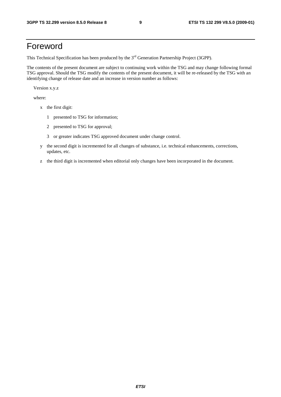## Foreword

This Technical Specification has been produced by the 3<sup>rd</sup> Generation Partnership Project (3GPP).

The contents of the present document are subject to continuing work within the TSG and may change following formal TSG approval. Should the TSG modify the contents of the present document, it will be re-released by the TSG with an identifying change of release date and an increase in version number as follows:

Version x.y.z

where:

- x the first digit:
	- 1 presented to TSG for information;
	- 2 presented to TSG for approval;
	- 3 or greater indicates TSG approved document under change control.
- y the second digit is incremented for all changes of substance, i.e. technical enhancements, corrections, updates, etc.
- z the third digit is incremented when editorial only changes have been incorporated in the document.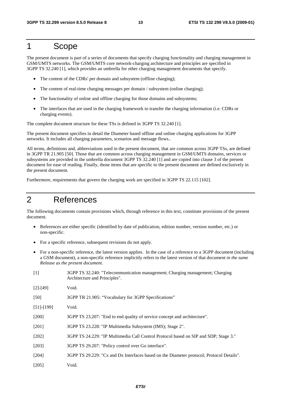## 1 Scope

The present document is part of a series of documents that specify charging functionality and charging management in GSM/UMTS networks. The GSM/UMTS core network-charging architecture and principles are specified in 3GPP TS 32.240 [1], which provides an umbrella for other charging management documents that specify.

- The content of the CDRs' per domain and subsystem (offline charging);
- The content of real-time charging messages per domain / subsystem (online charging);
- The functionality of online and offline charging for those domains and subsystems;
- The interfaces that are used in the charging framework to transfer the charging information (i.e. CDRs or charging events).

The complete document structure for these TSs is defined in 3GPP TS 32.240 [1].

The present document specifies in detail the Diameter based offline and online charging applications for 3GPP networks. It includes all charging parameters, scenarios and message flows..

All terms, definitions and, abbreviations used in the present document, that are common across 3GPP TSs, are defined in 3GPP TR 21.905 [50]. Those that are common across charging management in GSM/UMTS domains, services or subsystems are provided in the umbrella document 3GPP TS 32.240 [1] and are copied into clause 3 of the present document for ease of reading. Finally, those items that are specific to the present document are defined exclusively in the present document.

Furthermore, requirements that govern the charging work are specified in 3GPP TS 22.115 [102].

## 2 References

The following documents contain provisions which, through reference in this text, constitute provisions of the present document.

- References are either specific (identified by date of publication, edition number, version number, etc.) or non-specific.
- For a specific reference, subsequent revisions do not apply.
- For a non-specific reference, the latest version applies. In the case of a reference to a 3GPP document (including a GSM document), a non-specific reference implicitly refers to the latest version of that document *in the same Release as the present document*.
- [1] 3GPP TS 32.240: "Telecommunication management; Charging management; Charging Architecture and Principles".

| $[2]$ -[49] | Void. |
|-------------|-------|
|-------------|-------|

[50] 3GPP TR 21.905: "Vocabulary for 3GPP Specifications"

- [51]-[199] Void.
- [200] 3GPP TS 23.207: "End to end quality of service concept and architecture".
- [201] 3GPP TS 23.228: "IP Multimedia Subsystem (IMS); Stage 2".
- [202] 3GPP TS 24.229: "IP Multimedia Call Control Protocol based on SIP and SDP; Stage 3."
- [203] 3GPP TS 29.207: "Policy control over Go interface".
- [204] 3GPP TS 29.229: "Cx and Dx Interfaces based on the Diameter protocol; Protocol Details".
- [205] Void.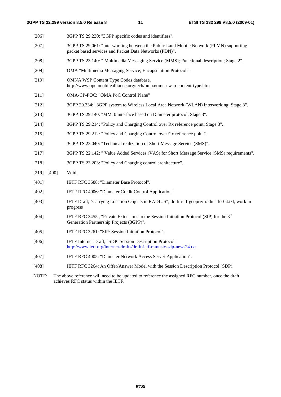| [206]           | 3GPP TS 29.230: "3GPP specific codes and identifiers".                                                                                           |
|-----------------|--------------------------------------------------------------------------------------------------------------------------------------------------|
| $[207]$         | 3GPP TS 29.061: "Interworking between the Public Land Mobile Network (PLMN) supporting<br>packet based services and Packet Data Networks (PDN)". |
| $[208]$         | 3GPP TS 23.140: " Multimedia Messaging Service (MMS); Functional description; Stage 2".                                                          |
| [209]           | OMA "Multimedia Messaging Service; Encapsulation Protocol".                                                                                      |
| $[210]$         | OMNA WSP Content Type Codes database.<br>http://www.openmobilealliance.org/tech/omna/omna-wsp-content-type.htm                                   |
| $[211]$         | OMA-CP-POC: "OMA PoC Control Plane"                                                                                                              |
| $[212]$         | 3GPP 29.234: "3GPP system to Wireless Local Area Network (WLAN) interworking; Stage 3".                                                          |
| $[213]$         | 3GPP TS 29.140: "MM10 interface based on Diameter protocol; Stage 3".                                                                            |
| [214]           | 3GPP TS 29.214: "Policy and Charging Control over Rx reference point; Stage 3".                                                                  |
| $[215]$         | 3GPP TS 29.212: "Policy and Charging Control over Gx reference point".                                                                           |
| $[216]$         | 3GPP TS 23.040: "Technical realization of Short Message Service (SMS)".                                                                          |
| $[217]$         | 3GPP TS 22.142: " Value Added Services (VAS) for Short Message Service (SMS) requirements".                                                      |
| $[218]$         | 3GPP TS 23.203: "Policy and Charging control architecture".                                                                                      |
| $[219] - [400]$ | Void.                                                                                                                                            |
| [401]           | IETF RFC 3588: "Diameter Base Protocol".                                                                                                         |
| [402]           | IETF RFC 4006: "Diameter Credit Control Application"                                                                                             |
| [403]           | IETF Draft, "Carrying Location Objects in RADIUS", draft-ietf-geopriv-radius-lo-04.txt, work in<br>progress                                      |
| [404]           | IETF RFC 3455, "Private Extensions to the Session Initiation Protocol (SIP) for the $3rd$<br>Generation Partnership Projects (3GPP)".            |
| [405]           | IETF RFC 3261: "SIP: Session Initiation Protocol".                                                                                               |
| [406]           | IETF Internet-Draft, "SDP: Session Description Protocol".<br>http://www.ietf.org/internet-drafts/draft-ietf-mmusic-sdp-new-24.txt                |
|                 |                                                                                                                                                  |

- [407] IETF RFC 4005: "Diameter Network Access Server Application".
- [408] IETF RFC 3264: An Offer/Answer Model with the Session Description Protocol (SDP).
- NOTE: The above reference will need to be updated to reference the assigned RFC number, once the draft achieves RFC status within the IETF.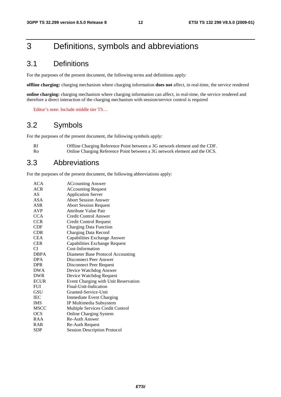## 3 Definitions, symbols and abbreviations

## 3.1 Definitions

For the purposes of the present document, the following terms and definitions apply:

**offline charging:** charging mechanism where charging information **does not** affect, in real-time, the service rendered

**online charging:** charging mechanism where charging information can affect, in real-time, the service rendered and therefore a direct interaction of the charging mechanism with session/service control is required

Editor's note: Include middle tier TS…

## 3.2 Symbols

For the purposes of the present document, the following symbols apply:

| Rf | Offline Charging Reference Point between a 3G network element and the CDF. |
|----|----------------------------------------------------------------------------|
| Ro | Online Charging Reference Point between a 3G network element and the OCS.  |

## 3.3 Abbreviations

For the purposes of the present document, the following abbreviations apply:

| <b>ACcounting Answer</b>             |
|--------------------------------------|
| <b>ACcounting Request</b>            |
| <b>Application Server</b>            |
| <b>Abort Session Answer</b>          |
| <b>Abort Session Request</b>         |
| <b>Attribute Value Pair</b>          |
| Credit Control Answer                |
| <b>Credit Control Request</b>        |
| <b>Charging Data Function</b>        |
| <b>Charging Data Record</b>          |
| Capabilities Exchange Answer         |
| Capabilities Exchange Request        |
| Cost-Information                     |
| Diameter Base Protocol Accounting    |
| Disconnect Peer Answer               |
| Disconnect Peer Request              |
| Device Watchdog Answer               |
| Device Watchdog Request              |
| Event Charging with Unit Reservation |
| Final-Unit-Indication                |
| Granted-Service-Unit                 |
| <b>Immediate Event Charging</b>      |
| IP Multimedia Subsystem              |
| Multiple Services Credit Control     |
| <b>Online Charging System</b>        |
| <b>Re-Auth Answer</b>                |
| Re-Auth Request                      |
| <b>Session Description Protocol</b>  |
|                                      |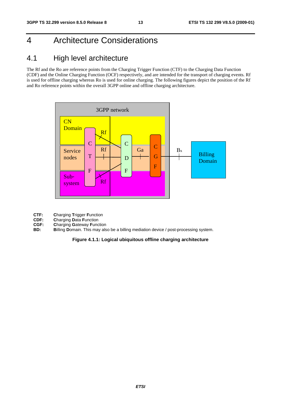## 4 Architecture Considerations

## 4.1 High level architecture

The Rf and the Ro are reference points from the Charging Trigger Function (CTF) to the Charging Data Function (CDF) and the Online Charging Function (OCF) respectively, and are intended for the transport of charging events. Rf is used for offline charging whereas Ro is used for online charging. The following figures depict the position of the Rf and Ro reference points within the overall 3GPP online and offline charging architecture.



- **CTF: Charging Trigger Function**<br>**CDF: Charging Data Function**
- **CDF: Charging Data Function**<br>**CGF: Charging Gateway Function**
- **CGF: Charging Gateway Function**<br>**BD: Billing Domain**. This may als
- **Billing Domain.** This may also be a billing mediation device / post-processing system.

#### **Figure 4.1.1: Logical ubiquitous offline charging architecture**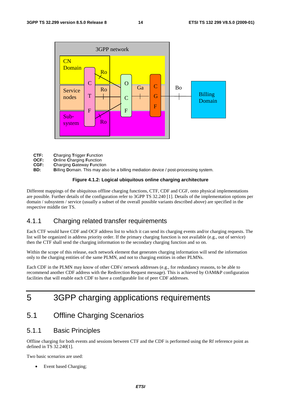

- **CTF: C**harging **T**rigger **F**unction
- **OCF: O**nline **C**harging **F**unction
- **CGF: C**harging **G**ateway **F**unction
- **BD: B**illing **D**omain. This may also be a billing mediation device / post-processing system.

### **Figure 4.1.2: Logical ubiquitous online charging architecture**

Different mappings of the ubiquitous offline charging functions, CTF, CDF and CGF, onto physical implementations are possible. Further details of the configuration refer to 3GPP TS 32.240 [1]. Details of the implementation options per domain / subsystem / service (usually a subset of the overall possible variants described above) are specified in the respective middle tier TS.

### 4.1.1 Charging related transfer requirements

Each CTF would have CDF and OCF address list to which it can send its charging events and/or charging requests. The list will be organized in address priority order. If the primary charging function is not available (e.g., out of service) then the CTF shall send the charging information to the secondary charging function and so on.

Within the scope of this release, each network element that generates charging information will send the information only to the charging entities of the same PLMN, and not to charging entities in other PLMNs.

Each CDF in the PLMN may know of other CDFs' network addresses (e.g., for redundancy reasons, to be able to recommend another CDF address with the Redirection Request message). This is achieved by OAM&P configuration facilities that will enable each CDF to have a configurable list of peer CDF addresses.

## 5 3GPP charging applications requirements

## 5.1 Offline Charging Scenarios

## 5.1.1 Basic Principles

Offline charging for both events and sessions between CTF and the CDF is performed using the Rf reference point as defined in TS 32.240[1].

Two basic scenarios are used:

Event based Charging;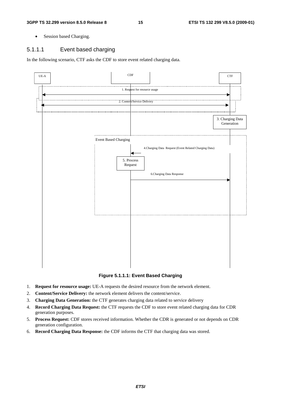• Session based Charging.

### 5.1.1.1 Event based charging

In the following scenario, CTF asks the CDF to store event related charging data.



**Figure 5.1.1.1: Event Based Charging** 

- 1. **Request for resource usage:** UE-A requests the desired resource from the network element.
- 2. **Content/Service Delivery:** the network element delivers the content/service.
- 3. **Charging Data Generation:** the CTF generates charging data related to service delivery
- 4. **Record Charging Data Request:** the CTF requests the CDF to store event related charging data for CDR generation purposes.
- 5. **Process Request:** CDF stores received information. Whether the CDR is generated or not depends on CDR generation configuration.
- 6. **Record Charging Data Response:** the CDF informs the CTF that charging data was stored.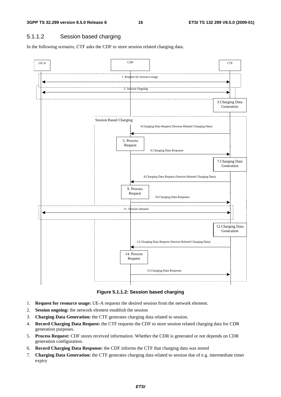## 5.1.1.2 Session based charging

In the following scenario, CTF asks the CDF to store session related charging data.



**Figure 5.1.1.2: Session based charging** 

- 1. **Request for resource usage:** UE-A requests the desired session from the network element.
- 2. **Session ongoing:** the network element establish the session
- 3. **Charging Data Generation:** the CTF generates charging data related to session.
- 4. **Record Charging Data Request:** the CTF requests the CDF to store session related charging data for CDR generation purposes.
- 5. **Process Request:** CDF stores received information. Whether the CDR is generated or not depends on CDR generation configuration.
- 6. **Record Charging Data Response:** the CDF informs the CTF that charging data was stored
- 7. **Charging Data Generation:** the CTF generates charging data related to session due of e.g. intermediate timer expiry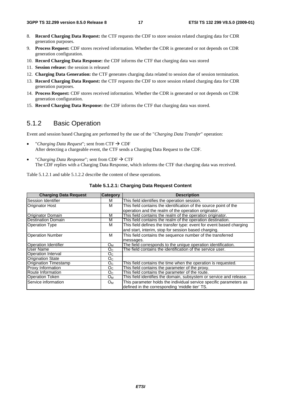- 8. **Record Charging Data Request:** the CTF requests the CDF to store session related charging data for CDR generation purposes.
- 9. **Process Request:** CDF stores received information. Whether the CDR is generated or not depends on CDR generation configuration.
- 10. **Record Charging Data Response:** the CDF informs the CTF that charging data was stored
- 11. **Session release:** the session is released
- 12. **Charging Data Generation:** the CTF generates charging data related to session due of session termination.
- 13. **Record Charging Data Request:** the CTF requests the CDF to store session related charging data for CDR generation purposes.
- 14. **Process Request:** CDF stores received information. Whether the CDR is generated or not depends on CDR generation configuration.
- 15. **Record Charging Data Response:** the CDF informs the CTF that charging data was stored.

## 5.1.2 Basic Operation

Event and session based Charging are performed by the use of the "*Charging Data Transfer*" operation:

- "Charging Data Request"; sent from CTF  $\rightarrow$  CDF After detecting a chargeable event, the CTF sends a Charging Data Request to the CDF.
- "Charging Data Response"; sent from  $CDF \rightarrow CTF$ The CDF replies with a Charging Data Response, which informs the CTF that charging data was received.

Table 5.1.2.1 and table 5.1.2.2 describe the content of these operations.

| <b>Charging Data Request</b> | <b>Category</b> | <b>Description</b>                                                   |
|------------------------------|-----------------|----------------------------------------------------------------------|
| Session Identifier           | м               | This field identifies the operation session.                         |
| <b>Originator Host</b>       | м               | This field contains the identification of the source point of the    |
|                              |                 | operation and the realm of the operation originator.                 |
| <b>Originator Domain</b>     | М               | This field contains the realm of the operation originator.           |
| <b>Destination Domain</b>    | м               | This field contains the realm of the operation destination.          |
| <b>Operation Type</b>        | м               | This field defines the transfer type: event for event based charging |
|                              |                 | and start, interim, stop for session based charging.                 |
| <b>Operation Number</b>      | M               | This field contains the sequence number of the transferred           |
|                              |                 | messages.                                                            |
| <b>Operation Identifier</b>  | Oм              | The field corresponds to the unique operation identification.        |
| User Name                    | O <sub>C</sub>  | The field contains the identification of the service user.           |
| Operation Interval           | O <sub>C</sub>  |                                                                      |
| <b>Origination State</b>     | O <sub>C</sub>  |                                                                      |
| <b>Origination Timestamp</b> | O <sub>C</sub>  | This field contains the time when the operation is requested.        |
| <b>Proxy Information</b>     | O <sub>C</sub>  | This field contains the parameter of the proxy.                      |
| Route Information            | O <sub>C</sub>  | This field contains the parameter of the route.                      |
| <b>Operation Token</b>       | $O_{M}$         | This field identifies the domain, subsystem or service and release.  |
| Service information          | $O_{M}$         | This parameter holds the individual service specific parameters as   |
|                              |                 | defined in the corresponding 'middle tier' TS.                       |

#### **Table 5.1.2.1: Charging Data Request Content**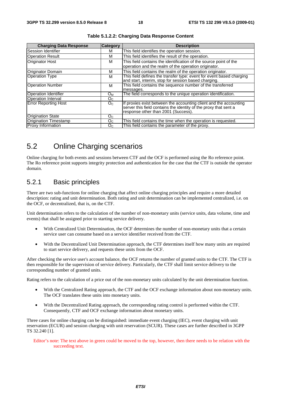| <b>Charging Data Response</b> | <b>Category</b> | <b>Description</b>                                                   |
|-------------------------------|-----------------|----------------------------------------------------------------------|
| Session Identifier            | м               | This field identifies the operation session.                         |
| <b>Operation Result</b>       | м               | This field identifies the result of the operation.                   |
| <b>Originator Host</b>        | м               | This field contains the identification of the source point of the    |
|                               |                 | operation and the realm of the operation originator.                 |
| Originator Domain             | м               | This field contains the realm of the operation originator.           |
| <b>Operation Type</b>         | м               | This field defines the transfer type: event for event based charging |
|                               |                 | and start, interim, stop for session based charging.                 |
| <b>Operation Number</b>       | м               | This field contains the sequence number of the transferred           |
|                               |                 | messages.                                                            |
| <b>Operation Identifier</b>   | Oм              | The field corresponds to the unique operation identification.        |
| <b>Operation Interval</b>     | O <sub>C</sub>  |                                                                      |
| Error Reporting Host          | $O_{\rm C}$     | If proxies exist between the accounting client and the accounting    |
|                               |                 | server this field contains the identity of the proxy that sent a     |
|                               |                 | response other than 2001 (Success).                                  |
| <b>Origination State</b>      | O <sub>C</sub>  |                                                                      |
| Origination Timestamp         | O <sub>C</sub>  | This field contains the time when the operation is requested.        |
| <b>Proxy Information</b>      | O <sub>C</sub>  | This field contains the parameter of the proxy.                      |

**Table 5.1.2.2: Charging Data Response Content** 

## 5.2 Online Charging scenarios

Online charging for both events and sessions between CTF and the OCF is performed using the Ro reference point. The Ro reference point supports integrity protection and authentication for the case that the CTF is outside the operator domain.

## 5.2.1 Basic principles

There are two sub-functions for online charging that affect online charging principles and require a more detailed description: rating and unit determination. Both rating and unit determination can be implemented centralized, i.e. on the OCF, or decentralized, that is, on the CTF.

Unit determination refers to the calculation of the number of non-monetary units (service units, data volume, time and events) that shall be assigned prior to starting service delivery.

- With Centralized Unit Determination, the OCF determines the number of non-monetary units that a certain service user can consume based on a service identifier received from the CTF.
- With the Decentralized Unit Determination approach, the CTF determines itself how many units are required to start service delivery, and requests these units from the OCF.

After checking the service user's account balance, the OCF returns the number of granted units to the CTF. The CTF is then responsible for the supervision of service delivery. Particularly, the CTF shall limit service delivery to the corresponding number of granted units.

Rating refers to the calculation of a price out of the non-monetary units calculated by the unit determination function.

- With the Centralized Rating approach, the CTF and the OCF exchange information about non-monetary units. The OCF translates these units into monetary units.
- With the Decentralized Rating approach, the corresponding rating control is performed within the CTF. Consequently, CTF and OCF exchange information about monetary units.

Three cases for online charging can be distinguished: immediate event charging (IEC), event charging with unit reservation (ECUR) and session charging with unit reservation (SCUR). These cases are further described in 3GPP TS 32.240 [1].

Editor's note: The text above in green could be moved to the top, however, then there needs to be relation with the succeeding text.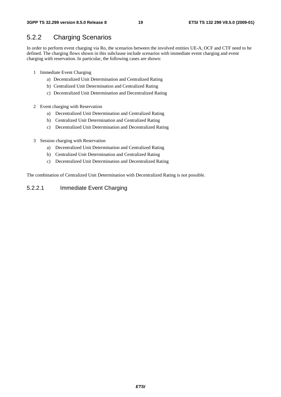## 5.2.2 Charging Scenarios

In order to perform event charging via Ro, the scenarios between the involved entities UE-A, OCF and CTF need to be defined. The charging flows shown in this subclause include scenarios with immediate event charging and event charging with reservation. In particular, the following cases are shown:

- 1 Immediate Event Charging
	- a) Decentralized Unit Determination and Centralized Rating
	- b) Centralized Unit Determination and Centralized Rating
	- c) Decentralized Unit Determination and Decentralized Rating
- 2 Event charging with Reservation
	- a) Decentralized Unit Determination and Centralized Rating
	- b) Centralized Unit Determination and Centralized Rating
	- c) Decentralized Unit Determination and Decentralized Rating
- 3 Session charging with Reservation
	- a) Decentralized Unit Determination and Centralized Rating
	- b) Centralized Unit Determination and Centralized Rating
	- c) Decentralized Unit Determination and Decentralized Rating

The combination of Centralized Unit Determination with Decentralized Rating is not possible.

#### 5.2.2.1 Immediate Event Charging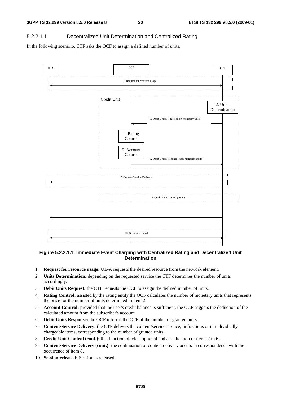### 5.2.2.1.1 Decentralized Unit Determination and Centralized Rating

In the following scenario, CTF asks the OCF to assign a defined number of units.



#### **Figure 5.2.2.1.1: Immediate Event Charging with Centralized Rating and Decentralized Unit Determination**

- 1. **Request for resource usage:** UE-A requests the desired resource from the network element.
- 2. **Units Determination:** depending on the requested service the CTF determines the number of units accordingly.
- 3. **Debit Units Request:** the CTF requests the OCF to assign the defined number of units.
- 4. **Rating Control:** assisted by the rating entity the OCF calculates the number of monetary units that represents the price for the number of units determined in item 2.
- 5. **Account Control:** provided that the user's credit balance is sufficient, the OCF triggers the deduction of the calculated amount from the subscriber's account.
- 6. **Debit Units Response:** the OCF informs the CTF of the number of granted units.
- 7. **Content/Service Delivery:** the CTF delivers the content/service at once, in fractions or in individually chargeable items, corresponding to the number of granted units.
- 8. **Credit Unit Control (cont.):** this function block is optional and a replication of items 2 to 6.
- 9. **Content/Service Delivery (cont.):** the continuation of content delivery occurs in correspondence with the occurrence of item 8.
- 10. **Session released:** Session is released.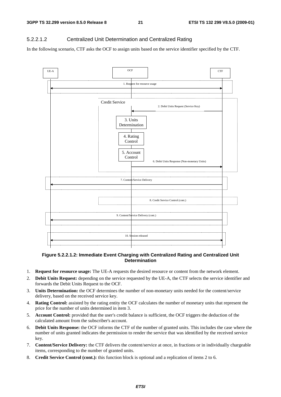### 5.2.2.1.2 Centralized Unit Determination and Centralized Rating

In the following scenario, CTF asks the OCF to assign units based on the service identifier specified by the CTF.



#### **Figure 5.2.2.1.2: Immediate Event Charging with Centralized Rating and Centralized Unit Determination**

- 1. **Request for resource usage:** The UE-A requests the desired resource or content from the network element.
- 2. **Debit Units Request:** depending on the service requested by the UE-A, the CTF selects the service identifier and forwards the Debit Units Request to the OCF.
- 3. **Units Determination:** the OCF determines the number of non-monetary units needed for the content/service delivery, based on the received service key.
- 4. **Rating Control:** assisted by the rating entity the OCF calculates the number of monetary units that represent the price for the number of units determined in item 3.
- 5. **Account Control:** provided that the user's credit balance is sufficient, the OCF triggers the deduction of the calculated amount from the subscriber's account.
- 6. **Debit Units Response:** the OCF informs the CTF of the number of granted units. This includes the case where the number of units granted indicates the permission to render the service that was identified by the received service key.
- 7. **Content/Service Delivery:** the CTF delivers the content/service at once, in fractions or in individually chargeable items, corresponding to the number of granted units.
- 8. **Credit Service Control (cont.):** this function block is optional and a replication of items 2 to 6.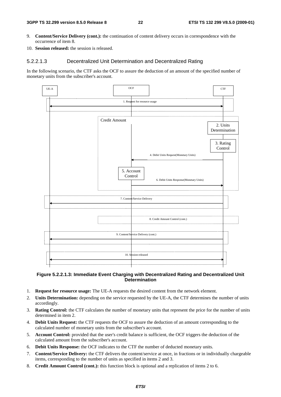- 9. **Content/Service Delivery (cont.):** the continuation of content delivery occurs in correspondence with the occurrence of item 8.
- 10. **Session released:** the session is released.

### 5.2.2.1.3 Decentralized Unit Determination and Decentralized Rating

In the following scenario, the CTF asks the OCF to assure the deduction of an amount of the specified number of monetary units from the subscriber's account.



#### **Figure 5.2.2.1.3: Immediate Event Charging with Decentralized Rating and Decentralized Unit Determination**

- 1. **Request for resource usage:** The UE-A requests the desired content from the network element.
- 2. **Units Determination:** depending on the service requested by the UE-A, the CTF determines the number of units accordingly.
- 3. **Rating Control:** the CTF calculates the number of monetary units that represent the price for the number of units determined in item 2.
- 4. **Debit Units Request:** the CTF requests the OCF to assure the deduction of an amount corresponding to the calculated number of monetary units from the subscriber's account.
- 5. **Account Control:** provided that the user's credit balance is sufficient, the OCF triggers the deduction of the calculated amount from the subscriber's account.
- 6. **Debit Units Response:** the OCF indicates to the CTF the number of deducted monetary units.
- 7. **Content/Service Delivery:** the CTF delivers the content/service at once, in fractions or in individually chargeable items, corresponding to the number of units as specified in items 2 and 3.
- 8. **Credit Amount Control (cont.):** this function block is optional and a replication of items 2 to 6.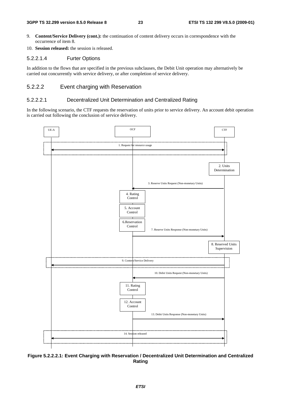- 9. **Content/Service Delivery (cont.):** the continuation of content delivery occurs in correspondence with the occurrence of item 8.
- 10. **Session released:** the session is released.

#### 5.2.2.1.4 Furter Options

In addition to the flows that are specified in the previous subclauses, the Debit Unit operation may alternatively be carried out concurrently with service delivery, or after completion of service delivery.

### 5.2.2.2 Event charging with Reservation

#### 5.2.2.2.1 Decentralized Unit Determination and Centralized Rating

In the following scenario, the CTF requests the reservation of units prior to service delivery. An account debit operation is carried out following the conclusion of service delivery.



**Figure 5.2.2.2.1: Event Charging with Reservation / Decentralized Unit Determination and Centralized Rating**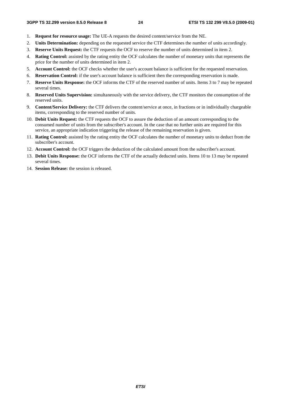- 1. **Request for resource usage:** The UE-A requests the desired content/service from the NE.
- 2. **Units Determination:** depending on the requested service the CTF determines the number of units accordingly.
- 3. **Reserve Units Request:** the CTF requests the OCF to reserve the number of units determined in item 2.
- 4. **Rating Control:** assisted by the rating entity the OCF calculates the number of monetary units that represents the price for the number of units determined in item 2.
- 5. **Account Control:** the OCF checks whether the user's account balance is sufficient for the requested reservation.
- 6. **Reservation Control:** if the user's account balance is sufficient then the corresponding reservation is made.
- 7. **Reserve Units Response:** the OCF informs the CTF of the reserved number of units. Items 3 to 7 may be repeated several times.
- 8. **Reserved Units Supervision:** simultaneously with the service delivery, the CTF monitors the consumption of the reserved units.
- 9. **Content/Service Delivery:** the CTF delivers the content/service at once, in fractions or in individually chargeable items, corresponding to the reserved number of units.
- 10. **Debit Units Request:** the CTF requests the OCF to assure the deduction of an amount corresponding to the consumed number of units from the subscriber's account. In the case that no further units are required for this service, an appropriate indication triggering the release of the remaining reservation is given.
- 11. **Rating Control:** assisted by the rating entity the OCF calculates the number of monetary units to deduct from the subscriber's account.
- 12. **Account Control:** the OCF triggers the deduction of the calculated amount from the subscriber's account.
- 13. **Debit Units Response:** the OCF informs the CTF of the actually deducted units. Items 10 to 13 may be repeated several times.
- 14. **Session Release:** the session is released.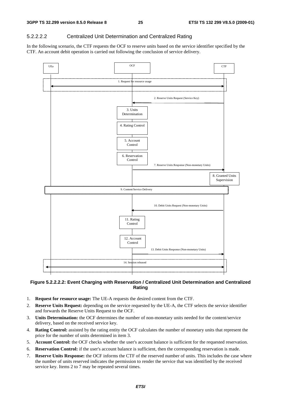### 5.2.2.2.2 Centralized Unit Determination and Centralized Rating

In the following scenario, the CTF requests the OCF to reserve units based on the service identifier specified by the CTF. An account debit operation is carried out following the conclusion of service delivery.



### **Figure 5.2.2.2.2: Event Charging with Reservation / Centralized Unit Determination and Centralized Rating**

- 1. **Request for resource usage:** The UE-A requests the desired content from the CTF.
- 2. **Reserve Units Request:** depending on the service requested by the UE-A, the CTF selects the service identifier and forwards the Reserve Units Request to the OCF.
- 3. **Units Determination:** the OCF determines the number of non-monetary units needed for the content/service delivery, based on the received service key.
- 4. **Rating Control:** assisted by the rating entity the OCF calculates the number of monetary units that represent the price for the number of units determined in item 3.
- 5. **Account Control:** the OCF checks whether the user's account balance is sufficient for the requested reservation.
- 6. **Reservation Control:** if the user's account balance is sufficient, then the corresponding reservation is made.
- 7. **Reserve Units Response:** the OCF informs the CTF of the reserved number of units. This includes the case where the number of units reserved indicates the permission to render the service that was identified by the received service key. Items 2 to 7 may be repeated several times.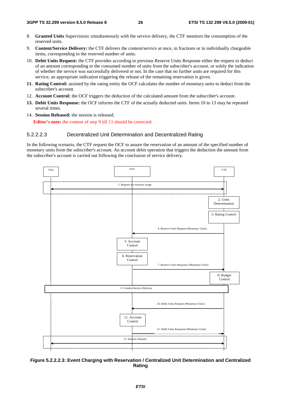- 8. **Granted Units** Supervision**:** simultaneously with the service delivery, the CTF monitors the consumption of the reserved units.
- 9. **Content/Service Delivery:** the CTF delivers the content/service at once, in fractions or in individually chargeable items, corresponding to the reserved number of units.
- 10. **Debit Units Request:** the CTF provides according to previous Reserve Units Response either the request to deduct of an amount corresponding to the consumed number of units from the subscriber's account, or solely the indication of whether the service was successfully delivered or not. In the case that no further units are required for this service, an appropriate indication triggering the release of the remaining reservation is given.
- **11. Rating Control:** assisted by the rating entity the OCF calculates the number of monetary units to deduct from the subscriber's account.
- 12. **Account Control:** the OCF triggers the deduction of the calculated amount from the subscriber's account.
- **13. Debit Units Response:** the OCF informs the CTF of the actually deducted units. Items 10 to 13 may be repeated several times.
- 14. **Session Released:** the session is released. **Editor's note:** the content of step 9 till 11 should be corrected.

#### 5.2.2.2.3 Decentralized Unit Determination and Decentralized Rating

In the following scenario, the CTF request the OCF to assure the reservation of an amount of the specified number of monetary units from the subscriber's account. An account debit operation that triggers the deduction the amount from the subscriber's account is carried out following the conclusion of service delivery.



**Figure 5.2.2.2.3: Event Charging with Reservation / Centralized Unit Determination and Centralized Rating**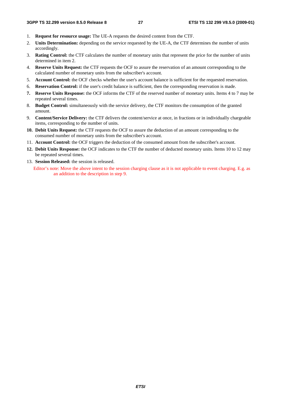- 1. **Request for resource usage:** The UE-A requests the desired content from the CTF.
- 2. **Units Determination:** depending on the service requested by the UE-A, the CTF determines the number of units accordingly.
- 3. **Rating Control:** the CTF calculates the number of monetary units that represent the price for the number of units determined in item 2.
- 4. **Reserve Units Request:** the CTF requests the OCF to assure the reservation of an amount corresponding to the calculated number of monetary units from the subscriber's account.
- 5. **Account Control:** the OCF checks whether the user's account balance is sufficient for the requested reservation.
- 6. **Reservation Control:** if the user's credit balance is sufficient, then the corresponding reservation is made.
- **7. Reserve Units Response:** the OCF informs the CTF of the reserved number of monetary units. Items 4 to 7 may be repeated several times.
- 8. **Budget Control:** simultaneously with the service delivery, the CTF monitors the consumption of the granted amount.
- 9. **Content/Service Delivery:** the CTF delivers the content/service at once, in fractions or in individually chargeable items, corresponding to the number of units.
- **10. Debit Units Request:** the CTF requests the OCF to assure the deduction of an amount corresponding to the consumed number of monetary units from the subscriber's account.
- 11. **Account Control:** the OCF triggers the deduction of the consumed amount from the subscriber's account.
- **12. Debit Units Response:** the OCF indicates to the CTF the number of deducted monetary units. Items 10 to 12 may be repeated several times.
- 13. **Session Released:** the session is released.

Editor's note: Move the above intent to the session charging clause as it is not applicable to event charging. E.g. as an addition to the description in step 9.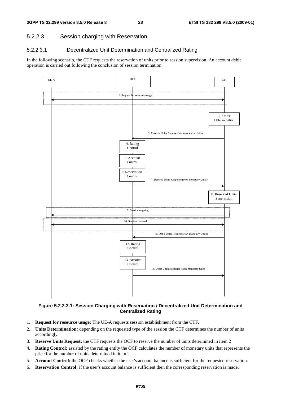## 5.2.2.3 Session charging with Reservation

### 5.2.2.3.1 Decentralized Unit Determination and Centralized Rating

In the following scenario, the CTF requests the reservation of units prior to session supervision. An account debit operation is carried out following the conclusion of session termination.



**Figure 5.2.2.3.1: Session Charging with Reservation / Decentralized Unit Determination and Centralized Rating** 

- 1. **Request for resource usage:** The UE-A requests session establishment from the CTF.
- 2. **Units Determination:** depending on the requested type of the session the CTF determines the number of units accordingly.
- 3. **Reserve Units Request:** the CTF requests the OCF to reserve the number of units determined in item 2
- 4. **Rating Control:** assisted by the rating entity the OCF calculates the number of monetary units that represents the price for the number of units determined in item 2.
- 5. **Account Control:** the OCF checks whether the user's account balance is sufficient for the requested reservation.
- 6. **Reservation Control:** if the user's account balance is sufficient then the corresponding reservation is made.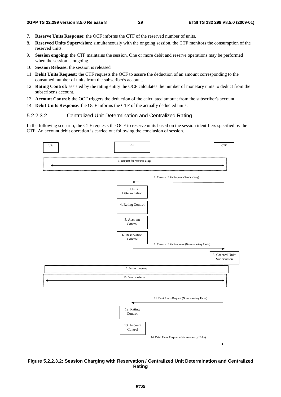- 7. **Reserve Units Response:** the OCF informs the CTF of the reserved number of units.
- 8. **Reserved Units Supervision:** simultaneously with the ongoing session, the CTF monitors the consumption of the reserved units.
- 9. **Session ongoing:** the CTF maintains the session. One or more debit and reserve operations may be performed when the session is ongoing.
- 10. **Session Release:** the session is released
- 11. **Debit Units Request:** the CTF requests the OCF to assure the deduction of an amount corresponding to the consumed number of units from the subscriber's account.
- 12. **Rating Control:** assisted by the rating entity the OCF calculates the number of monetary units to deduct from the subscriber's account.
- 13. **Account Control:** the OCF triggers the deduction of the calculated amount from the subscriber's account.
- 14. **Debit Units Response:** the OCF informs the CTF of the actually deducted units.

#### 5.2.2.3.2 Centralized Unit Determination and Centralized Rating

In the following scenario, the CTF requests the OCF to reserve units based on the session identifiers specified by the CTF. An account debit operation is carried out following the conclusion of session.



**Figure 5.2.2.3.2: Session Charging with Reservation / Centralized Unit Determination and Centralized Rating**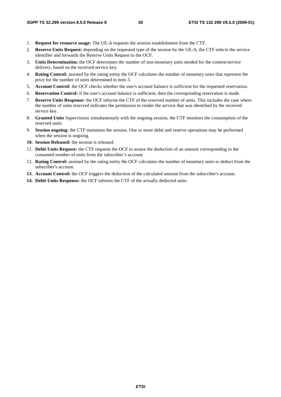- 1. **Request for resource usage:** The UE-A requests the session establishment from the CTF.
- 2. **Reserve Units Request:** depending on the requested type of the session by the UE-A, the CTF selects the service identifier and forwards the Reserve Units Request to the OCF.
- 3. **Units Determination:** the OCF determines the number of non-monetary units needed for the content/service delivery, based on the received service key.
- 4. **Rating Control:** assisted by the rating entity the OCF calculates the number of monetary units that represent the price for the number of units determined in item 3.
- 5. **Account Control:** the OCF checks whether the user's account balance is sufficient for the requested reservation.
- 6. **Reservation Control:** if the user's account balance is sufficient, then the corresponding reservation is made.
- 7. **Reserve Units Response:** the OCF informs the CTF of the reserved number of units. This includes the case where the number of units reserved indicates the permission to render the service that was identified by the received service key.
- 8. **Granted Units** Supervision**:** simultaneously with the ongoing session, the CTF monitors the consumption of the reserved units.
- 9. **Session ongoing:** the CTF maintains the session. One or more debit and reserve operations may be performed when the session is ongoing.
- **10. Session Released:** the session is released.
- 11. **Debit Units Request:** the CTF requests the OCF to assure the deduction of an amount corresponding to the consumed number of units from the subscriber's account
- 12. **Rating Control:** assisted by the rating entity the OCF calculates the number of monetary units to deduct from the subscriber's account.
- **13. Account Control:** the OCF triggers the deduction of the calculated amount from the subscriber's account.
- **14. Debit Units Response:** the OCF informs the CTF of the actually deducted units.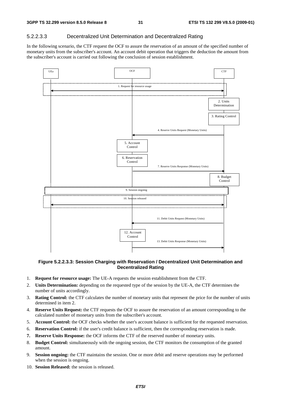### 5.2.2.3.3 Decentralized Unit Determination and Decentralized Rating

In the following scenario, the CTF request the OCF to assure the reservation of an amount of the specified number of monetary units from the subscriber's account. An account debit operation that triggers the deduction the amount from the subscriber's account is carried out following the conclusion of session establishment.



**Figure 5.2.2.3.3: Session Charging with Reservation / Decentralized Unit Determination and Decentralized Rating**

- 1. **Request for resource usage:** The UE-A requests the session establishment from the CTF.
- 2. **Units Determination:** depending on the requested type of the session by the UE-A, the CTF determines the number of units accordingly.
- 3. **Rating Control:** the CTF calculates the number of monetary units that represent the price for the number of units determined in item 2.
- 4. **Reserve Units Request:** the CTF requests the OCF to assure the reservation of an amount corresponding to the calculated number of monetary units from the subscriber's account.
- 5. **Account Control:** the OCF checks whether the user's account balance is sufficient for the requested reservation.
- 6. **Reservation Control:** if the user's credit balance is sufficient, then the corresponding reservation is made.
- **7. Reserve Units Response:** the OCF informs the CTF of the reserved number of monetary units.
- 8. **Budget Control:** simultaneously with the ongoing session, the CTF monitors the consumption of the granted amount.
- 9. **Session ongoing:** the CTF maintains the session. One or more debit and reserve operations may be performed when the session is ongoing.
- 10. **Session Released:** the session is released.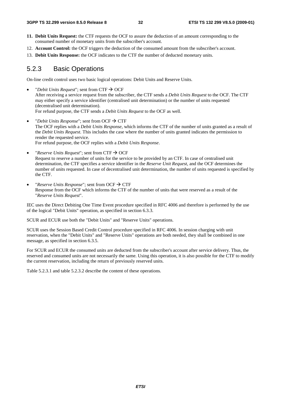- **11. Debit Units Request:** the CTF requests the OCF to assure the deduction of an amount corresponding to the consumed number of monetary units from the subscriber's account.
- 12. **Account Control:** the OCF triggers the deduction of the consumed amount from the subscriber's account.
- 13. **Debit Units Response:** the OCF indicates to the CTF the number of deducted monetary units.

## 5.2.3 Basic Operations

On-line credit control uses two basic logical operations: Debit Units and Reserve Units.

- "*Debit Units Request*"; sent from CTF  $\rightarrow$  OCF After receiving a service request from the subscriber, the CTF sends a *Debit Units Request* to the OCF. The CTF may either specify a service identifier (centralised unit determination) or the number of units requested (decentralised unit determination). For refund purpose, the CTF sends a *Debit Units Request* to the OCF as well.
- "*Debit Units Response*"; sent from OCF  $\rightarrow$  CTF The OCF replies with a *Debit Units Response*, which informs the CTF of the number of units granted as a result of the *Debit Units Request*. This includes the case where the number of units granted indicates the permission to render the requested service. For refund purpose, the OCF replies with a *Debit Units Response*.
- "*Reserve Units Request*"; sent from  $CTF \rightarrow OCF$ Request to reserve a number of units for the service to be provided by an CTF. In case of centralised unit determination, the CTF specifies a service identifier in the *Reserve Unit Request*, and the OCF determines the number of units requested. In case of decentralised unit determination, the number of units requested is specified by the CTF.
- "*Reserve Units Response*"; sent from OCF  $\rightarrow$  CTF Response from the OCF which informs the CTF of the number of units that were reserved as a result of the "*Reserve Units Request*".

IEC uses the Direct Debiting One Time Event procedure specified in RFC 4006 and therefore is performed by the use of the logical "Debit Units" operation, as specified in section 6.3.3.

SCUR and ECUR use both the "Debit Units" and "Reserve Units" operations.

SCUR uses the Session Based Credit Control procedure specified in RFC 4006. In session charging with unit reservation, when the "Debit Units" and "Reserve Units" operations are both needed, they shall be combined in one message, as specified in section 6.3.5.

For SCUR and ECUR the consumed units are deducted from the subscriber's account after service delivery. Thus, the reserved and consumed units are not necessarily the same. Using this operation, it is also possible for the CTF to modify the current reservation, including the return of previously reserved units.

Table 5.2.3.1 and table 5.2.3.2 describe the content of these operations.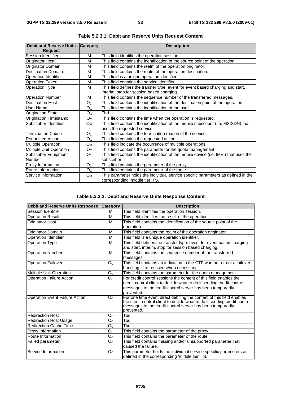| <b>Debit and Reserve Units</b> | <b>Category</b> | <b>Description</b>                                                                    |  |
|--------------------------------|-----------------|---------------------------------------------------------------------------------------|--|
| <b>Request</b>                 |                 |                                                                                       |  |
| Session Identifier             | M               | This field identifies the operation session.                                          |  |
| <b>Originator Host</b>         | м               | This field contains the identification of the source point of the operation.          |  |
| Originator Domain              | M               | This field contains the realm of the operation originator.                            |  |
| <b>Destination Domain</b>      | M               | This field contains the realm of the operation destination.                           |  |
| <b>Operation Identifier</b>    | M               | This field is a unique operation identifier.                                          |  |
| <b>Operation Token</b>         | M               | This field contains the service identifier.                                           |  |
| <b>Operation Type</b>          | M               | This field defines the transfer type: event for event based charging and start,       |  |
|                                |                 | interim, stop for session based charging.                                             |  |
| <b>Operation Number</b>        | м               | This field contains the sequence number of the transferred messages.                  |  |
| <b>Destination Host</b>        | O <sub>C</sub>  | This field contains the identification of the destination point of the operation.     |  |
| User Name                      | O <sub>C</sub>  | This field contains the identification of the user.                                   |  |
| <b>Origination State</b>       | O <sub>C</sub>  | Tbd.                                                                                  |  |
| Origination Timestamp          | O <sub>C</sub>  | This field contains the time when the operation is requested.                         |  |
| Subscriber Identifier          | $O_M$           | This field contains the identification of the mobile subscriber (i.e. MSISDN) that    |  |
|                                |                 | uses the requested service.                                                           |  |
| <b>Termination Cause</b>       | O <sub>C</sub>  | This field contains the termination reason of the service.                            |  |
| <b>Requested Action</b>        | O <sub>c</sub>  | This field contains the requested action.                                             |  |
| <b>Multiple Operation</b>      | $O_M$           | This field indicate the occurrence of multiple operations.                            |  |
| <b>Multiple Unit Operation</b> | O <sub>C</sub>  | This field contains the parameter for the quota management.                           |  |
| <b>Subscriber Equipment</b>    | O <sub>C</sub>  | This field contains the identification of the mobile device (i.e. IMEI) that uses the |  |
| Number                         |                 | subscriber.                                                                           |  |
| Proxy Information              | O <sub>C</sub>  | This field contains the parameter of the proxy.                                       |  |
| Route Information              | O <sub>C</sub>  | This field contains the parameter of the route.                                       |  |
| <b>IService Information</b>    | $O_{M}$         | This parameter holds the individual service specific parameters as defined in the     |  |
|                                |                 | corresponding 'middle tier' TS.                                                       |  |

**Table 5.2.3.1: Debit and Reserve Units Request Content** 

## **Table 5.2.3.2: Debit and Reserve Units Response Content**

| <b>Debit and Reserve Units Response</b> | <b>Category</b>  | <b>Description</b>                                                       |
|-----------------------------------------|------------------|--------------------------------------------------------------------------|
| Session Identifier                      | м                | This field identifies the operation session.                             |
| <b>Operation Result</b>                 | М                | This field identifies the result of the operation.                       |
| Originator Host                         | M                | This field contains the identification of the source point of the        |
|                                         |                  | operation.                                                               |
| Originator Domain                       | M                | This field contains the realm of the operation originator.               |
| Operation Identifier                    | M                | This field is a unique operation identifier.                             |
| <b>Operation Type</b>                   | M                | This field defines the transfer type: event for event based charging     |
|                                         |                  | and start, interim, stop for session based charging.                     |
| <b>Operation Number</b>                 | M                | This field contains the sequence number of the transferred               |
|                                         |                  | messages.                                                                |
| <b>Operation Failover</b>               | O <sub>C</sub>   | This field contains an indication to the CTF whether or not a failover   |
|                                         |                  | handling is to be used when necessary.                                   |
| Multiple Unit Operation                 | O <sub>C</sub>   | This field contains the parameter for the quota management.              |
| <b>Operation Failure Action</b>         | O <sub>C</sub>   | For credit control sessions the content of this field enables the        |
|                                         |                  | credit-control client to decide what to do if sending credit-control     |
|                                         |                  | messages to the credit-control server has been temporarily               |
|                                         |                  | prevented.                                                               |
| <b>Operation Event Failure Action</b>   | $\overline{O}_C$ | For one time event direct debiting the content of this field enables     |
|                                         |                  | the credit-control client to decide what to do if sending credit-control |
|                                         |                  | messages to the credit-control server has been temporarily<br>prevented. |
| <b>Redirection Host</b>                 | O <sub>C</sub>   | Tbd.                                                                     |
| <b>Redirection Host Usage</b>           | O <sub>C</sub>   | Tbd.                                                                     |
| <b>Redirection Cache Time</b>           | O <sub>C</sub>   | Tbd.                                                                     |
| Proxy Information                       | O <sub>C</sub>   | This field contains the parameter of the proxy.                          |
| Route Information                       | O <sub>C</sub>   | This field contains the parameter of the route.                          |
| Failed parameter                        | O <sub>C</sub>   | This field contains missing and/or unsupported parameter that            |
|                                         |                  | caused the failure.                                                      |
| Service Information                     | O <sub>C</sub>   | This parameter holds the individual service specific parameters as       |
|                                         |                  | defined in the corresponding 'middle tier' TS.                           |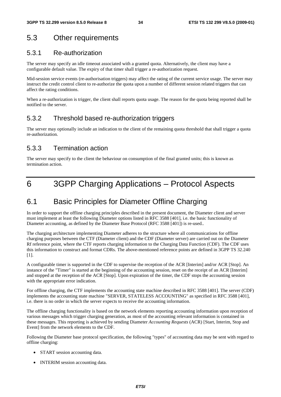## 5.3 Other requirements

## 5.3.1 Re-authorization

The server may specify an idle timeout associated with a granted quota. Alternatively, the client may have a configurable default value. The expiry of that timer shall trigger a re-authorization request.

Mid-session service events (re-authorisation triggers) may affect the rating of the current service usage. The server may instruct the credit control client to re-authorize the quota upon a number of different session related triggers that can affect the rating conditions.

When a re-authorization is trigger, the client shall reports quota usage. The reason for the quota being reported shall be notified to the server.

## 5.3.2 Threshold based re-authorization triggers

The server may optionally include an indication to the client of the remaining quota threshold that shall trigger a quota re-authorization.

## 5.3.3 Termination action

The server may specify to the client the behaviour on consumption of the final granted units; this is known as termination action.

## 6 3GPP Charging Applications – Protocol Aspects

## 6.1 Basic Principles for Diameter Offline Charging

In order to support the offline charging principles described in the present document, the Diameter client and server must implement at least the following Diameter options listed in RFC 3588 [401], i.e. the basic functionality of Diameter accounting, as defined by the Diameter Base Protocol (RFC 3588 [401]) is re-used..

The charging architecture implementing Diameter adheres to the structure where all communications for offline charging purposes between the CTF (Diameter client) and the CDF (Diameter server) are carried out on the Diameter Rf reference point, where the CTF reports charging information to the Charging Data Function (CDF). The CDF uses this information to construct and format CDRs. The above-mentioned reference points are defined in 3GPP TS 32.240 [1].

A configurable timer is supported in the CDF to supervise the reception of the ACR [Interim] and/or ACR [Stop]. An instance of the "Timer" is started at the beginning of the accounting session, reset on the receipt of an ACR [Interim] and stopped at the reception of the ACR [Stop]. Upon expiration of the timer, the CDF stops the accounting session with the appropriate error indication.

For offline charging, the CTF implements the accounting state machine described in RFC 3588 [401]. The server (CDF) implements the accounting state machine "SERVER, STATELESS ACCOUNTING" as specified in RFC 3588 [401], i.e. there is no order in which the server expects to receive the accounting information.

The offline charging functionality is based on the network elements reporting accounting information upon reception of various messages which trigger charging generation, as most of the accounting relevant information is contained in these messages. This reporting is achieved by sending Diameter *Accounting Requests* (ACR) [Start, Interim, Stop and Event] from the network elements to the CDF.

Following the Diameter base protocol specification, the following "types" of accounting data may be sent with regard to offline charging:

- START session accounting data.
- INTERIM session accounting data.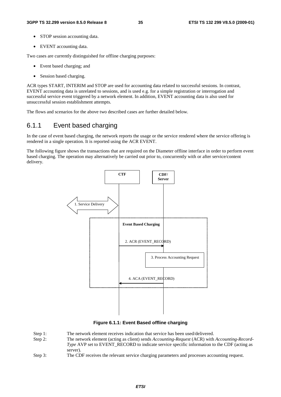- STOP session accounting data.
- EVENT accounting data.

Two cases are currently distinguished for offline charging purposes:

- Event based charging; and
- Session based charging.

ACR types START, INTERIM and STOP are used for accounting data related to successful sessions. In contrast, EVENT accounting data is unrelated to sessions, and is used e.g. for a simple registration or interrogation and successful service event triggered by a network element. In addition, EVENT accounting data is also used for unsuccessful session establishment attempts.

The flows and scenarios for the above two described cases are further detailed below.

## 6.1.1 Event based charging

In the case of event based charging, the network reports the usage or the service rendered where the service offering is rendered in a single operation. It is reported using the ACR EVENT.

The following figure shows the transactions that are required on the Diameter offline interface in order to perform event based charging. The operation may alternatively be carried out prior to, concurrently with or after service/content delivery.



**Figure 6.1.1: Event Based offline charging** 

- Step 1: The network element receives indication that service has been used/delivered.
- Step 2: The network element (acting as client) sends *Accounting-Request* (ACR) with *Accounting-Record-Type* AVP set to EVENT\_RECORD to indicate service specific information to the CDF (acting as server).
- Step 3: The CDF receives the relevant service charging parameters and processes accounting request.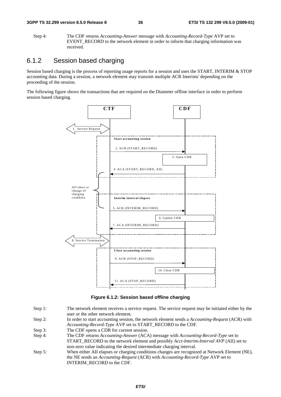Step 4: The CDF returns *Accounting-Answer* message with *Accounting-Record-Type* AVP set to EVENT\_RECORD to the network element in order to inform that charging information was received.

# 6.1.2 Session based charging

Session based charging is the process of reporting usage reports for a session and uses the START, INTERIM & STOP accounting data. During a session, a network element may transmit multiple ACR Interims' depending on the proceeding of the session.

The following figure shows the transactions that are required on the Diameter offline interface in order to perform session based charging.



#### **Figure 6.1.2: Session based offline charging**

- Step 1: The network element receives a service request. The service request may be initiated either by the user or the other network element.
- Step 2: In order to start accounting session, the network element sends a *Accounting-Request* (ACR) with *Accounting-Record-Type* AVP set to START\_RECORD to the CDF.
- Step 3: The CDF opens a CDR for current session.
- Step 4: The CDF returns *Accounting-Answer* (ACA) message with *Accounting-Record-Type* set to START\_RECORD to the network element and possibly *Acct-Interim-Interval AVP* (AII) set to non-zero value indicating the desired intermediate charging interval.
- Step 5: When either AII elapses or charging conditions changes are recognized at Network Element (NE), the NE sends an *Accounting-Request* (ACR) with *Accounting-Record-Type* AVP set to INTERIM\_RECORD to the CDF.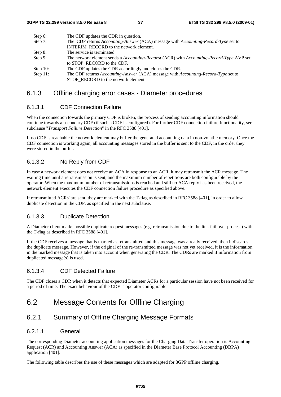| The CDF updates the CDR in question.                                                                                      |
|---------------------------------------------------------------------------------------------------------------------------|
| The CDF returns Accounting-Answer (ACA) message with Accounting-Record-Type set to                                        |
| INTERIM RECORD to the network element.                                                                                    |
| The service is terminated.                                                                                                |
| The network element sends a Accounting-Request (ACR) with Accounting-Record-Type AVP set                                  |
| to STOP RECORD to the CDF.                                                                                                |
| The CDF updates the CDR accordingly and closes the CDR.                                                                   |
| The CDF returns Accounting-Answer (ACA) message with Accounting-Record-Type set to<br>STOP RECORD to the network element. |
|                                                                                                                           |

### 6.1.3 Offline charging error cases - Diameter procedures

#### 6.1.3.1 CDF Connection Failure

When the connection towards the primary CDF is broken, the process of sending accounting information should continue towards a secondary CDF (if such a CDF is configured). For further CDF connection failure functionality, see subclause "*Transport Failure Detection*" in the RFC 3588 [401].

If no CDF is reachable the network element may buffer the generated accounting data in non-volatile memory. Once the CDF connection is working again, all accounting messages stored in the buffer is sent to the CDF, in the order they were stored in the buffer.

### 6.1.3.2 No Reply from CDF

In case a network element does not receive an ACA in response to an ACR, it may retransmit the ACR message. The waiting time until a retransmission is sent, and the maximum number of repetitions are both configurable by the operator. When the maximum number of retransmissions is reached and still no ACA reply has been received, the network element executes the CDF connection failure procedure as specified above.

If retransmitted ACRs' are sent, they are marked with the T-flag as described in RFC 3588 [401], in order to allow duplicate detection in the CDF, as specified in the next subclause.

### 6.1.3.3 Duplicate Detection

A Diameter client marks possible duplicate request messages (e.g. retransmission due to the link fail over process) with the T-flag as described in RFC 3588 [401].

If the CDF receives a message that is marked as retransmitted and this message was already received, then it discards the duplicate message. However, if the original of the re-transmitted message was not yet received, it is the information in the marked message that is taken into account when generating the CDR. The CDRs are marked if information from duplicated message(s) is used.

### 6.1.3.4 CDF Detected Failure

The CDF closes a CDR when it detects that expected Diameter ACRs for a particular session have not been received for a period of time. The exact behaviour of the CDF is operator configurable.

# 6.2 Message Contents for Offline Charging

# 6.2.1 Summary of Offline Charging Message Formats

### 6.2.1.1 General

The corresponding Diameter accounting application messages for the Charging Data Transfer operation is Accounting Request (ACR) and Accounting Answer (ACA) as specified in the Diameter Base Protocol Accounting (DBPA) application [401].

The following table describes the use of these messages which are adapted for 3GPP offline charging.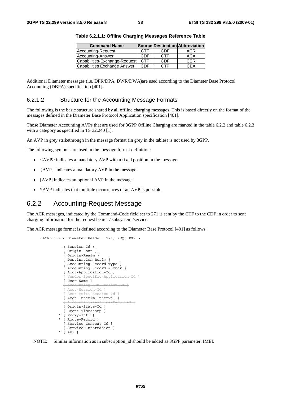| <b>Command-Name</b>           |            |            | Source Destination Abbreviation |
|-------------------------------|------------|------------|---------------------------------|
| Accounting-Request            | <b>CTF</b> | CDF        | ACR                             |
| Accounting-Answer             | CDF        | <b>CTF</b> | <b>ACA</b>                      |
| Capabilities-Exchange-Request | <b>CTF</b> | CDF        | <b>CER</b>                      |
| Capabilities Exchange Answer  | CDF        | <b>CTF</b> | CFA                             |

**Table 6.2.1.1: Offline Charging Messages Reference Table** 

Additional Diameter messages (i.e. DPR/DPA, DWR/DWA)are used according to the Diameter Base Protocol Accounting (DBPA) specification [401].

#### 6.2.1.2 Structure for the Accounting Message Formats

The following is the basic structure shared by all offline charging messages. This is based directly on the format of the messages defined in the Diameter Base Protocol Application specification [401].

Those Diameter Accounting AVPs that are used for 3GPP Offline Charging are marked in the table 6.2.2 and table 6.2.3 with a category as specified in TS 32.240 [1].

An AVP in grey strikethrough in the message format (in grey in the tables) is not used by 3GPP.

The following symbols are used in the message format definition:

- $\langle AVP \rangle$  indicates a mandatory AVP with a fixed position in the message.
- {AVP} indicates a mandatory AVP in the message.
- [AVP] indicates an optional AVP in the message.
- \*AVP indicates that multiple occurrences of an AVP is possible.

### 6.2.2 Accounting-Request Message

<ACR> ::= < Diameter Header: 271, REQ, PXY >

The ACR messages, indicated by the Command-Code field set to 271 is sent by the CTF to the CDF in order to sent charging information for the request bearer / subsystem /service.

The ACR message format is defined according to the Diameter Base Protocol [401] as follows:

```
 < Session-Id > 
    { Origin-Host } 
    { Origin-Realm } 
   Destination-Realm }
   Accounting-Record-Type }
   { Accounting-Record-Number } 
   [ Acct-Application-Id ] 
     Vendor-Specific-Application-Id ]
  [ User-Name ] 
   [ Accounting-Sub-Session-Id ]
   [ Acct-Session-Id ]
   [ Acct-Multi-Session-Id ]
  [ Acct-Interim-Interval ]
   [ Accounting-Realtime-Required ]
   [ Origin-State-Id ] 
   [ Event-Timestamp ] 
 [ Proxy-Info ]
  * [ Route-Record ] 
   [ Service-Context-Id ] 
   [ Service-Information ] 
 * [ AVP ]
```
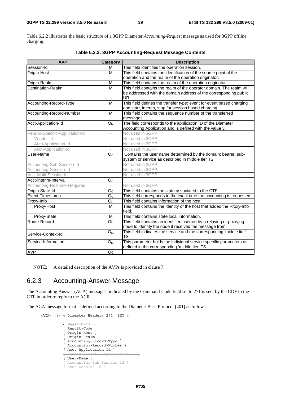Table 6.2.2 illustrates the basic structure of a 3GPP Diameter *Accounting-Request* message as used for 3GPP offline charging.

| <b>AVP</b>                     | Category                 | <b>Description</b>                                                                                                              |
|--------------------------------|--------------------------|---------------------------------------------------------------------------------------------------------------------------------|
| Session-Id                     | M                        | This field identifies the operation session.                                                                                    |
| Origin-Host                    | M                        | This field contains the identification of the source point of the                                                               |
|                                |                          | operation and the realm of the operation originator.                                                                            |
| Origin-Realm                   | M                        | This field contains the realm of the operation originator.                                                                      |
| <b>Destination-Realm</b>       | M                        | This field contains the realm of the operator domain. The realm will                                                            |
|                                |                          | be addressed with the domain address of the corresponding public<br>URI.                                                        |
| Accounting-Record-Type         | M                        | This field defines the transfer type: event for event based charging<br>and start, interim, stop for session based charging.    |
| Accounting-Record-Number       | M                        | This field contains the sequence number of the transferred<br>messages.                                                         |
| Acct-Application-Id            | $O_{M}$                  | The field corresponds to the application ID of the Diameter<br>Accounting Application and is defined with the value 3.          |
| Vendor-Specific-Application-Id | $\overline{\phantom{a}}$ | Not used in 3GPP.                                                                                                               |
| Vendor-Id                      |                          | Not used in 3GPP.                                                                                                               |
| Auth-Application-Id            | $\overline{\phantom{a}}$ | Not used in 3GPP.                                                                                                               |
| Acct-Application-Id            | $\overline{\phantom{a}}$ | Not used in 3GPP.                                                                                                               |
| User-Name                      | O <sub>c</sub>           | Contains the user name determined by the domain: bearer, sub-<br>system or service as described in middle tier TS.              |
| Accounting-Sub-Session-Id      | $\sim$                   | Not used in 3GPP.                                                                                                               |
| Accounting-Session-Id          |                          | Not used in 3GPP.                                                                                                               |
| Acct-Multi-Session-Id          |                          | Not used in 3GPP.                                                                                                               |
| Acct-Interim-Interval          | O <sub>C</sub>           |                                                                                                                                 |
| Accounting-Realtime-Required   |                          | Not used in 3GPP.                                                                                                               |
| Origin-State-Id                | O <sub>C</sub>           | This field contains the state associated to the CTF.                                                                            |
| Event-Timestamp                | O <sub>C</sub>           | This field corresponds to the exact time the accounting is requested.                                                           |
| Proxy-Info                     | O <sub>C</sub>           | This field contains information of the host.                                                                                    |
| Proxy-Host                     | M                        | This field contains the identity of the host that added the Proxy-Info<br>field.                                                |
| Proxy-State                    | M                        | This field contains state local information.                                                                                    |
| Route-Record                   | Oc                       | This field contains an identifier inserted by a relaying or proxying<br>node to identify the node it received the message from. |
| Service-Context-Id             | <b>O</b> <sub>M</sub>    | This field indicates the service and the corresponding 'middle tier'<br>TS.                                                     |
| Service-Information            | $O_M$                    | This parameter holds the individual service specific parameters as<br>defined in the corresponding 'middle tier' TS.            |
| <b>AVP</b>                     | Oc                       |                                                                                                                                 |

#### **Table 6.2.2: 3GPP Accounting-Request Message Contents**

NOTE: A detailed description of the AVPs is provided in clause 7.

# 6.2.3 Accounting-Answer Message

The Accounting Answer (ACA) messages, indicated by the Command-Code field set to 271 is sent by the CDF to the CTF in order to reply to the ACR.

The ACA message format is defined according to the Diameter Base Protocol [401] as follows:

```
 <ACA> ::= < Diameter Header: 271, PXY > 
                < Session-Id > 
                { Result-Code } 
                 { Origin-Host } 
 { Origin-Realm } 
 { Accounting-Record-Type } 
                { Accounting-Record-Number } 
                [ Acct-Application-Id ] 
                [ Vendor-Specific-Application-Id ]
                [ User-Name ] 
                [ Accounting-Sub-Session-Id ]
                [ Acct-Session-Id ]
```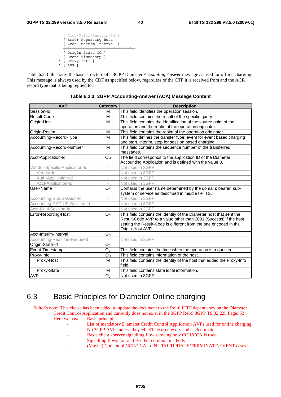[ Acct-Multi-Session-Id ] [ Error-Reporting-Host ] [ Acct-Interim-Interval ] [ Accounting-Realtime-Required ] [ Origin-State-Id ] [ Event-Timestamp ] [ Proxy-Info ] \* [ AVP ]

Table 6.2.3 illustrates the basic structure of a 3GPP Diameter *Accounting-Answer* message as used for offline charging. This message is always used by the CDF as specified below, regardless of the CTF it is received from and the ACR record type that is being replied to.

| <b>AVP</b>                     | <b>Category</b>          | <b>Description</b>                                                     |
|--------------------------------|--------------------------|------------------------------------------------------------------------|
| Session-Id                     | M                        | This field identifies the operation session.                           |
| Result-Code                    | M                        | This field contains the result of the specific query.                  |
| Origin-Host                    | M                        | This field contains the identification of the source point of the      |
|                                |                          | operation and the realm of the operation originator.                   |
| Origin-Realm                   | м                        | This field contains the realm of the operation originator.             |
| Accounting-Record-Type         | M                        | This field defines the transfer type: event for event based charging   |
|                                |                          | and start, interim, stop for session based charging.                   |
| Accounting-Record-Number       | M                        | This field contains the sequence number of the transferred             |
|                                |                          | messages.                                                              |
| Acct-Application-Id            | $O_{M}$                  | The field corresponds to the application ID of the Diameter            |
|                                |                          | Accounting Application and is defined with the value 3.                |
| Vendor-Specific-Application-Id | $\overline{\phantom{a}}$ | Not used in 3GPP                                                       |
| Vendor-Id                      |                          | Not used in 3GPP                                                       |
| Auth-Application-Id            | $\bar{a}$                | Not used in 3GPP                                                       |
| Acct-Application-Id            | $\overline{\phantom{a}}$ | Not used in 3GPP                                                       |
| User-Name                      | O <sub>C</sub>           | Contains the user name determined by the domain: bearer, sub-          |
|                                |                          | system or service as described in middle tier TS.                      |
| Accounting-Sub-Session-Id      | $\sim$                   | Not used in 3GPP                                                       |
| Accounting-RADIUS-Session-Id   |                          | Not used in 3GPP                                                       |
| Acct-Multi-Session-Id          |                          | Not used in 3GPP                                                       |
| Error-Reporting-Host           | O <sub>c</sub>           | This field contains the identity of the Diameter host that sent the    |
|                                |                          | Result-Code AVP to a value other than 2001 (Success) if the host       |
|                                |                          | setting the Result-Code is different from the one encoded in the       |
| Acct-Interim-Interval          |                          | Origin-Host AVP.                                                       |
|                                | O <sub>C</sub>           |                                                                        |
| Accounting-Realtime-Required   |                          | Not used in 3GPP                                                       |
| Origin-State-Id                | O <sub>c</sub>           |                                                                        |
| Event-Timestamp                | O <sub>C</sub>           | This field contains the time when the operation is requested.          |
| Proxy-Info                     | O <sub>c</sub>           | This field contains information of the host.                           |
| Proxy-Host                     | M                        | This field contains the identity of the host that added the Proxy-Info |
|                                |                          | field.                                                                 |
| Proxy-State                    | м                        | This field contains state local information.                           |
| AVP                            | O <sub>C</sub>           | Not used in 3GPP                                                       |

**Table 6.2.3: 3GPP Accounting-Answer (ACA) Message Content** 

# 6.3 Basic Principles for Diameter Online charging

Editor's note: This clause has been added to update the document to the Rel-6 IETF dependency on the Diameter Credit Control Application and currently does not exist in the 3GPP Rel-5 3GPP TS 32.225 Page: 52 Here we have:- Basic principles

- List of mandatory Diameter Credit Control Application AVPs used for online charging,
- No 3GPP AVPs unless they MUST be used every and each domain
- Basic client server signalling flow showing how CCR/CCA is used
- Signalling flows for and + other common methods
- (Maybe) Content of CCR/CCA in INITIAL/UPDATE/TERMINATE/EVENT cases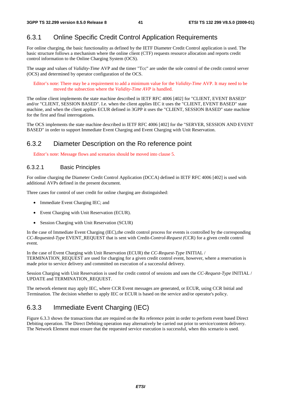# 6.3.1 Online Specific Credit Control Application Requirements

For online charging, the basic functionality as defined by the IETF Diameter Credit Control application is used. The basic structure follows a mechanism where the online client (CTF) requests resource allocation and reports credit control information to the Online Charging System (OCS).

The usage and values of *Validity-Time* AVP and the timer "Tcc" are under the sole control of the credit control server (OCS) and determined by operator configuration of the OCS.

Editor's note: There may be a requirement to add a minimum value for the *Validity-Time* AVP. It may need to be moved the subsection where the *Validity-Time AVP* is handled.

The online client implements the state machine described in IETF RFC 4006 [402] for "CLIENT, EVENT BASED" and/or "CLIENT, SESSION BASED". I.e. when the client applies IEC it uses the "CLIENT, EVENT BASED" state machine, and when the client applies ECUR defined in 3GPP it uses the "CLIENT, SESSION BASED" state machine for the first and final interrogations.

The OCS implements the state machine described in IETF RFC 4006 [402] for the "SERVER, SESSION AND EVENT BASED" in order to support Immediate Event Charging and Event Charging with Unit Reservation.

# 6.3.2 Diameter Description on the Ro reference point

Editor's note: Message flows and scenarios should be moved into clause 5.

### 6.3.2.1 Basic Principles

For online charging the Diameter Credit Control Application (DCCA) defined in IETF RFC 4006 [402] is used with additional AVPs defined in the present document.

Three cases for control of user credit for online charging are distinguished:

- Immediate Event Charging IEC; and
- Event Charging with Unit Reservation (ECUR).
- Session Charging with Unit Reservation (SCUR)

In the case of Immediate Event Charging (IEC),the credit control process for events is controlled by the corresponding *CC-Requested-Type* EVENT\_REQUEST that is sent with Credit*-Control-Request (*CCR) for a given credit control event.

In the case of Event Charging with Unit Reservation (ECUR) the *CC-Request-Type* INITIAL / TERMINATION\_REQUEST are used for charging for a given credit control event, however, where a reservation is made prior to service delivery and committed on execution of a successful delivery.

Session Charging with Unit Reservation is used for credit control of sessions and uses the *CC-Request-Type* INITIAL / UPDATE and TERMINATION\_REQUEST.

The network element may apply IEC, where CCR Event messages are generated, or ECUR, using CCR Initial and Termination. The decision whether to apply IEC or ECUR is based on the service and/or operator's policy.

# 6.3.3 Immediate Event Charging (IEC)

Figure 6.3.3 shows the transactions that are required on the Ro reference point in order to perform event based Direct Debiting operation. The Direct Debiting operation may alternatively be carried out prior to service/content delivery. The Network Element must ensure that the requested service execution is successful, when this scenario is used.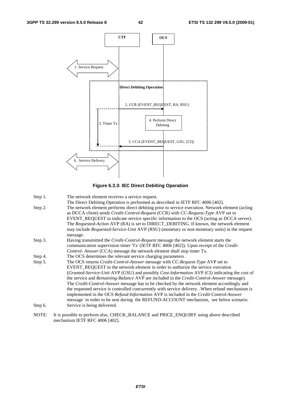



- Step 1. The network element receives a service request.
- The Direct Debiting Operation is performed as described in IETF RFC 4006 [402].
- Step 2. The network element performs direct debiting prior to service execution. Network element (acting as DCCA client) sends *Credit-Control-Request* (CCR) with *CC-Request-Type* AVP set to EVENT\_REQUEST to indicate service specific information to the OCS (acting as DCCA server). The *Requested-Action* AVP (RA) is set to DIRECT\_DEBITING. If known, the network element may include *Requested-Service-Unit* AVP (RSU) (monetary or non-monetary units) in the request message.
- Step 3. Having transmitted the *Credit-Control-Request* message the network element starts the communication supervision timer 'Tx' (IETF RFC 4006 [402]). Upon receipt of the *Credit-Control- Answer* (CCA) message the network element shall stop timer Tx.
- Step 4. The OCS determines the relevant service charging parameters .
- Step 5. The OCS returns *Credit-Control-Answer* message with *CC-Request-Type* AVP set to EVENT\_REQUEST to the network element in order to authorize the service execution (*Granted-Service-Unit* AVP (GSU) and possibly *Cost-Information* AVP (CI) indicating the cost of the service and *Remaining-Balance* AVP are included in the *Credit-Control-Answer* message). The *Credit-Control-Answer* message has to be checked by the network element accordingly and the requested service is controlled concurrently with service delivery. .When refund mechanism is implemented in the OCS *Refund-Information* AVP is included in the *Credit-Control-Answer* message in order to be sent during the REFUND-ACCOUNT mechanism, see below scenario. Step 6. Service is being delivered.
- NOTE: It is possible to perform also, CHECK\_BALANCE and PRICE\_ENQUIRY using above described mechanism IETF RFC 4006 [402].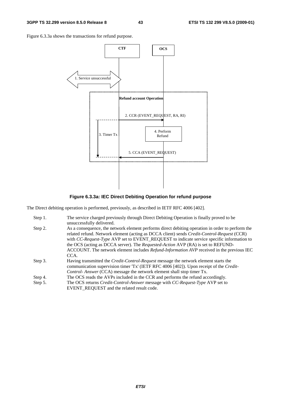Figure 6.3.3a shows the transactions for refund purpose.



**Figure 6.3.3a: IEC Direct Debiting Operation for refund purpose** 

The Direct debiting operation is performed, previously, as described in IETF RFC 4006 [402].

| Step 1. | The service charged previously through Direct Debiting Operation is finally proved to be<br>unsuccessfully delivered.                                                                                                                                                                                                                                                                                                                                                                              |
|---------|----------------------------------------------------------------------------------------------------------------------------------------------------------------------------------------------------------------------------------------------------------------------------------------------------------------------------------------------------------------------------------------------------------------------------------------------------------------------------------------------------|
| Step 2. | As a consequence, the network element performs direct debiting operation in order to perform the<br>related refund. Network element (acting as DCCA client) sends Credit-Control-Request (CCR)<br>with CC-Request-Type AVP set to EVENT_REQUEST to indicate service specific information to<br>the OCS (acting as DCCA server). The <i>Requested-Action</i> AVP (RA) is set to REFUND-<br>ACCOUNT. The network element includes <i>Refund-Information AVP</i> received in the previous IEC<br>CCA. |
| Step 3. | Having transmitted the <i>Credit-Control-Request</i> message the network element starts the<br>communication supervision timer 'Tx' (IETF RFC 4006 [402]). Upon receipt of the <i>Credit-</i><br>Control-Answer (CCA) message the network element shall stop timer Tx.                                                                                                                                                                                                                             |
| Step 4. | The OCS reads the AVPs included in the CCR and performs the refund accordingly.                                                                                                                                                                                                                                                                                                                                                                                                                    |
| Step 5. | The OCS returns <i>Credit-Control-Answer</i> message with <i>CC-Request-Type</i> AVP set to<br>EVENT_REQUEST and the related result code.                                                                                                                                                                                                                                                                                                                                                          |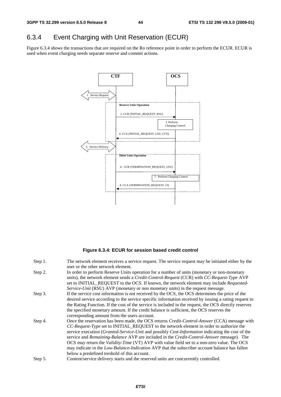# 6.3.4 Event Charging with Unit Reservation (ECUR)

Figure 6.3.4 shows the transactions that are required on the Ro reference point in order to perform the ECUR. ECUR is used when event charging needs separate reserve and commit actions.



#### **Figure 6.3.4: ECUR for session based credit control**

| Step 1. | The network element receives a service request. The service request may be initiated either by the<br>user or the other network element.                                                                                                                                                                                                                                                                                                                                                         |
|---------|--------------------------------------------------------------------------------------------------------------------------------------------------------------------------------------------------------------------------------------------------------------------------------------------------------------------------------------------------------------------------------------------------------------------------------------------------------------------------------------------------|
| Step 2. | In order to perform Reserve Units operation for a number of units (monetary or non-monetary<br>units), the network element sends a <i>Credit-Control-Request</i> (CCR) with <i>CC-Request-Type</i> AVP<br>set to INITIAL REQUEST to the OCS. If known, the network element may include Requested-                                                                                                                                                                                                |
| Step 3. | Service-Unit (RSU) AVP (monetary or non monetary units) in the request message.<br>If the service cost information is not received by the OCS, the OCS determines the price of the<br>desired service according to the service specific information received by issuing a rating request to<br>the Rating Function. If the cost of the service is included in the request, the OCS directly reserves<br>the specified monetary amount. If the credit balance is sufficient, the OCS reserves the |
| Step 4. | corresponding amount from the users account.<br>Once the reservation has been made, the OCS returns <i>Credit-Control-Answer</i> (CCA) message with<br>CC-Request-Type set to INITIAL_REQUEST to the network element in order to authorize the<br>service execution (Granted-Service-Unit and possibly Cost-Information indicating the cost of the<br>service and <i>Remaining-Balance</i> AVP are included in the <i>Credit-Control-Answer</i> message). The                                    |
| Step 5. | OCS may return the <i>Validity-Time</i> (VT) AVP with value field set to a non-zero value. The OCS<br>may indicate in the Low-Balance-Indication AVP that the subscriber account balance has fallen<br>below a predefined treshold of this account.<br>Content/service delivery starts and the reserved units are concurrently controlled.                                                                                                                                                       |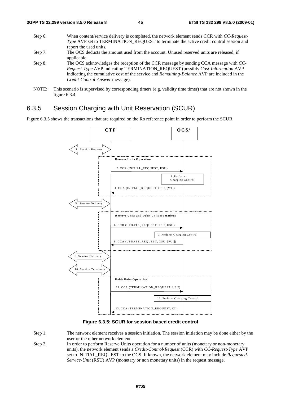- Step 6. When content/service delivery is completed, the network element sends CCR with *CC-Request-Type* AVP set to TERMINATION\_REQUEST to terminate the active credit control session and report the used units*.*  Step 7. The OCS deducts the amount used from the account. Unused reserved units are released, if applicable. Step 8. The OCS acknowledges the reception of the CCR message by sending CCA message with *CC-Request-Type* AVP indicating TERMINATION\_REQUEST (possibly *Cost-Information* AVP indicating the cumulative cost of the service and *Remaining-Balance* AVP are included in the *Credit-Control-Answer* message).
- NOTE: This scenario is supervised by corresponding timers (e.g. validity time timer) that are not shown in the figure 6.3.4.

### 6.3.5 Session Charging with Unit Reservation (SCUR)

Figure 6.3.5 shows the transactions that are required on the Ro reference point in order to perform the SCUR.



**Figure 6.3.5: SCUR for session based credit control** 

- Step 1. The network element receives a session initiation. The session initiation may be done either by the user or the other network element.
- Step 2. In order to perform Reserve Units operation for a number of units (monetary or non-monetary units), the network element sends a *Credit-Control-Request* (CCR) with *CC-Request-Type* AVP set to INITIAL\_REQUEST to the OCS. If known, the network element may include *Requested-Service-Unit* (RSU) AVP (monetary or non monetary units) in the request message.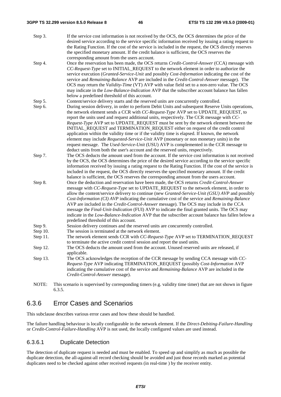#### **3GPP TS 32.299 version 8.5.0 Release 8 46 ETSI TS 132 299 V8.5.0 (2009-01)**

- Step 3. If the service cost information is not received by the OCS, the OCS determines the price of the desired service according to the service specific information received by issuing a rating request to the Rating Function. If the cost of the service is included in the request, the OCS directly reserves the specified monetary amount. If the credit balance is sufficient, the OCS reserves the corresponding amount from the users account.
- Step 4. Once the reservation has been made, the OCS returns *Credit-Control-Answer* (CCA) message with *CC-Request-Type* set to INITIAL\_REQUEST to the network element in order to authorize the service execution (*Granted-Service-Unit* and possibly *Cost-Information* indicating the cost of the service and *Remaining-Balance* AVP are included in the *Credit-Control-Answer* message). The OCS may return the *Validity-Time* (VT) AVP with value field set to a non-zero value. The OCS may indicate in the *Low-Balance-Indication* AVP that the subscriber account balance has fallen below a predefined threshold of this account.
- Step 5. Content/service delivery starts and the reserved units are concurrently controlled.
- Step 6. During session delivery, in order to perform Debit Units and subsequent Reserve Units operations, the network element sends a CCR with *CC-Request-Type* AVP set to UPDATE\_REQUEST, to report the units used and request additional units, respectively. The CCR message with *CC-Request-Type* AVP set to UPDATE\_REQUEST must be sent by the network element between the INITIAL\_REQUEST and TERMINATION\_REQUEST either on request of the credit control application within the validity time or if the validity time is elapsed. If known, the network element may include *Requested-Service-Unit* AVP (monetary or non monetary units) in the request message. The *Used-Service-Unit* (USU) AVP is complemented in the CCR message to deduct units from both the user's account and the reserved units, respectively.
- Step 7. The OCS deducts the amount used from the account. If the service cost information is not received by the OCS, the OCS determines the price of the desired service according to the service specific information received by issuing a rating request to the Rating Function. If the cost of the service is included in the request, the OCS directly reserves the specified monetary amount. If the credit balance is sufficient, the OCS reserves the corresponding amount from the users account.
- Step 8. Once the deduction and reservation have been made, the OCS returns *Credit-Control-Answer* message with *CC-Request-Type* set to UPDATE\_REQUEST to the network element, in order to allow the content/service delivery to continue (new *Granted-Service-Unit (GSU) AVP* and possibly *Cost-Information (CI) AVP* indicating the cumulative cost of the service and *Remaining-Balance* AVP are included in the *Credit-Control-Answer* message). The OCS may include in the CCA message the *Final-Unit-Indication* (FUI) AVP to indicate the final granted units. The OCS may indicate in the *Low-Balance-Indication* AVP that the subscriber account balance has fallen below a predefined threshold of this account.
- Step 9. Session delivery continues and the reserved units are concurrently controlled.
- Step 10. The session is terminated at the network element.
- Step 11. The network element sends CCR with *CC-Request-Type* AVP set to TERMINATION REQUEST to terminate the active credit control session and report the used units*.*
- Step 12. The OCS deducts the amount used from the account. Unused reserved units are released, if applicable.
- Step 13. The OCS acknowledges the reception of the CCR message by sending CCA message with *CC-Request-Type* AVP indicating TERMINATION\_REQUEST (possibly *Cost-Information* AVP indicating the cumulative cost of the service and *Remaining-Balance* AVP are included in the *Credit-Control-Answer* message).
- NOTE: This scenario is supervised by corresponding timers (e.g. validity time timer) that are not shown in figure 6.3.5.

# 6.3.6 Error Cases and Scenarios

This subclause describes various error cases and how these should be handled.

The failure handling behaviour is locally configurable in the network element. If the *Direct-Debiting-Failure-Handling* or *Credit-Control-Failure-Handling* AVP is not used, the locally configured values are used instead.

### 6.3.6.1 Duplicate Detection

The detection of duplicate request is needed and must be enabled. To speed up and simplify as much as possible the duplicate detection, the all-against-all record checking should be avoided and just those records marked as potential duplicates need to be checked against other received requests (in real-time ) by the receiver entity.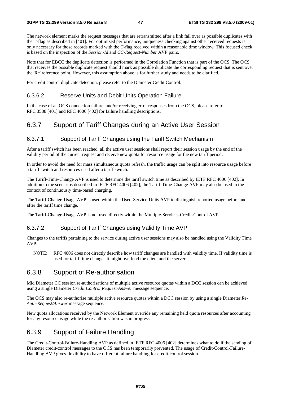The network element marks the request messages that are retransmitted after a link fail over as possible duplicates with the T-flag as described in [401]. For optimized performance, uniqueness checking against other received requests is only necessary for those records marked with the T-flag received within a reasonable time window. This focused check is based on the inspection of the *Session-Id* and *CC-Request-Number* AVP pairs.

Note that for EBCC the duplicate detection is performed in the Correlation Function that is part of the OCS. The OCS that receives the possible duplicate request should mark as possible duplicate the corresponding request that is sent over the 'Rc' reference point. However, this assumption above is for further study and needs to be clarified.

For credit control duplicate detection, please refer to the Diameter Credit Control.

### 6.3.6.2 Reserve Units and Debit Units Operation Failure

In the case of an OCS connection failure, and/or receiving error responses from the OCS, please refer to RFC 3588 [401] and RFC 4006 [402] for failure handling descriptions.

### 6.3.7 Support of Tariff Changes during an Active User Session

#### 6.3.7.1 Support of Tariff Changes using the Tariff Switch Mechanism

After a tariff switch has been reached, all the active user sessions shall report their session usage by the end of the validity period of the current request and receive new quota for resource usage for the new tariff period.

In order to avoid the need for mass simultaneous quota refresh, the traffic usage can be split into resource usage before a tariff switch and resources used after a tariff switch.

The Tariff-Time-Change AVP is used to determine the tariff switch time as described by IETF RFC 4006 [402]. In addition to the scenarios described in IETF RFC 4006 [402], the Tariff-Time-Change AVP may also be used in the context of continuously time-based charging.

The Tariff-Change-Usage AVP is used within the Used-Service-Units AVP to distinguish reported usage before and after the tariff time change.

The Tariff-Change-Usage AVP is not used directly within the Multiple-Services-Credit-Control AVP.

#### 6.3.7.2 Support of Tariff Changes using Validity Time AVP

Changes to the tariffs pertaining to the service during active user sessions may also be handled using the Validity Time AVP.

NOTE: RFC 4006 does not directly describe how tariff changes are handled with validity time. If validity time is used for tariff time changes it might overload the client and the server.

# 6.3.8 Support of Re-authorisation

Mid Diameter CC session re-authorisations of multiple active resource quotas within a DCC session can be achieved using a single Diameter *Credit Control Request/Answer* message sequence.

The OCS may also re-authorise multiple active resource quotas within a DCC session by using a single Diameter *Re-Auth-Request/Answer* message sequence.

New quota allocations received by the Network Element override any remaining held quota resources after accounting for any resource usage while the re-authorisation was in progress.

### 6.3.9 Support of Failure Handling

The Credit-Control-Failure-Handling AVP as defined in IETF RFC 4006 [402] determines what to do if the sending of Diameter credit-control messages to the OCS has been temporarily prevented. The usage of Credit-Control-Failure-Handling AVP gives flexibility to have different failure handling for credit-control session.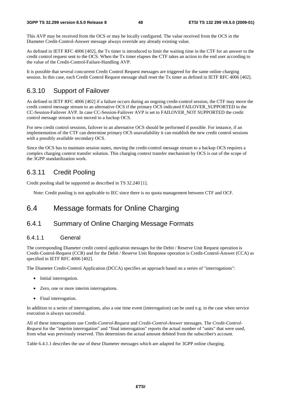This AVP may be received from the OCS or may be locally configured. The value received from the OCS in the Diameter Credit-Control-Answer message always override any already existing value.

As defined in IETF RFC 4006 [402], the Tx timer is introduced to limit the waiting time in the CTF for an answer to the credit control request sent to the OCS. When the Tx timer elapses the CTF takes an action to the end user according to the value of the Credit-Control-Failure-Handling AVP.

It is possible that several concurrent Credit Control Request messages are triggered for the same online charging session. In this case, each Credit Control Request message shall reset the Tx timer as defined in IETF RFC 4006 [402].

# 6.3.10 Support of Failover

As defined in IETF RFC 4006 [402] if a failure occurs during an ongoing credit-control session, the CTF may move the credit control message stream to an alternative OCS if the primary OCS indicated FAILOVER\_SUPPORTED in the CC-Session-Failover AVP. In case CC-Session-Failover AVP is set to FAILOVER\_NOT SUPPORTED the credit control message stream is not moved to a backup OCS.

For new credit control sessions, failover to an alternative OCS should be performed if possible. For instance, if an implementation of the CTF can determine primary OCS unavailability it can establish the new credit control sessions with a possibly available secondary OCS.

Since the OCS has to maintain session states, moving the credit-control message stream to a backup OCS requires a complex charging context transfer solution. This charging context transfer mechanism by OCS is out of the scope of the 3GPP standardization work.

# 6.3.11 Credit Pooling

Credit pooling shall be supported as described in TS 32.240 [1].

Note: Credit pooling is not applicable to IEC since there is no quota management between CTF and OCF.

# 6.4 Message formats for Online Charging

# 6.4.1 Summary of Online Charging Message Formats

#### 6.4.1.1 General

The corresponding Diameter credit control application messages for the Debit / Reserve Unit Request operation is Credit-Control-Request (CCR) and for the Debit / Reserve Unit Response operation is Credit-Control-Answer (CCA) as specified in IETF RFC 4006 [402].

The Diameter Credit-Control Application (DCCA) specifies an approach based on a series of "interrogations":

- Initial interrogation.
- Zero, one or more interim interrogations.
- Final interrogation.

In addition to a series of interrogations, also a one time event (interrogation) can be used e.g. in the case when service execution is always successful.

All of these interrogations use Credit*-Control-Request* and *Credit-Control-Answer* messages. The *Credit-Control-Request* for the "interim interrogation" and "final interrogation" reports the actual number of "units" that were used, from what was previously reserved. This determines the actual amount debited from the subscriber's account.

Table 6.4.1.1 describes the use of these Diameter messages which are adapted for 3GPP online charging.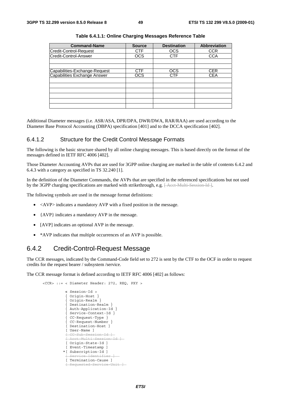| <b>Command-Name</b>                                           | <b>Source</b> | <b>Destination</b> | <b>Abbreviation</b> |
|---------------------------------------------------------------|---------------|--------------------|---------------------|
| Credit-Control-Request                                        | <b>CTF</b>    | <b>OCS</b>         | <b>CCR</b>          |
| Credit-Control-Answer                                         | <b>OCS</b>    | <b>CTF</b>         | <b>CCA</b>          |
|                                                               |               |                    |                     |
|                                                               |               |                    |                     |
| Capabilities-Exchange-Request<br>Capabilities Exchange Answer | CTF           | <b>OCS</b>         | CER                 |
|                                                               | ocs           | CTF                | <b>CEA</b>          |
|                                                               |               |                    |                     |
|                                                               |               |                    |                     |
|                                                               |               |                    |                     |
|                                                               |               |                    |                     |
|                                                               |               |                    |                     |
|                                                               |               |                    |                     |

Additional Diameter messages (i.e. ASR/ASA, DPR/DPA, DWR/DWA, RAR/RAA) are used according to the Diameter Base Protocol Accounting (DBPA) specification [401] and to the DCCA specification [402].

#### 6.4.1.2 Structure for the Credit Control Message Formats

The following is the basic structure shared by all online charging messages. This is based directly on the format of the messages defined in IETF RFC 4006 [402].

Those Diameter Accounting AVPs that are used for 3GPP online charging are marked in the table of contents 6.4.2 and 6.4.3 with a category as specified in TS 32.240 [1].

In the definition of the Diameter Commands, the AVPs that are specified in the referenced specifications but not used by the 3GPP charging specifications are marked with strikethrough, e.g. [ Acct Multi-Session-Id ].

The following symbols are used in the message format definitions:

- <AVP> indicates a mandatory AVP with a fixed position in the message.
- {AVP} indicates a mandatory AVP in the message.
- [AVP] indicates an optional AVP in the message.
- \*AVP indicates that multiple occurrences of an AVP is possible.

### 6.4.2 Credit-Control-Request Message

The CCR messages, indicated by the Command-Code field set to 272 is sent by the CTF to the OCF in order to request credits for the request bearer / subsystem /service.

The CCR message format is defined according to IETF RFC 4006 [402] as follows:

```
 <CCR> ::= < Diameter Header: 272, REQ, PXY > 
           < Session-Id > 
             { Origin-Host } 
             { Origin-Realm } 
            Destination-Realm }
            Auth-Application-Id }
             { Service-Context-Id } 
             { CC-Request-Type } 
            { CC-Request-Number } 
            [ Destination-Host ] 
            [ User-Name ] 
              [ CC-Sub-Session-Id ] 
            [ Acct-Multi-Session-Id ] 
            [ Origin-State-Id ] 
            [ Event-Timestamp ] 
           *[ Subscription-Id ] 
              ervice-Identifier
           [ Termination-Cause ]
             Requested-Service-Unit ]
```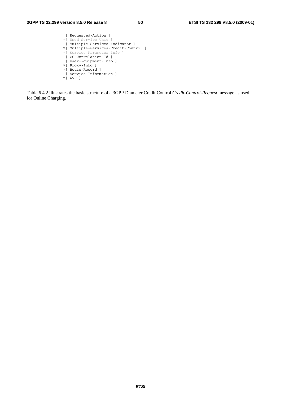```
 [ Requested-Action ] 
 *[ Used-Service-Unit ] 
 [ Multiple-Services-Indicator ] 
 *[ Multiple-Services-Credit-Control ] 
* Service-Parameter-Info
  [ CC-Correlation-Id ] 
  [ User-Equipment-Info ] 
 *[ Proxy-Info ] 
 *[ Route-Record ] 
  [ Service-Information ] 
 *[ AVP ]
```
Table 6.4.2 illustrates the basic structure of a 3GPP Diameter Credit Control *Credit-Control-Request* message as used for Online Charging.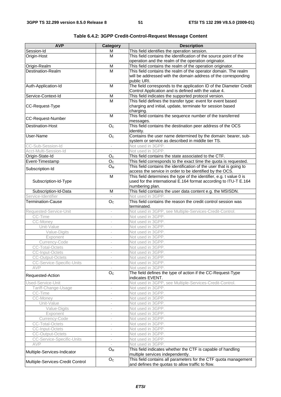| <b>AVP</b>                                     | Category                 | <b>Description</b>                                                                                                       |
|------------------------------------------------|--------------------------|--------------------------------------------------------------------------------------------------------------------------|
| Session-Id                                     | M                        | This field identifies the operation session.                                                                             |
| Origin-Host                                    | M                        | This field contains the identification of the source point of the                                                        |
|                                                |                          | operation and the realm of the operation originator.                                                                     |
| Origin-Realm                                   | $\overline{M}$           | This field contains the realm of the operation originator.                                                               |
| Destination-Realm                              | M                        | This field contains the realm of the operator domain. The realm                                                          |
|                                                |                          | will be addressed with the domain address of the corresponding                                                           |
|                                                |                          | public URI.                                                                                                              |
| Auth-Application-Id                            | M                        | The field corresponds to the application ID of the Diameter Credit                                                       |
|                                                |                          | Control Application and is defined with the value 4.                                                                     |
| Service-Context-Id                             | M<br>M                   | This field indicates the supported protocol version.                                                                     |
|                                                |                          | This field defines the transfer type: event for event based<br>charging and initial, update, terminate for session based |
| CC-Request-Type                                |                          | charging.                                                                                                                |
|                                                | M                        | This field contains the sequence number of the transferred                                                               |
| CC-Request-Number                              |                          | messages.                                                                                                                |
| <b>Destination-Host</b>                        | O <sub>c</sub>           | This field contains the destination peer address of the OCS                                                              |
|                                                |                          | identity.                                                                                                                |
| User-Name                                      | O <sub>C</sub>           | Contains the user name determined by the domain: bearer, sub-                                                            |
|                                                |                          | system or service as described in middle tier TS.                                                                        |
| CC-Sub-Session-Id                              |                          | Not used in 3GPP.                                                                                                        |
| Acct-Multi-Session-Id                          | $\sim$                   | Not used in 3GPP.                                                                                                        |
| Origin-State-Id                                | O <sub>C</sub>           | This field contains the state associated to the CTF.                                                                     |
| Event-Timestamp                                | O <sub>C</sub>           | This field corresponds to the exact time the quota is requested.                                                         |
| Subscription-Id                                | $O_M$                    | This field contains the identification of the user that is going to                                                      |
|                                                |                          | access the service in order to be identified by the OCS.                                                                 |
|                                                | $\overline{M}$           | This field determines the type of the identifier, e.g. t value 0 is                                                      |
| Subscription-Id-Type                           |                          | used for the international E.164 format according to ITU-T E.164                                                         |
|                                                |                          | numbering plan.                                                                                                          |
| Subscription-Id-Data                           | M                        | This field contains the user data content e.g. the MSISDN.                                                               |
| Service-Identifier<br><b>Termination-Cause</b> |                          | Not used in 3GPP.<br>This field contains the reason the credit control session was                                       |
|                                                | O <sub>C</sub>           | terminated.                                                                                                              |
| Requested-Service-Unit                         | $\sim$                   | Not used in 3GPP, see Multiple-Services-Credit-Control.                                                                  |
| CC-Time                                        |                          | Not used in 3GPP.                                                                                                        |
| CC-Money                                       | $\overline{\phantom{a}}$ | Not used in 3GPP.                                                                                                        |
| Unit-Value                                     | $\overline{\phantom{a}}$ | Not used in 3GPP.                                                                                                        |
| Value-Digits                                   | $\overline{\phantom{a}}$ | Not used in 3GPP.                                                                                                        |
| Exponent                                       | $\overline{\phantom{a}}$ | Not used in 3GPP.                                                                                                        |
| Currency-Code                                  |                          | Not used in 3GPP.                                                                                                        |
| <b>CC-Total-Octets</b>                         | ÷,                       | Not used in 3GPP.                                                                                                        |
| CC-Input-Octets                                |                          | Not used in 3GPP                                                                                                         |
| <b>CC-Output-Octets</b>                        | $\overline{\phantom{a}}$ | Not used in 3GPP.                                                                                                        |
| CC-Service-Specific-Units                      |                          | Not used in 3GPP.                                                                                                        |
| AVP                                            |                          | Not used in 3GPP.                                                                                                        |
| Requested-Action                               | O <sub>C</sub>           | The field defines the type of action if the CC-Request-Type<br>indicates EVENT.                                          |
| Used-Service-Unit                              | $\overline{\phantom{a}}$ | Not used in 3GPP, see Multiple-Services-Credit-Control.                                                                  |
| Tariff-Change-Usage                            | $\overline{\phantom{a}}$ | Not used in 3GPP.                                                                                                        |
| CC-Time                                        | $\overline{\phantom{a}}$ | Not used in 3GPP.                                                                                                        |
| CC-Money                                       |                          | Not used in 3GPP.                                                                                                        |
| Unit-Value                                     | $\overline{\phantom{a}}$ | Not used in 3GPP.                                                                                                        |
| Value-Digits                                   | $\overline{\phantom{a}}$ | Not used in 3GPP.                                                                                                        |
| Exponent                                       | $\overline{\phantom{a}}$ | Not used in 3GPP.                                                                                                        |
| Currency-Code                                  | $\overline{\phantom{a}}$ | Not used in 3GPP.                                                                                                        |
| CC-Total-Octets                                |                          | Not used in 3GPP.                                                                                                        |
| CC-Input-Octets                                | $\overline{\phantom{a}}$ | Not used in 3GPP.                                                                                                        |
| <b>CC-Output-Octets</b>                        | $\overline{\phantom{a}}$ | Not used in 3GPP.                                                                                                        |
| CC-Service-Specific-Units<br>AVP               | $\overline{\phantom{a}}$ | Not used in 3GPP.                                                                                                        |
|                                                | $O_M$                    | Not used in 3GPP.<br>This field indicates whether the CTF is capable of handling                                         |
| Multiple-Services-Indicator                    |                          | multiple services independently.                                                                                         |
|                                                | O <sub>C</sub>           | This field contains all parameters for the CTF quota management                                                          |
| Multiple-Services-Credit Control               |                          | and defines the quotas to allow traffic to flow.                                                                         |

|--|--|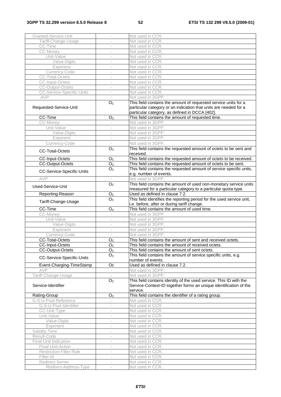### **3GPP TS 32.299 version 8.5.0 Release 8 52 ETSI TS 132 299 V8.5.0 (2009-01)**

| Granted-Service-Unit                             |                             | Not used in CCR.                                                                                                                                    |
|--------------------------------------------------|-----------------------------|-----------------------------------------------------------------------------------------------------------------------------------------------------|
| Tariff-Change-Usage                              |                             | Not used in CCR.                                                                                                                                    |
| CC-Time                                          |                             | Not used in CCR.                                                                                                                                    |
| CC-Money                                         | $\overline{\phantom{a}}$    | Not used in CCR.                                                                                                                                    |
| Unit-Value                                       | $\overline{\phantom{a}}$    | Not used in CCR.                                                                                                                                    |
| Value-Digits                                     |                             | Not used in CCR.                                                                                                                                    |
| Exponent                                         | ÷,                          | Not used in CCR.                                                                                                                                    |
| Currency-Code                                    |                             | Not used in CCR.                                                                                                                                    |
| <b>CC-Total-Octets</b>                           | $\overline{\phantom{a}}$    | Not used in CCR.                                                                                                                                    |
| <b>CC-Input-Octets</b>                           | $\overline{\phantom{a}}$    | Not used in CCR.                                                                                                                                    |
| <b>CC-Output-Octets</b>                          |                             | Not used in CCR.                                                                                                                                    |
| <b>CC-Service-Specific-Units</b>                 | $\sim$                      | Not used in CCR.                                                                                                                                    |
| AVP                                              |                             | Not used in 3GPP.                                                                                                                                   |
| Requested-Service-Unit                           | O <sub>C</sub>              | This field contains the amount of requested service units for a<br>particular category or an indication that units are needed for a                 |
| CC-Time                                          | O <sub>C</sub>              | particular category, as defined in DCCA [402].<br>This field contains the amount of requested time.                                                 |
| CC-Money                                         |                             | Not used in 3GPP.                                                                                                                                   |
| Unit-Value                                       | $\overline{\phantom{a}}$    | Not used in 3GPP.                                                                                                                                   |
| Value-Digits                                     | $\overline{\phantom{a}}$    | Not used in 3GPP.                                                                                                                                   |
| Exponent                                         |                             | Not used in 3GPP.                                                                                                                                   |
| Currency-Code                                    |                             | Not used in 3GPP.                                                                                                                                   |
|                                                  | O <sub>C</sub>              | This field contains the requested amount of octets to be sent and                                                                                   |
| <b>CC-Total-Octets</b><br><b>CC-Input-Octets</b> | O <sub>C</sub>              | received.<br>This field contains the requested amount of octets to be received.                                                                     |
| <b>CC-Output-Octets</b>                          |                             |                                                                                                                                                     |
|                                                  | O <sub>C</sub>              | This field contains the requested amount of octets to be sent.                                                                                      |
| CC-Service-Specific-Units                        | $\overline{O}_C$            | This field contains the requested amount of service specific units,<br>e.g. number of events.                                                       |
| AVP                                              | $\sim$                      | Not used in 3GPP.                                                                                                                                   |
| Used-Service-Unit                                | $\overline{O}_C$            | This field contains the amount of used non-monetary service units<br>measured for a particular category to a particular quota type.                 |
| Reporting-Reason                                 | O <sub>C</sub>              | Used as defined in clause 7.2.                                                                                                                      |
| Tariff-Change-Usage                              | $\overline{O}_C$            | This field identifies the reporting period for the used service unit,<br>i.e. before, after or during tariff change.                                |
| CC-Time                                          | O <sub>C</sub>              | This field contains the amount of used time.                                                                                                        |
| CC-Money                                         | $\sim$                      | Not used in 3GPP.                                                                                                                                   |
| Unit-Value                                       | $\sim$                      | Not used in 3GPP.                                                                                                                                   |
| Value-Digits                                     |                             | Not used in 3GPP.                                                                                                                                   |
| Exponent                                         | $\overline{\phantom{a}}$    | Not used in 3GPP.                                                                                                                                   |
| Currency-Code                                    | $\overline{\phantom{a}}$    | Not used in 3GPP.                                                                                                                                   |
| <b>CC-Total-Octets</b>                           | O <sub>C</sub>              | This field contains the amount of sent and received octets.                                                                                         |
| <b>CC-Input-Octets</b>                           | $O_{C}$                     | This field contains the amount of received octets.                                                                                                  |
| <b>CC-Output-Octets</b>                          | O <sub>C</sub>              | This field contains the amount of sent octets.                                                                                                      |
| CC-Service-Specific-Units                        | O <sub>C</sub>              | This field contains the amount of service specific units, e.g.<br>number of events.                                                                 |
| Event-Charging-TimeStamp                         | Oc                          | Used as defined in clause 7.2.                                                                                                                      |
| AVP                                              |                             | Not used in 3GPP.                                                                                                                                   |
| Tariff-Change-Usage                              |                             | Not used in 3GPP.                                                                                                                                   |
| Service-Identifier                               | O <sub>C</sub>              | This field contains identity of the used service. This ID with the<br>Service-Context-ID together forms an unique identification of the<br>service. |
| Rating-Group                                     | O <sub>C</sub>              | This field contains the identifier of a rating group.                                                                                               |
| G-S-U-Pool-Reference                             | $\mathcal{L}_{\mathcal{A}}$ | Not used in CCR.                                                                                                                                    |
| G-S-U-Pool-Identifier                            | $\sim$                      | Not used in CCR.                                                                                                                                    |
| CC-Unit-Type                                     |                             | Not used in CCR.                                                                                                                                    |
| Unit-Value                                       |                             | Not used in CCR.                                                                                                                                    |
| Value-Digits                                     |                             | Not used in CCR.                                                                                                                                    |
| Exponent                                         | $\bar{a}$                   | Not used in CCR.                                                                                                                                    |
| Validity-Time                                    | $\sim$                      | Not used in CCR.                                                                                                                                    |
| Result-Code                                      | $\overline{\phantom{a}}$    | Not used in CCR.                                                                                                                                    |
| Final-Unit-Indication                            | $\sim$                      | Not used in CCR.                                                                                                                                    |
| Final-Unit-Action                                | $\overline{\phantom{a}}$    | Not used in CCR.                                                                                                                                    |
| Restriction-Filter-Rule                          |                             | Not used in CCR.                                                                                                                                    |
| Filter-Id                                        | $\overline{\phantom{a}}$    | Not used in CCR.                                                                                                                                    |
| Redirect-Server                                  |                             | Not used in CCR.                                                                                                                                    |
| Redirect-Address-Type                            | $\overline{\phantom{a}}$    | Not used in CCR.                                                                                                                                    |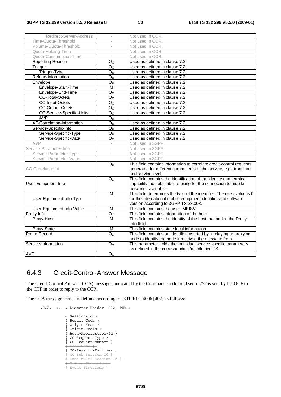| Redirect-Server-Address          |                          | Not used in CCR.                                                      |
|----------------------------------|--------------------------|-----------------------------------------------------------------------|
| Time-Quota-Threshold             | $\overline{\phantom{a}}$ | Not used in CCR.                                                      |
| Volume-Quota-Threshold           |                          | Not used in CCR.                                                      |
| Quota-Holding-Time               |                          | Not used in CCR.                                                      |
| Quota-Consumption-Time           | $\sim$                   | Not used in CCR.                                                      |
| Reporting-Reason                 | O <sub>C</sub>           | Used as defined in clause 7.2.                                        |
| Trigger                          | $\overline{O}_C$         | Used as defined in clause 7.2.                                        |
| Trigger-Type                     | O <sub>C</sub>           | Used as defined in clause 7.2.                                        |
| Refund-Information               | O <sub>C</sub>           | Used as defined in clause 7.2.                                        |
| Envelope                         | O <sub>C</sub>           | Used as defined in clause 7.2.                                        |
| Envelope-Start-Time              | $\overline{M}$           | Used as defined in clause 7.2.                                        |
| Envelope-End-Time                | O <sub>C</sub>           | Used as defined in clause 7.2.                                        |
| <b>CC-Total-Octets</b>           | $O_C$                    | Used as defined in clause 7.2.                                        |
| <b>CC-Input-Octets</b>           | O <sub>C</sub>           | Used as defined in clause 7.2.                                        |
| CC-Output-Octets                 | O <sub>C</sub>           | Used as defined in clause 7.2.                                        |
| <b>CC-Service-Specific-Units</b> | $\overline{O}_C$         | Used as defined in clause 7.2                                         |
| <b>AVP</b>                       | $\mathsf{O}_\mathbb{C}$  |                                                                       |
| AF-Correlation-Information       | $\overline{O_{C}}$       | Used as defined in clause 7.2.                                        |
| Service-Specific-Info            | O <sub>C</sub>           | Used as defined in clause 7.2.                                        |
| Service-Specific-Type            | O <sub>C</sub>           | Used as defined in clause 7.2.                                        |
| Service-Specific-Data            | O <sub>C</sub>           | Used as defined in clause 7.2.                                        |
| AVP                              |                          | Not used in 3GPP.                                                     |
| Service-Parameter-Info           | $\overline{\phantom{a}}$ | Not used in 3GPP.                                                     |
| Service-Parameter-Type           | $\overline{\phantom{a}}$ | Not used in 3GPP.                                                     |
| Service-Parameter-Value          | ÷                        | Not used in 3GPP.                                                     |
|                                  | $\overline{O}_C$         | This field contains information to correlate credit-control requests  |
| CC-Correlation-Id                |                          | generated for different components of the service, e.g., transport    |
|                                  |                          | and service level.                                                    |
|                                  | O <sub>C</sub>           | This field contains the identification of the identity and terminal   |
| User-Equipment-Info              |                          | capability the subscriber is using for the connection to mobile       |
|                                  |                          | network if available.                                                 |
|                                  | М                        | This field determines the type of the identifier. The used value is 0 |
| User-Equipment-Info-Type         |                          | for the international mobile equipment identifier and software        |
|                                  |                          | version according to 3GPP TS 23.003.                                  |
| User-Equipment-Info-Value        | M                        | This field contains the user IMEISV.                                  |
| Proxy-Info                       | $\overline{O_{C}}$       | This field contains information of the host.                          |
| Proxy-Host                       | м                        | This field contains the identity of the host that added the Proxy-    |
|                                  |                          | Info field.                                                           |
| Proxy-State                      | M                        | This field contains state local information.                          |
| Route-Record                     | O <sub>C</sub>           | This field contains an identifier inserted by a relaying or proxying  |
|                                  |                          | node to identify the node it received the message from.               |
| Service-Information              | O <sub>M</sub>           | This parameter holds the individual service specific parameters       |
|                                  |                          | as defined in the corresponding 'middle tier' TS.                     |
| <b>AVP</b>                       | O <sub>c</sub>           |                                                                       |

# 6.4.3 Credit-Control-Answer Message

The Credit-Control-Answer (CCA) messages, indicated by the Command-Code field set to 272 is sent by the OCF to the CTF in order to reply to the CCR.

The CCA message format is defined according to IETF RFC 4006 [402] as follows:

```
 <CCA> ::= < Diameter Header: 272, PXY > 
                < Session-Id > 
 { Result-Code } 
 { Origin-Host } 
 { Origin-Realm } 
 { Auth-Application-Id } 
                { CC-Request-Type } 
                { CC-Request-Number } 
                 leer-Nam
                [ CC-Session-Failover ] 
                [ CC-Sub-Session-Id ] 
               \overline{1} Acct-Multi-Session-Id ]
                [ Origin-State-Id ] 
                [ Event-Timestamp ]
```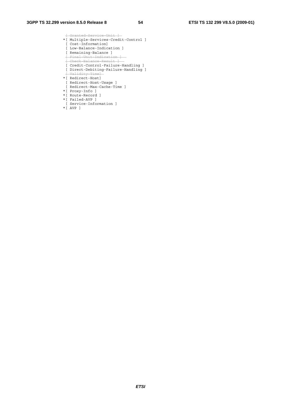[ Granted-Service-Unit ] \*[ Multiple-Services-Credit-Control ] [ Cost-Information] [ Low-Balance-Indication ] [ Remaining-Balance ] [ Final-Unit-Indication ] .<br><del>[ Check-Balance-Result ]</del> [ Credit-Control-Failure-Handling ] [ Direct-Debiting-Failure-Handling ] [ Validity-Time] \*[ Redirect-Host] [ Redirect-Host-Usage ] [ Redirect-Max-Cache-Time ] \*[ Proxy-Info ] \*[ Route-Record ] \*[ Failed-AVP ] [ Service-Information ]

\*[ AVP ]

*ETSI*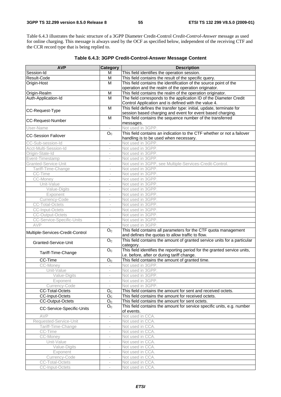Table 6.4.3 illustrates the basic structure of a 3GPP Diameter Credit-Control *Credit-Control-Answer* message as used for online charging. This message is always used by the OCF as specified below, independent of the receiving CTF and the CCR record type that is being replied to.

| <b>AVP</b>                         | Category                                             | <b>Description</b>                                                        |
|------------------------------------|------------------------------------------------------|---------------------------------------------------------------------------|
| Session-Id                         | м                                                    | This field identifies the operation session.                              |
| Result-Code                        | M                                                    | This field contains the result of the specific query.                     |
| Origin-Host                        | M                                                    | This field contains the identification of the source point of the         |
|                                    |                                                      | operation and the realm of the operation originator.                      |
| Origin-Realm                       | M                                                    | This field contains the realm of the operation originator.                |
| Auth-Application-Id                | M                                                    | The field corresponds to the application ID of the Diameter Credit        |
|                                    |                                                      | Control Application and is defined with the value 4.                      |
| CC-Request-Type                    | $\overline{M}$                                       | This field defines the transfer type: initial, update, terminate for      |
|                                    |                                                      | session based charging and event for event based charging.                |
| <b>CC-Request-Number</b>           | M                                                    | This field contains the sequence number of the transferred                |
|                                    |                                                      | messages.                                                                 |
| User-Name                          |                                                      | Not used in 3GPP.                                                         |
| <b>CC-Session Failover</b>         | O <sub>c</sub>                                       | This field contains an indication to the CTF whether or not a failover    |
|                                    |                                                      | handling is to be used when necessary.                                    |
| CC-Sub-session-Id                  | $\qquad \qquad -$                                    | Not used in 3GPP.                                                         |
| Acct-Multi-Session-Id              | $\overline{\phantom{a}}$                             | Not used in 3GPP.                                                         |
| Origin-State-Id<br>Event-Timestamp | i.<br>$\overline{a}$                                 | Not used in 3GPP.                                                         |
| Granted-Service-Unit               |                                                      | Not used in 3GPP.                                                         |
|                                    | $\overline{\phantom{a}}$                             | Not used in 3GPP, see Multiple-Services-Credit-Control.                   |
| Tariff-Time-Change<br>CC-Time      | $\bar{a}$<br>$\overline{\phantom{a}}$                | Not used in 3GPP.<br>Not used in 3GPP.                                    |
| <b>CC-Money</b>                    | i.                                                   | Not used in 3GPP.                                                         |
| Unit-Value                         | $\overline{a}$                                       | Not used in 3GPP.                                                         |
| Value-Digits                       | $\overline{\phantom{a}}$                             | Not used in 3GPP.                                                         |
| Exponent                           | $\bar{ }$                                            | Not used in 3GPP.                                                         |
| Currency-Code                      | $\overline{\phantom{a}}$                             | Not used in 3GPP.                                                         |
| <b>CC-Total-Octets</b>             | ÷,                                                   | Not used in 3GPP.                                                         |
| CC-Input-Octets                    |                                                      | Not used in 3GPP.                                                         |
| <b>CC-Output-Octets</b>            | $\bar{a}$                                            | Not used in 3GPP.                                                         |
| <b>CC-Service-Specific-Units</b>   | $\overline{\phantom{a}}$                             | Not used in 3GPP.                                                         |
| AVP                                |                                                      | Not used in 3GPP.                                                         |
|                                    | O <sub>C</sub>                                       | This field contains all parameters for the CTF quota management           |
| Multiple-Services-Credit-Control   |                                                      | and defines the quotas to allow traffic to flow.                          |
|                                    | $\overline{O}_C$                                     | This field contains the amount of granted service units for a particular  |
| Granted-Service-Unit               |                                                      | category.                                                                 |
|                                    | O <sub>c</sub>                                       | This field identifies the reporting period for the granted service units, |
| Tariff-Time-Change                 |                                                      | i.e. before, after or during tariff change.                               |
| CC-Time                            | O <sub>c</sub>                                       | This field contains the amount of granted time.                           |
| <b>CC-Money</b>                    | $\overline{\phantom{a}}$                             | Not used in 3GPP.                                                         |
| Unit-Value                         | $\qquad \qquad -$                                    | Not used in 3GPP.                                                         |
| Value-Digits                       |                                                      | Not used in 3GPP.                                                         |
| Exponent                           |                                                      | Not used in 3GPP.                                                         |
| Currency-Code                      | $\overline{\phantom{a}}$                             | Not used in 3GPP.                                                         |
| <b>CC-Total-Octets</b>             | O <sub>C</sub>                                       | This field contains the amount for sent and received octets.              |
| CC-Input-Octets                    | O <sub>C</sub>                                       | This field contains the amount for received octets.                       |
| <b>CC-Output-Octets</b>            | O <sub>C</sub>                                       | This field contains the amount for sent octets.                           |
| CC-Service-Specific-Units          | O <sub>c</sub>                                       | This field contains the amount for service specific units, e.g. number    |
|                                    |                                                      | of events.                                                                |
| AVP                                | $\overline{\phantom{a}}$                             | Not used in CCA.                                                          |
| Requested-Service-Unit             | $\qquad \qquad -$                                    | Not used in CCA.                                                          |
| Tariff-Time-Change                 | $\frac{1}{2}$                                        | Not used in CCA.                                                          |
| CC-Time                            | $\overline{\phantom{a}}$                             | Not used in CCA.                                                          |
| CC-Money<br>Unit-Value             |                                                      | Not used in CCA.<br>Not used in CCA.                                      |
| Value-Digits                       | $\overline{\phantom{a}}$                             | Not used in CCA.                                                          |
| Exponent                           | $\overline{\phantom{m}}$<br>$\overline{\phantom{m}}$ | Not used in CCA.                                                          |
| Currency-Code                      |                                                      | Not used in CCA.                                                          |
| CC-Total-Octets                    |                                                      | Not used in CCA.                                                          |
| CC-Input-Octets                    | $\overline{\phantom{a}}$                             | Not used in CCA.                                                          |
|                                    |                                                      |                                                                           |

### **Table 6.4.3: 3GPP Credit-Control-Answer Message Content**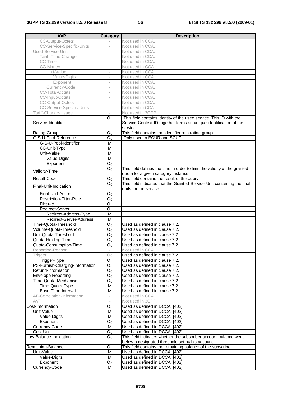| <b>AVP</b>                       | Category                 | <b>Description</b>                                                                                                                                  |
|----------------------------------|--------------------------|-----------------------------------------------------------------------------------------------------------------------------------------------------|
| <b>CC-Output-Octets</b>          |                          | Not used in CCA.                                                                                                                                    |
| <b>CC-Service-Specific-Units</b> |                          | Not used in CCA.                                                                                                                                    |
| Used-Service-Unit                | $\sim$                   | Not used in CCA.                                                                                                                                    |
| Tariff-Time-Change               | $\overline{\phantom{a}}$ | Not used in CCA.                                                                                                                                    |
| CC-Time                          |                          | Not used in CCA.                                                                                                                                    |
| CC-Money                         | $\sim$                   | Not used in CCA.                                                                                                                                    |
| Unit-Value                       |                          | Not used in CCA.                                                                                                                                    |
| Value-Digits                     | $\overline{\phantom{a}}$ | Not used in CCA.                                                                                                                                    |
| Exponent                         | $\overline{\phantom{a}}$ | Not used in CCA.                                                                                                                                    |
| Currency-Code                    | $\qquad \qquad -$        | Not used in CCA.                                                                                                                                    |
| <b>CC-Total-Octets</b>           | $\overline{\phantom{a}}$ | Not used in CCA.                                                                                                                                    |
| <b>CC-Input-Octets</b>           | $\overline{\phantom{a}}$ | Not used in CCA.                                                                                                                                    |
| <b>CC-Output-Octets</b>          | $\overline{a}$           | Not used in CCA.                                                                                                                                    |
| <b>CC-Service-Specific-Units</b> | $\overline{\phantom{a}}$ | Not used in CCA.                                                                                                                                    |
| Tariff-Change-Usage              | $\overline{\phantom{a}}$ | Not used in 3GPP.                                                                                                                                   |
| Service-Identifier               | O <sub>C</sub>           | This field contains identity of the used service. This ID with the<br>Service-Context-ID together forms an unique identification of the<br>service. |
| Rating-Group                     | O <sub>C</sub>           | This field contains the identifier of a rating group.                                                                                               |
| G-S-U-Pool-Reference             | O <sub>C</sub>           | Only used in ECUR and SCUR.                                                                                                                         |
| G-S-U-Pool-Identifier            | M                        |                                                                                                                                                     |
| CC-Unit-Type                     | M                        |                                                                                                                                                     |
| Unit-Value                       | M                        |                                                                                                                                                     |
| Value-Digits                     | M                        |                                                                                                                                                     |
| Exponent                         | O <sub>C</sub>           |                                                                                                                                                     |
| Validity-Time                    | O <sub>C</sub>           | This field defines the time in order to limit the validity of the granted<br>quota for a given category instance.                                   |
| Result-Code                      | O <sub>C</sub>           | This field contains the result of the query.                                                                                                        |
| Final-Unit-Indication            | O <sub>C</sub>           | This field indicates that the Granted-Service-Unit containing the final<br>units for the service.                                                   |
| Final-Unit-Action                | O <sub>C</sub>           |                                                                                                                                                     |
| Restriction-Filter-Rule          | O <sub>C</sub>           |                                                                                                                                                     |
| Filter-Id                        | $\overline{O}_C$         |                                                                                                                                                     |
| Redirect-Server                  | O <sub>C</sub>           |                                                                                                                                                     |
| Redirect-Address-Type            | M                        |                                                                                                                                                     |
| Redirect-Server-Address          | M                        |                                                                                                                                                     |
| Time-Quota-Threshold             | O <sub>C</sub>           | Used as defined in clause 7.2.                                                                                                                      |
| Volume-Quota-Threshold           | O <sub>C</sub>           | Used as defined in clause 7.2.                                                                                                                      |
| Unit-Quota-Threshold             | O <sub>C</sub>           | Used as defined in clause 7.2.                                                                                                                      |
| Quota-Holding-Time               | O <sub>C</sub>           | Used as defined in clause 7.2.                                                                                                                      |
| Quota-Consumption-Time           | O <sub>C</sub>           | Used as defined in clause 7.2.                                                                                                                      |
| Reporting-Reason                 |                          | Not used in CCA.                                                                                                                                    |
| Trigger                          | Oc                       | Used as defined in clause 7.2.                                                                                                                      |
| Trigger-Type                     | O <sub>C</sub>           | Used as defined in clause 7.2.                                                                                                                      |
| PS-Furnish-Charging-Information  | O <sub>C</sub>           | Used as defined in clause 7.2.                                                                                                                      |
| Refund-Information               | O <sub>C</sub>           | Used as defined in clause 7.2.                                                                                                                      |
| Envelope-Reporting               | O <sub>C</sub>           | Used as defined in clause 7.2.                                                                                                                      |
| Time-Quota-Mechanism             | O <sub>C</sub>           | Used as defined in clause 7.2.                                                                                                                      |
| Time-Quota-Type                  | M                        | Used as defined in clause 7.2.                                                                                                                      |
| Base-Time-Interval               | M                        | Used as defined in clause 7.2.                                                                                                                      |
| AF-Correlation-Information       | $\overline{\phantom{a}}$ | Not used in CCA.                                                                                                                                    |
| AVP                              |                          | Not used in 3GPP.                                                                                                                                   |
| Cost-Information<br>Unit-Value   | O <sub>C</sub><br>M      | Used as defined in DCCA [402].<br>Used as defined in DCCA [402].                                                                                    |
| Value-Digits                     | M                        | Used as defined in DCCA [402].                                                                                                                      |
| Exponent                         | $\mathsf{O}_\mathbb{C}$  | Used as defined in DCCA [402]                                                                                                                       |
| Currency-Code                    | M                        | Used as defined in DCCA [402].                                                                                                                      |
| Cost-Unit                        | O <sub>C</sub>           | Used as defined in DCCA [402].                                                                                                                      |
| Low-Balance-Indication           | Oc                       | This field indicates whether the subscriber account balance went                                                                                    |
|                                  |                          | below a designated threshold set by his account.                                                                                                    |
| Remaining-Balance                | O <sub>C</sub>           | This field contains the remaining balance of the subscriber.                                                                                        |
| Unit-Value                       | M                        | Used as defined in DCCA [402].                                                                                                                      |
| Value-Digits                     | M                        | Used as defined in DCCA [402].                                                                                                                      |
| Exponent                         | O <sub>C</sub>           | Used as defined in DCCA [402].                                                                                                                      |
| Currency-Code                    | м                        | Used as defined in DCCA [402].                                                                                                                      |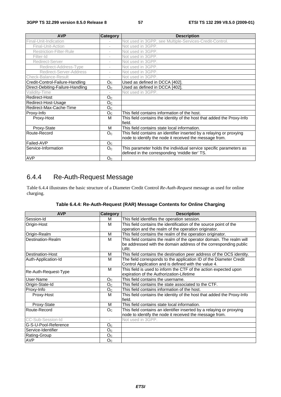| <b>AVP</b>                       | <b>Category</b>          | <b>Description</b>                                                               |
|----------------------------------|--------------------------|----------------------------------------------------------------------------------|
| Final-Unit-Indication            |                          | Not used in 3GPP, see Multiple-Services-Credit-Control.                          |
| Final-Unit-Action                | $\overline{\phantom{a}}$ | Not used in 3GPP.                                                                |
| <b>Restriction-Filter-Rule</b>   | $\overline{\phantom{a}}$ | Not used in 3GPP.                                                                |
| Filter-Id                        | ÷,                       | Not used in 3GPP.                                                                |
| Redirect-Server                  | $\overline{\phantom{a}}$ | Not used in 3GPP.                                                                |
| Redirect-Address-Type            | $\overline{\phantom{a}}$ | Not used in 3GPP.                                                                |
| Redirect-Server-Address          | $\overline{\phantom{a}}$ | Not used in 3GPP.                                                                |
| <b>Check-Balance-Result</b>      | $\overline{\phantom{a}}$ | Not used in 3GPP.                                                                |
| Credit-Control-Failure-Handling  | O <sub>C</sub>           | Used as defined in DCCA [402].                                                   |
| Direct-Debiting-Failure-Handling | O <sub>C</sub>           | Used as defined in DCCA [402].                                                   |
| Validity-Time                    |                          | Not used in 3GPP.                                                                |
| Redirect-Host                    | O <sub>C</sub>           |                                                                                  |
| Redirect-Host-Usage              | O <sub>C</sub>           |                                                                                  |
| Redirect-Max-Cache-Time          | O <sub>C</sub>           |                                                                                  |
| Proxy-Info                       | O <sub>C</sub>           | This field contains information of the host.                                     |
| Proxy-Host                       | м                        | This field contains the identity of the host that added the Proxy-Info<br>field. |
| Proxy-State                      | м                        | This field contains state local information.                                     |
| Route-Record                     | O <sub>C</sub>           | This field contains an identifier inserted by a relaying or proxying             |
|                                  |                          | node to identify the node it received the message from.                          |
| Failed-AVP                       | O <sub>C</sub>           |                                                                                  |
| Service-Information              | O <sub>C</sub>           | This parameter holds the individual service specific parameters as               |
|                                  |                          | defined in the corresponding 'middle tier' TS.                                   |
| <b>AVP</b>                       | O <sub>C</sub>           |                                                                                  |

# 6.4.4 Re-Auth-Request Message

Table 6.4.4 illustrates the basic structure of a Diameter Credit Control *Re-Auth-Request* message as used for online charging.

| Table 6.4.4: Re-Auth-Request (RAR) Message Contents for Online Charging |  |  |  |
|-------------------------------------------------------------------------|--|--|--|
|-------------------------------------------------------------------------|--|--|--|

| <b>AVP</b>              | <b>Category</b>          | <b>Description</b>                                                     |
|-------------------------|--------------------------|------------------------------------------------------------------------|
| Session-Id              | м                        | This field identifies the operation session.                           |
| Origin-Host             | м                        | This field contains the identification of the source point of the      |
|                         |                          | operation and the realm of the operation originator.                   |
| Origin-Realm            | M                        | This field contains the realm of the operation originator.             |
| Destination-Realm       | м                        | This field contains the realm of the operator domain. The realm will   |
|                         |                          | be addressed with the domain address of the corresponding public       |
|                         |                          | URI.                                                                   |
| <b>Destination-Host</b> | М                        | This field contains the destination peer address of the OCS identity.  |
| Auth-Application-Id     | м                        | The field corresponds to the application ID of the Diameter Credit     |
|                         |                          | Control Application and is defined with the value 4.                   |
| Re-Auth-Request-Type    | M                        | This field is used to inform the CTF of the action expected upon       |
|                         |                          | expiration of the Authorization-Lifetime                               |
| User-Name               | O <sub>C</sub>           | This field contains the username.                                      |
| Origin-State-Id         | O <sub>C</sub>           | This field contains the state associated to the CTF.                   |
| Proxy-Info              | O <sub>C</sub>           | This field contains information of the host.                           |
| Proxy-Host              | м                        | This field contains the identity of the host that added the Proxy-Info |
|                         |                          | field.                                                                 |
| Proxy-State             | M                        | This field contains state local information.                           |
| Route-Record            | O <sub>C</sub>           | This field contains an identifier inserted by a relaying or proxying   |
|                         |                          | node to identify the node it received the message from.                |
| CC-Sub-Session-Id       | $\overline{\phantom{a}}$ | Not used in 3GPP.                                                      |
| G-S-U-Pool-Reference    | O <sub>C</sub>           |                                                                        |
| Service-Identifier      | $O_{\rm C}$              |                                                                        |
| Rating-Group            | O <sub>C</sub>           |                                                                        |
| <b>AVP</b>              | O <sub>C</sub>           |                                                                        |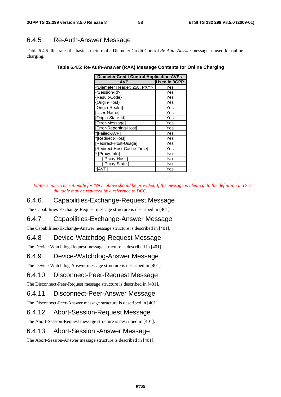# 6.4.5 Re-Auth-Answer Message

Table 6.4.5 illustrates the basic structure of a Diameter Credit Control *Re-Auth-Answer* message as used for online charging.

| <b>Diameter Credit Control Application AVPs</b> |                     |  |  |  |  |  |  |  |
|-------------------------------------------------|---------------------|--|--|--|--|--|--|--|
| <b>AVP</b>                                      | <b>Used in 3GPP</b> |  |  |  |  |  |  |  |
| <diameter 258,="" header:="" pxy=""></diameter> | Yes                 |  |  |  |  |  |  |  |
| <session-id></session-id>                       | Yes                 |  |  |  |  |  |  |  |
| {Result-Code}                                   | Yes                 |  |  |  |  |  |  |  |
| {Origin-Host}                                   | Yes                 |  |  |  |  |  |  |  |
| {Origin-Realm}                                  | Yes                 |  |  |  |  |  |  |  |
| [User-Name]                                     | Yes                 |  |  |  |  |  |  |  |
| [Origin-State-Id]                               | Yes                 |  |  |  |  |  |  |  |
| [Error-Message]                                 | Yes                 |  |  |  |  |  |  |  |
| [Error-Reporting-Host]                          | Yes                 |  |  |  |  |  |  |  |
| *[Failed-AVP]                                   | Yes                 |  |  |  |  |  |  |  |
| *[Redirect-Host]                                | Yes                 |  |  |  |  |  |  |  |
| [Redirect-Host-Usage]                           | Yes                 |  |  |  |  |  |  |  |
| [Redirect-Host-Cache-Time]                      | Yes                 |  |  |  |  |  |  |  |
| * [Proxy-Info]                                  | No                  |  |  |  |  |  |  |  |
| { Proxy-Host }                                  | No                  |  |  |  |  |  |  |  |
| { Proxy-State }                                 | No                  |  |  |  |  |  |  |  |
| *[AVP]                                          | Yes                 |  |  |  |  |  |  |  |

**Table 6.4.5: Re-Auth-Answer (RAA) Message Contents for Online Charging** 

*Editor's note: The rationale for "NO" above should be provided. If the message is identical to the definition in DCC the table may be replaced by a reference to DCC.* 

### 6.4.6. Capabilities-Exchange-Request Message

The Capabilities-Exchange-Request message structure is described in [401].

### 6.4.7 Capabilities-Exchange-Answer Message

The Capabilities-Exchange-Answer message structure is described in [401].

### 6.4.8 Device-Watchdog-Request Message

The Device-Watchdog-Request message structure is described in [401].

### 6.4.9 Device-Watchdog-Answer Message

The Device-Watchdog-Answer message structure is described in [401].

### 6.4.10 Disconnect-Peer-Request Message

The Disconnect-Peer-Request message structure is described in [401].

### 6.4.11 Disconnect-Peer-Answer Message

The Disconnect-Peer-Answer message structure is described in [401].

### 6.4.12 Abort-Session-Request Message

The Abort-Session-Request message structure is described in [401].

### 6.4.13 Abort-Session -Answer Message

The Abort-Session-Answer message structure is described in [401].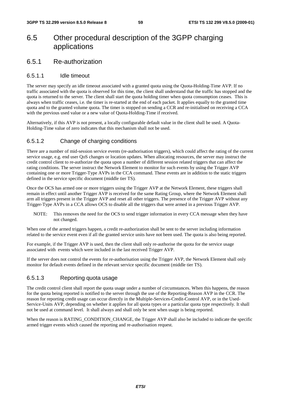# 6.5 Other procedural description of the 3GPP charging applications

### 6.5.1 Re-authorization

### 6.5.1.1 Idle timeout

The server may specify an idle timeout associated with a granted quota using the Quota-Holding-Time AVP. If no traffic associated with the quota is observed for this time, the client shall understand that the traffic has stopped and the quota is returned to the server. The client shall start the quota holding timer when quota consumption ceases. This is always when traffic ceases, i.e. the timer is re-started at the end of each packet. It applies equally to the granted time quota and to the granted volume quota. The timer is stopped on sending a CCR and re-initialised on receiving a CCA with the previous used value or a new value of Quota-Holding-Time if received.

Alternatively, if this AVP is not present, a locally configurable default value in the client shall be used. A Quota-Holding-Time value of zero indicates that this mechanism shall not be used.

### 6.5.1.2 Change of charging conditions

There are a number of mid-session service events (re-authorisation triggers), which could affect the rating of the current service usage, e.g. end user QoS changes or location updates. When allocating resources, the server may instruct the credit control client to re-authorize the quota upon a number of different session related triggers that can affect the rating conditions. The server instruct the Network Element to monitor for such events by using the Trigger AVP containing one or more Trigger-Type AVPs in the CCA command. These events are in addition to the static triggers defined in the service specific document (middle tier TS).

Once the OCS has armed one or more triggers using the Trigger AVP at the Network Element, these triggers shall remain in effect until another Trigger AVP is received for the same Rating Group, where the Network Element shall arm all triggers present in the Trigger AVP and reset all other triggers. The presence of the Trigger AVP without any Trigger-Type AVPs in a CCA allows OCS to disable all the triggers that were armed in a previous Trigger AVP.

NOTE: This removes the need for the OCS to send trigger information in every CCA message when they have not changed.

When one of the armed triggers happen, a credit re-authorization shall be sent to the server including information related to the service event even if all the granted service units have not been used. The quota is also being reported.

For example, if the Trigger AVP is used, then the client shall only re-authorise the quota for the service usage associated with events which were included in the last received Trigger AVP.

If the server does not control the events for re-authorisation using the Trigger AVP, the Network Element shall only monitor for default events defined in the relevant service specific document (middle tier TS).

### 6.5.1.3 Reporting quota usage

The credit control client shall report the quota usage under a number of circumstances. When this happens, the reason for the quota being reported is notified to the server through the use of the Reporting-Reason AVP in the CCR. The reason for reporting credit usage can occur directly in the Multiple-Services-Credit-Control AVP, or in the Used-Service-Units AVP, depending on whether it applies for all quota types or a particular quota type respectively. It shall not be used at command level. It shall always and shall only be sent when usage is being reported.

When the reason is RATING\_CONDITION\_CHANGE, the Trigger AVP shall also be included to indicate the specific armed trigger events which caused the reporting and re-authorisation request.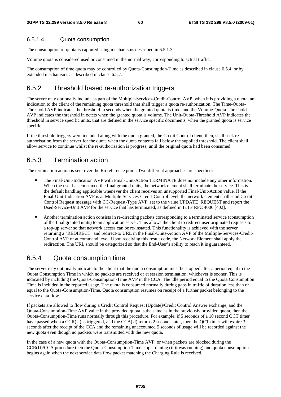### 6.5.1.4 Quota consumption

The consumption of quota is captured using mechanisms described in 6.5.1.3.

Volume quota is considered used or consumed in the normal way, corresponding to actual traffic.

The consumption of time quota may be controlled by Quota-Consumption-Time as described in clause 6.5.4, or by extended mechanisms as described in clause 6.5.7.

# 6.5.2 Threshold based re-authorization triggers

The server may optionally include as part of the Multiple-Services-Credit-Control AVP, when it is providing a quota, an indication to the client of the remaining quota threshold that shall trigger a quota re-authorization. The Time-Quota-Threshold AVP indicates the threshold in seconds when the granted quota is time, and the Volume-Quota-Threshold AVP indicates the threshold in octets when the granted quota is volume. The Unit-Quota-Threshold AVP indicates the threshold in service specific units, that are defined in the service specific documents, when the granted quota is service specific.

If the threshold triggers were included along with the quota granted, the Credit Control client, then, shall seek reauthorisation from the server for the quota when the quota contents fall below the supplied threshold. The client shall allow service to continue whilst the re-authorisation is progress, until the original quota had been consumed.

# 6.5.3 Termination action

The termination action is sent over the Ro reference point. Two different approaches are specified:

- The Final-Unit-Indication AVP with Final-Unit-Action TERMINATE does not include any other information. When the user has consumed the final granted units, the network element shall terminate the service. This is the default handling applicable whenever the client receives an unsupported Final-Unit-Action value. If the Final-Unit-Indication AVP is at Multiple-Services-Credit-Control level, the network element shall send Credit Control Request message with CC-Request-Type AVP set to the value UPDATE\_REQUEST and report the Used-Service-Unit AVP for the service that has terminated, as defined in IETF RFC 4006 [402].
- Another termination action consists in re-directing packets corresponding to a terminated service (consumption of the final granted units) to an application server. This allows the client to redirect user originated requ a top-up server so that network access can be re-instated. This functionality is achieved with the server returning a "REDIRECT" and redirect-to URL in the Final-Units-Action AVP of the Multiple-Services-Credit-Control AVP or at command level. Upon receiving this result code, the Network Element shall apply the redirection. The URL should be categorized so that the End-User's ability to reach it is guaranteed.

# 6.5.4 Quota consumption time

The server may optionally indicate to the client that the quota consumption must be stopped after a period equal to the Quota Consumption Time in which no packets are received or at session termination, whichever is sooner. This is indicated by including the Quota-Consumption-Time AVP in the CCA. The idle period equal to the Quota Consumption Time is included in the reported usage. The quota is consumed normally during gaps in traffic of duration less than or equal to the Quota-Consumption-Time. Quota consumption resumes on receipt of a further packet belonging to the service data flow.

If packets are allowed to flow during a Credit Control Request (Update)/Credit Control Answer exchange, and the Quota-Consumption-Time AVP value in the provided quota is the same as in the previously provided quota, then the Quota-Consumption-Time runs normally through this procedure. For example, if 5 seconds of a 10 second QCT timer have passed when a CCR(U) is triggered, and the CCA(U) returns 2 seconds later, then the QCT timer will expire 3 seconds after the receipt of the CCA and the remaining unaccounted 5 seconds of usage will be recorded against the new quota even though no packets were transmitted with the new quota.

In the case of a new quota with the Quota-Consumption-Time AVP, or when packets are blocked during the CCR(U)/CCA procedure then the Quota-Consumption-Time stops running (if it was running) and quota consumption begins again when the next service data flow packet matching the Charging Rule is received.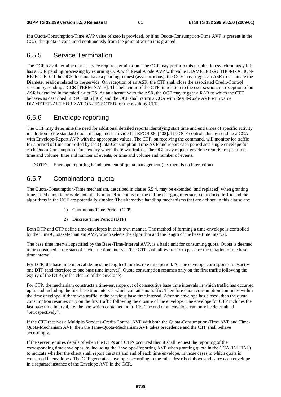If a Quota-Consumption-Time AVP value of zero is provided, or if no Quota-Consumption-Time AVP is present in the CCA, the quota is consumed continuously from the point at which it is granted.

# 6.5.5 Service Termination

The OCF may determine that a service requires termination. The OCF may perform this termination synchronously if it has a CCR pending processing by returning CCA with Result-Code AVP with value DIAMETER-AUTHORIZATION-REJECTED. If the OCF does not have a pending request (asynchronous), the OCF may trigger an ASR to terminate the Diameter session related to the service. On reception of an ASR, the CTF shall close the associated Credit-Control session by sending a CCR [TERMINATE]. The behaviour of the CTF, in relation to the user session, on reception of an ASR is detailed in the middle-tier TS. As an alternative to the ASR, the OCF may trigger a RAR to which the CTF behaves as described in RFC 4006 [402] and the OCF shall return a CCA with Result-Code AVP with value DIAMETER-AUTHORIZATION-REJECTED for the resulting CCR.

# 6.5.6 Envelope reporting

The OCF may determine the need for additional detailed reports identifying start time and end times of specific activity in addition to the standard quota management provided in RFC 4006 [402]. The OCF controls this by sending a CCA with Envelope-Report AVP with the appropriate values. The CTF, on receiving the command, will monitor for traffic for a period of time controlled by the Quota-Consumption-Time AVP and report each period as a single envelope for each Quota-Consumption-Time expiry where there was traffic. The OCF may request envelope reports for just time, time and volume, time and number of events, or time and volume and number of events.

NOTE: Envelope reporting is independent of quota management (i.e. there is no interaction).

# 6.5.7 Combinational quota

The Quota-Consumption-Time mechanism, described in clause 6.5.4, may be extended (and replaced) when granting time based quota to provide potentially more efficient use of the online charging interface, i.e. reduced traffic and the algorithms in the OCF are potentially simpler. The alternative handling mechanisms that are defined in this clause are:

- 1) Continuous Time Period (CTP)
- 2) Discrete Time Period (DTP)

Both DTP and CTP define time-envelopes in their own manner. The method of forming a time-envelope is controlled by the Time-Quota-Mechanism AVP, which selects the algorithm and the length of the base time interval.

The base time interval, specified by the Base-Time-Interval AVP, is a basic unit for consuming quota. Quota is deemed to be consumed at the start of each base time interval. The CTF shall allow traffic to pass for the duration of the base time interval.

For DTP, the base time interval defines the length of the discrete time period. A time envelope corresponds to exactly one DTP (and therefore to one base time interval). Quota consumption resumes only on the first traffic following the expiry of the DTP (or the closure of the envelope).

For CTP, the mechanism constructs a time-envelope out of consecutive base time intervals in which traffic has occurred up to and including the first base time interval which contains no traffic. Therefore quota consumption continues within the time envelope, if there was traffic in the previous base time interval. After an envelope has closed, then the quota consumption resumes only on the first traffic following the closure of the envelope. The envelope for CTP includes the last base time interval, i.e. the one which contained no traffic. The end of an envelope can only be determined "retrospectively".

If the CTF receives a Multiple-Services-Credit-Control AVP with both the Quota-Consumption-Time AVP and Time-Quota-Mechanism AVP, then the Time-Quota-Mechanism AVP takes precedence and the CTF shall behave accordingly.

If the server requires details of when the DTPs and CTPs occurred then it shall request the reporting of the corresponding time envelopes, by including the Envelope-Reporting AVP when granting quota in the CCA (INITIAL) to indicate whether the client shall report the start and end of each time envelope, in those cases in which quota is consumed in envelopes. The CTF generates envelopes according to the rules described above and carry each envelope in a separate instance of the Envelope AVP in the CCR.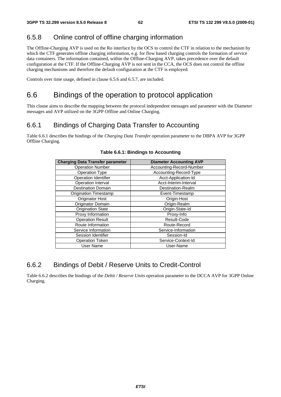# 6.5.8 Online control of offline charging information

The Offline-Charging AVP is used on the Ro interface by the OCS to control the CTF in relation to the mechanism by which the CTF generates offline charging information, e.g. for flow based charging controls the formation of service data containers. The information contained, within the Offline-Charging AVP, takes precedence over the default configuration at the CTF. If the Offline-Charging AVP is not sent in the CCA, the OCS does not control the offline charging mechanisms and therefore the default configuration at the CTF is employed.

Controls over time usage, defined in clause 6.5.6 and 6.5.7, are included.

# 6.6 Bindings of the operation to protocol application

This clause aims to describe the mapping between the protocol independent messages and parameter with the Diameter messages and AVP utilized on the 3GPP Offline and Online Charging.

# 6.6.1 Bindings of Charging Data Transfer to Accounting

Table 6.6.1 describes the bindings of the *Charging Data Transfer* operation parameter to the DBPA AVP for 3GPP Offline Charging.

| <b>Charging Data Transfer parameter</b> | <b>Diameter Accounting AVP</b> |
|-----------------------------------------|--------------------------------|
| <b>Operation Number</b>                 | Accounting-Record-Number       |
| <b>Operation Type</b>                   | Accounting-Record-Type         |
| <b>Operation Identifier</b>             | Acct-Application-Id            |
| Operation Interval                      | Acct-Interim-Interval          |
| <b>Destination Domain</b>               | Destination-Realm              |
| <b>Origination Timestamp</b>            | Event-Timestamp                |
| Originator Host                         | Origin-Host                    |
| Originator Domain                       | Origin-Realm                   |
| <b>Origination State</b>                | Origin-State-Id                |
| Proxy Information                       | Proxy-Info                     |
| <b>Operation Result</b>                 | Result-Code                    |
| Route Information                       | Route-Record                   |
| Service Information                     | Service-Information            |
| Session Identifier                      | Session-Id                     |
| <b>Operation Token</b>                  | Service-Context-Id             |
| <b>User Name</b>                        | User-Name                      |

#### **Table 6.6.1: Bindings to Accounting**

# 6.6.2 Bindings of Debit / Reserve Units to Credit-Control

Table 6.6.2 describes the bindings of the *Debit / Reserve Units* operation parameter to the DCCA AVP for 3GPP Online Charging.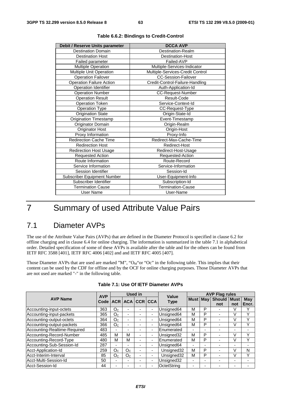| Debit / Reserve Units parameter | <b>DCCA AVP</b>                  |
|---------------------------------|----------------------------------|
| <b>Destination Domain</b>       | Destination-Realm                |
| <b>Destination Host</b>         | <b>Destination-Host</b>          |
| Failed parameter                | Failed-AVP                       |
| Multiple Operation              | Multiple-Services-Indicator      |
| Multiple Unit Operation         | Multiple-Services-Credit Control |
| <b>Operation Failover</b>       | <b>CC-Session-Failover</b>       |
| <b>Operation Failure Action</b> | Credit-Control-Failure-Handling  |
| Operation Identifier            | Auth-Application-Id              |
| <b>Operation Number</b>         | <b>CC-Request-Number</b>         |
| <b>Operation Result</b>         | Result-Code                      |
| <b>Operation Token</b>          | Service-Context-Id               |
| Operation Type                  | CC-Request-Type                  |
| <b>Origination State</b>        | Origin-State-Id                  |
| <b>Origination Timestamp</b>    | Event-Timestamp                  |
| Originator Domain               | Origin-Realm                     |
| Originator Host                 | Origin-Host                      |
| Proxy Information               | Proxy-Info                       |
| <b>Redirection Cache Time</b>   | Redirect-Max-Cache-Time          |
| <b>Redirection Host</b>         | Redirect-Host                    |
| <b>Redirection Host Usage</b>   | Redirect-Host-Usage              |
| Requested Action                | Requested-Action                 |
| Route Information               | Route-Record                     |
| Service Information             | Service-Information              |
| Session Identifier              | Session-Id                       |
| Subscriber Equipment Number     | User-Equipment-Info              |
| Subscriber Identifier           | Subscription-Id                  |
| <b>Termination Cause</b>        | <b>Termination-Cause</b>         |
| <b>User Name</b>                | User-Name                        |
|                                 |                                  |

|  |  | Table 6.6.2: Bindings to Credit-Control |
|--|--|-----------------------------------------|
|--|--|-----------------------------------------|

# 7 Summary of used Attribute Value Pairs

# 7.1 Diameter AVPs

The use of the Attribute Value Pairs (AVPs) that are defined in the Diameter Protocol is specified in clause 6.2 for offline charging and in clause 6.4 for online charging. The information is summarized in the table 7.1 in alphabetical order. Detailed specification of some of these AVPs is available after the table and for the others can be found from IETF RFC 3588 [401], IETF RFC 4006 [402] and and IETF RFC 4005 [407].

Those Diameter AVPs that are used are marked "M", " $O_M$ "or "Oc" in the following table. This implies that their content can be used by the CDF for offline and by the OCF for online charging purposes. Those Diameter AVPs that are not used are marked "-" in the following table.

|                              | <b>AVP</b> | Used in        |                          |                 |                          |                      | <b>AVP Flag rules</b>    |                          |                          |                          |                          |
|------------------------------|------------|----------------|--------------------------|-----------------|--------------------------|----------------------|--------------------------|--------------------------|--------------------------|--------------------------|--------------------------|
| <b>AVP Name</b>              | Code       |                |                          | ACR ACA CCR CCA |                          | Value<br><b>Type</b> | Must   May               |                          | <b>Should</b>            | <b>Must</b>              | May                      |
|                              |            |                |                          |                 |                          |                      |                          |                          | not                      | not                      | Encr.                    |
| Accounting-input-octets      | 363        | O <sub>C</sub> | $\blacksquare$           | -               | $\overline{\phantom{0}}$ | Unsigned64           | M                        | P                        |                          | V                        |                          |
| Accounting-input-packets     | 365        | O <sub>C</sub> | $\overline{\phantom{0}}$ | $\blacksquare$  | ۰                        | Unsigned64           | М                        | P                        |                          | V                        | v                        |
| Accounting-output-octets     | 364        | O <sub>C</sub> | $\overline{\phantom{0}}$ | -               | ۰                        | Unsigned64           | М                        | P                        | ٠                        | V                        | v                        |
| Accounting-output-packets    | 366        | O <sub>C</sub> | $\overline{\phantom{0}}$ |                 | $\overline{\phantom{0}}$ | Unsigned64           | М                        | P                        | $\overline{\phantom{0}}$ | V                        | ν                        |
| Accounting-Realtime-Required | 483        | $\blacksquare$ | -                        |                 | ۰                        | <b>IEnumerated</b>   | $\overline{\phantom{0}}$ | -                        |                          | -                        | $\overline{\phantom{0}}$ |
| Accounting-Record-Number     | 485        | М              | м                        | -               | ۰                        | Unsigned32           | М                        | P                        |                          | V                        | $\checkmark$             |
| Accounting-Record-Type       | 480        | М              | м                        |                 | ۰                        | <b>IEnumerated</b>   | М                        | P                        |                          | V                        | v                        |
| Accounting-Sub-Session-Id    | 287        | ۰              | ۰                        | -               | ٠                        | Unsigned64           | $\overline{\phantom{0}}$ | -                        |                          | $\overline{\phantom{0}}$ |                          |
| Acct-Application-Id          | 259        | O <sub>C</sub> | O <sub>C</sub>           | -               |                          | Unsigned32           | М                        | P                        |                          | V                        | N                        |
| Acct-Interim-Interval        | 85         | O <sub>C</sub> | O <sub>C</sub>           |                 | -                        | Unsigned32           | м                        | P                        |                          | V                        | v                        |
| Acct-Multi-Session-Id        | 50         | -              | ۰                        | -               | $\overline{\phantom{0}}$ | Unsigned32           | $\blacksquare$           | $\overline{\phantom{0}}$ |                          | $\overline{\phantom{0}}$ |                          |
| Acct-Session-Id              | 44         |                | -                        |                 | -                        | OctetString          | $\overline{\phantom{0}}$ |                          |                          | $\overline{\phantom{0}}$ |                          |

|  |  |  | Table 7.1: Use Of IETF Diameter AVPs |  |
|--|--|--|--------------------------------------|--|
|--|--|--|--------------------------------------|--|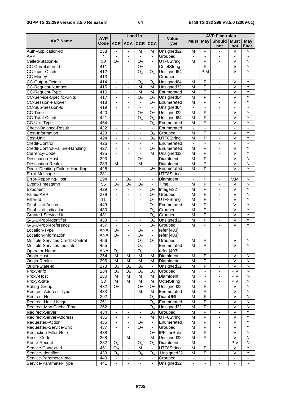### **3GPP TS 32.299 version 8.5.0 Release 8 64 ETSI TS 132 299 V8.5.0 (2009-01)**

|                                              |                    | <b>Used in</b>                           |                                  |                          |                                  | <b>AVP Flag rules</b>       |                                           |                          |                                            |                          |                          |
|----------------------------------------------|--------------------|------------------------------------------|----------------------------------|--------------------------|----------------------------------|-----------------------------|-------------------------------------------|--------------------------|--------------------------------------------|--------------------------|--------------------------|
| <b>AVP Name</b>                              | <b>AVP</b><br>Code |                                          | <b>ACR ACA</b>                   |                          | <b>CCR CCA</b>                   | <b>Value</b><br><b>Type</b> |                                           |                          | <b>Must May Should</b><br>not              | <b>Must</b><br>not       | May<br>Encr.             |
| Auth-Application-Id                          | 258                | $\blacksquare$                           | $\blacksquare$                   | M                        | M                                | Unsigned32                  | M                                         | P                        | $\blacksquare$                             | $\vee$                   | N                        |
| <b>AVP</b>                                   | $\star$            | L,                                       | $\blacksquare$                   | ä,                       | $\blacksquare$                   | Grouped                     | ÷                                         | $\blacksquare$           | $\overline{\phantom{a}}$                   | $\overline{\phantom{a}}$ | ä,                       |
| Called-Station-Id                            | 30                 | O <sub>C</sub>                           | $\overline{\phantom{a}}$         | O <sub>C</sub>           | $\overline{\phantom{a}}$         | UTF8String                  | M                                         | P                        | $\overline{\phantom{a}}$                   | V                        | N                        |
| CC-Correlation-Id                            | 411                | $\blacksquare$                           | $\overline{\phantom{a}}$         | O <sub>C</sub>           | $\overline{\phantom{a}}$         | OctetString                 | ٠                                         | $\overline{\mathsf{P}}$  | ä,                                         | $\overline{\vee}$        | Ÿ                        |
| CC-Input-Octets                              | 412                | ä,                                       | $\blacksquare$                   | O <sub>C</sub>           | O <sub>c</sub>                   | Unsigned64                  | $\overline{\phantom{a}}$                  | P,M                      | ä,                                         | $\overline{\mathsf{v}}$  | Ÿ                        |
| CC-Money                                     | 413                | ä,                                       |                                  |                          | $\overline{\phantom{a}}$         | Grouped                     | ÷,                                        |                          | $\blacksquare$                             | ä,                       | $\overline{a}$           |
| <b>CC-Output-Octets</b>                      | 414                | $\overline{\phantom{a}}$                 | $\overline{\phantom{a}}$         | O <sub>C</sub>           | $\overline{O}_C$                 | Unsigned64                  | M                                         | P                        | $\blacksquare$                             | V                        | Y                        |
| CC-Request-Number                            | 415                | $\qquad \qquad \blacksquare$             | $\overline{\phantom{a}}$         | M                        | м                                | Unsigned32                  | M                                         | P                        | $\overline{\phantom{a}}$                   | $\vee$                   | Υ                        |
| CC-Request-Type                              | 416                | $\blacksquare$                           | $\blacksquare$                   | M                        | M                                | Enumerated                  | $\overline{\mathsf{M}}$                   | $\overline{P}$           | ÷,                                         | $\overline{\vee}$        | Ÿ                        |
| <b>CC-Service-Specific-Units</b>             | 417                | $\overline{\phantom{a}}$                 | $\blacksquare$                   | O <sub>C</sub>           | O <sub>C</sub>                   | Unsigned64                  | $\overline{M}$                            | $\overline{P}$           | $\blacksquare$                             | $\overline{\vee}$        | Ÿ                        |
| <b>CC-Session-Failover</b>                   | 418                | $\blacksquare$                           | $\overline{\phantom{a}}$         |                          | O <sub>C</sub>                   | Enumerated                  | M                                         | P                        | ä,                                         | $\vee$                   | Y                        |
| CC-Sub-Session-Id                            | 419                | ä,                                       | $\blacksquare$                   | ÷,                       | $\blacksquare$                   | Unsigned64                  | $\overline{\phantom{a}}$                  | $\overline{a}$           | $\blacksquare$                             | ä,                       | ÷.                       |
| CC-Time                                      | 420                | $\blacksquare$                           | $\overline{\phantom{a}}$         | O <sub>C</sub>           | O <sub>C</sub>                   | Unsigned32                  | M                                         | P                        | $\overline{\phantom{a}}$                   | V                        | Υ                        |
| <b>CC-Total-Octets</b>                       | 421                |                                          |                                  | O <sub>c</sub>           | O <sub>C</sub>                   | Unsigned64                  | M                                         | P                        |                                            | $\overline{\vee}$        | $\overline{Y}$           |
| CC-Unit-Type                                 | 454                | $\blacksquare$                           | $\overline{\phantom{a}}$         | $\blacksquare$           | O <sub>C</sub>                   | Enumerated                  | M                                         | $\overline{\mathsf{P}}$  | $\blacksquare$                             | $\overline{\vee}$        | Ÿ                        |
| Check-Balance-Result                         | 422                | $\blacksquare$                           | $\overline{\phantom{a}}$         | $\overline{\phantom{0}}$ |                                  | Enumerated                  |                                           |                          | ä,                                         | ä,                       |                          |
| Cost-Information                             | 423                | $\blacksquare$                           | $\blacksquare$                   | $\blacksquare$           | O <sub>C</sub>                   | Grouped                     | $\overline{\mathsf{M}}$                   | $\overline{P}$           | $\blacksquare$                             | $\overline{\vee}$        | Ÿ                        |
| Cost-Unit<br>Credit-Control                  | 424<br>426         | $\overline{\phantom{a}}$                 | $\overline{\phantom{a}}$         | $\overline{\phantom{a}}$ | O <sub>c</sub>                   | UTF8String                  | M                                         | P                        | $\overline{\phantom{a}}$                   | V                        | Y                        |
|                                              | 427                |                                          |                                  | $\overline{\phantom{m}}$ | $\overline{\phantom{a}}$         | Enumerated                  | L,                                        | $\blacksquare$<br>P      | ä,                                         | ä,<br>$\overline{\vee}$  | ä,<br>Ÿ                  |
| Credit-Control-Failure-Handling              |                    | $\overline{a}$                           | $\blacksquare$                   | $\overline{\phantom{a}}$ | O <sub>C</sub>                   | Enumerated                  | M                                         | $\overline{\mathsf{P}}$  | $\blacksquare$                             | $\overline{\vee}$        | Ÿ                        |
| Currency-Code                                | 425<br>293         | $\overline{\phantom{a}}$<br>$\mathbf{r}$ | $\overline{\phantom{a}}$         |                          | м                                | Unsigned32                  | $\overline{\mathsf{M}}$<br>$\overline{M}$ | $\overline{\mathsf{P}}$  | $\blacksquare$<br>÷.                       | $\overline{\mathsf{v}}$  | $\overline{\mathsf{N}}$  |
| <b>Destination-Host</b><br>Destination-Realm | 283                | M                                        | $\blacksquare$<br>$\blacksquare$ | O <sub>C</sub><br>M      | $\blacksquare$<br>$\blacksquare$ | DiamIdent<br>DiamIdent      | M                                         | P                        |                                            | $\overline{\mathsf{v}}$  | $\overline{N}$           |
| Direct-Debiting-Failure-Handling             | 428                |                                          |                                  |                          | O <sub>C</sub>                   | Enumerated                  | M                                         | P                        | $\overline{\phantom{a}}$<br>$\blacksquare$ | V                        | Υ                        |
| Error-Message                                | 281                | $\overline{a}$                           | $\blacksquare$                   | $\overline{\phantom{m}}$ | $\overline{\phantom{a}}$         | UTF8String                  | ٠                                         | $\blacksquare$           | $\overline{\phantom{a}}$                   | $\blacksquare$           | $\blacksquare$           |
| Error-Reporting-Host                         | 294                | $\blacksquare$                           | O <sub>C</sub>                   | $\overline{\phantom{a}}$ | $\blacksquare$                   | DiamIdent                   | $\overline{a}$                            | $\overline{P}$           | ä,                                         | V, M                     | N                        |
| Event-Timestamp                              | $\overline{55}$    | O <sub>C</sub>                           | O <sub>C</sub>                   | O <sub>C</sub>           | $\blacksquare$                   | Time                        | M                                         | $\overline{\mathsf{P}}$  | ÷.                                         | $\vee$                   | $\overline{\mathsf{N}}$  |
| Exponent                                     | 429                | $\blacksquare$                           | $\blacksquare$                   | $\blacksquare$           | O <sub>c</sub>                   | Integer32                   | M                                         | $\overline{P}$           | $\blacksquare$                             | $\overline{\mathsf{v}}$  | Y                        |
| Failed-AVP                                   | 279                | $\qquad \qquad \blacksquare$             | $\overline{\phantom{a}}$         | $\overline{\phantom{0}}$ | O <sub>C</sub>                   | Grouped                     | $\overline{\mathsf{M}}$                   | P                        | $\overline{\phantom{a}}$                   | V                        | $\overline{N}$           |
| Filter-Id                                    | 11                 | $\overline{\phantom{a}}$                 | $\blacksquare$                   | $\overline{\phantom{m}}$ | O <sub>C</sub>                   | UTF8String                  | M                                         | $\overline{P}$           | $\blacksquare$                             | $\overline{\vee}$        | $\overline{Y}$           |
| Final-Unit-Action                            | 449                | $\blacksquare$                           | $\blacksquare$                   | ä,                       | O <sub>C</sub>                   | Enumerated                  | M                                         | P                        | ä,                                         | $\overline{\vee}$        | $\overline{Y}$           |
| Final-Unit-Indication                        | 430                | ÷,                                       | ä,                               | $\frac{1}{2}$            | O <sub>c</sub>                   | Grouped                     | $\overline{M}$                            | $\overline{\mathsf{P}}$  | L.                                         | $\overline{\vee}$        | Ÿ                        |
| Granted-Service-Unit                         | 431                | $\blacksquare$                           | $\overline{\phantom{a}}$         | $\blacksquare$           | O <sub>C</sub>                   | Grouped                     | $\overline{M}$                            | P                        | $\blacksquare$                             | $\overline{\mathsf{v}}$  | Ÿ                        |
| G-S-U-Pool-Identifier                        | 453                | $\qquad \qquad \blacksquare$             | $\overline{\phantom{a}}$         | $\overline{\phantom{0}}$ | O <sub>C</sub>                   | Unsigned32                  | $\overline{M}$                            | P                        | $\overline{\phantom{a}}$                   | V                        | Υ                        |
| G-S-U-Pool-Reference                         | 457                | $\blacksquare$                           | $\blacksquare$                   | $\blacksquare$           | O <sub>c</sub>                   | Grouped                     | M                                         | $\overline{P}$           | ÷,                                         | $\overline{\vee}$        | Ÿ                        |
| Location-Type                                | <b>IANA</b>        | O <sub>c</sub>                           | $\blacksquare$                   | O <sub>C</sub>           | $\blacksquare$                   | refer [403]                 |                                           |                          |                                            |                          |                          |
| Location-Information                         | <b>IANA</b>        | O <sub>C</sub>                           | $\overline{\phantom{a}}$         | O <sub>C</sub>           | $\overline{\phantom{a}}$         | refer [403]                 |                                           |                          |                                            |                          |                          |
| Multiple-Services-Credit-Control             | 456                | ÷,                                       | $\overline{a}$                   | O <sub>C</sub>           | O <sub>C</sub>                   | Grouped                     | $\overline{M}$                            | $\overline{P}$           | $\blacksquare$                             | $\overline{\mathsf{v}}$  | Ÿ                        |
| Multiple-Services-Indicator                  | 455                | $\overline{\phantom{a}}$                 | $\overline{\phantom{a}}$         | $O_{M}$                  | $\overline{\phantom{a}}$         | Enumerated                  | M                                         | P                        | $\blacksquare$                             | V                        | Υ                        |
| Operator-Name                                | <b>IANA</b>        | O <sub>C</sub>                           | $\overline{\phantom{a}}$         | O <sub>C</sub>           |                                  | refer [403]                 |                                           |                          |                                            |                          |                          |
| Origin-Host                                  | 264                | M                                        | M                                | M                        | M                                | DiamIdent                   | M                                         | $\mathsf{P}$             | $\overline{\phantom{a}}$                   | V                        | N                        |
| Origin-Realm                                 | 296                | M                                        | M                                | M                        | м                                | DiamIdent                   | M                                         | $\overline{P}$           | $\blacksquare$                             | $\overline{\vee}$        | ${\sf N}$                |
| Origin-State-Id                              | 278                | O <sub>C</sub>                           | O <sub>C</sub>                   | O <sub>C</sub>           | $\blacksquare$                   | Unsigned32                  | M                                         | $\overline{P}$           | ÷.                                         | $\vee$                   | $\mathsf{N}$             |
| Proxy-Info                                   | 284                | O <sub>C</sub>                           | O <sub>C</sub>                   | O <sub>C</sub>           | O <sub>C</sub>                   | Grouped                     | M                                         | $\overline{\phantom{a}}$ | $\blacksquare$                             | $\overline{P.V}$         | ${\sf N}$                |
| Proxy-Host                                   | 280                | м                                        | М                                | M                        | м                                | DiamIdent                   | M                                         | $\overline{\phantom{a}}$ | -                                          | P, V                     | N                        |
| Proxy-State                                  | 33                 | M                                        | M                                | M                        | M                                | OctetString                 | M                                         | $\overline{\phantom{a}}$ | $\overline{\phantom{a}}$                   | P, V                     | ${\sf N}$                |
| Rating-Group                                 | 432                | O <sub>C</sub>                           |                                  | O <sub>C</sub>           | O <sub>C</sub>                   | Unsigned32                  | M                                         | $\overline{P}$           |                                            | V                        | Y                        |
| Redirect-Address-Type                        | 433                | $\blacksquare$                           | ÷,                               | M                        | м                                | Enumerated                  | M                                         | P                        | $\Box$                                     | $\vee$                   | Y                        |
| Redirect-Host                                | 292                | $\qquad \qquad \blacksquare$             | $\overline{\phantom{a}}$         | $\blacksquare$           | O <sub>C</sub>                   | <b>DiamURI</b>              | M                                         | $\overline{P}$           | $\overline{\phantom{a}}$                   | $\overline{\vee}$        | ${\sf N}$                |
| Redirect-Host-Usage                          | 261                | $\qquad \qquad \blacksquare$             | $\overline{\phantom{a}}$         | $\overline{\phantom{0}}$ | O <sub>C</sub>                   | Enumerated                  | M                                         | $\overline{P}$           | $\overline{\phantom{a}}$                   | V                        | N                        |
| Redirect-Max-Cache-Time                      | 262                | $\overline{\phantom{0}}$                 | $\overline{\phantom{a}}$         | $\overline{\phantom{a}}$ | O <sub>C</sub>                   | Unsigned32                  | M                                         | $\overline{P}$           | $\overline{\phantom{a}}$                   | $\overline{\mathsf{V}}$  | $\overline{N}$           |
| Redirect-Server                              | 434                | $\overline{\phantom{a}}$                 | $\overline{\phantom{a}}$         | $\overline{\phantom{a}}$ | O <sub>C</sub>                   | Grouped                     | M                                         | $\overline{P}$           | ä,                                         | $\overline{\mathsf{v}}$  | Ÿ                        |
| Redirect-Server-Address                      | 435                |                                          | $\blacksquare$                   | L.                       | м                                | UTF8String                  | $\overline{M}$                            | $\overline{P}$           | ÷.                                         | $\overline{\mathsf{V}}$  | Ÿ                        |
| Requested-Action                             | 436                | $\blacksquare$                           | $\overline{\phantom{a}}$         | O <sub>c</sub>           | $\blacksquare$                   | Enumerated                  | M                                         | $\overline{P}$           | $\blacksquare$                             | $\overline{\vee}$        | Y                        |
| Requested-Service-Unit                       | 437                | ۰.                                       | ۰                                | O <sub>C</sub>           | $\blacksquare$                   | Grouped                     | M                                         | $\overline{P}$           | ۰                                          | V                        | Υ                        |
| Restriction-Filter-Rule                      | 438                | $\qquad \qquad \blacksquare$             | $\blacksquare$                   | $\blacksquare$           | O <sub>C</sub>                   | <b>IPFilterRule</b>         | M                                         | P                        | $\blacksquare$                             | $\overline{\mathsf{v}}$  | Ÿ                        |
| Result-Code                                  | 268                | $\overline{\phantom{a}}$                 | M                                | $\frac{1}{2}$            | м                                | Unsigned32                  | M                                         | $\overline{P}$           | $\blacksquare$                             | $\overline{\vee}$        | $\overline{N}$           |
| Route-Record                                 | 282                | O <sub>C</sub>                           |                                  | O <sub>C</sub>           | O <sub>C</sub>                   | DiamIdent                   | M                                         |                          | $\overline{a}$                             | $\overline{P,V}$         | $\mathsf{N}$             |
| Service-Context-Id                           | 461                | O <sub>M</sub>                           | $\blacksquare$                   | M                        | $\blacksquare$                   | UTF8String                  | $\overline{M}$                            | $\overline{P}$           | ÷,                                         | V                        | Y                        |
| Service-Identifier                           | 439                | O <sub>C</sub>                           | $\overline{\phantom{a}}$         | O <sub>C</sub>           | O <sub>C</sub>                   | Unsigned32                  | M                                         | $\overline{P}$           | $\blacksquare$                             | V                        | Υ                        |
| Service-Parameter-Info                       | 440                |                                          | $\overline{\phantom{a}}$         | $\blacksquare$           | $\overline{\phantom{a}}$         | Grouped                     | ÷                                         |                          | $\blacksquare$                             | $\overline{\phantom{a}}$ |                          |
| Service-Parameter-Type                       | 441                |                                          | $\overline{\phantom{a}}$         |                          |                                  | Unsigned32                  | ٠                                         |                          | $\qquad \qquad \blacksquare$               | $\overline{\phantom{a}}$ | $\overline{\phantom{a}}$ |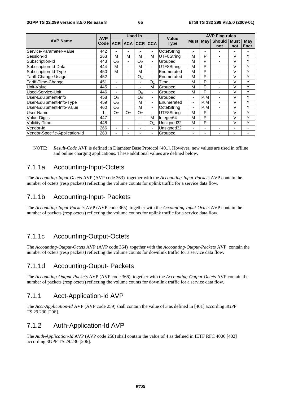|                                | <b>AVP</b>        | Used in<br>Value |                          |                          |                          |                       | <b>AVP Flag rules</b>    |                          |                |                |                |  |  |
|--------------------------------|-------------------|------------------|--------------------------|--------------------------|--------------------------|-----------------------|--------------------------|--------------------------|----------------|----------------|----------------|--|--|
| <b>AVP Name</b>                | Code <sup>l</sup> |                  |                          | ACR ACA CCR CCA          |                          | Type                  | <b>Must May</b>          |                          | <b>Should</b>  | <b>Must</b>    | May            |  |  |
|                                |                   |                  |                          |                          |                          |                       |                          |                          | not            | not            | Encr.          |  |  |
| Service-Parameter-Value        | 442               | $\blacksquare$   | -                        |                          | ٠                        | OctetString           |                          | -                        | $\blacksquare$ |                |                |  |  |
| Session-Id                     | 263               | М                | м                        | М                        | М                        | UTF8String            | M                        | P                        | ٠              | V              | Υ              |  |  |
| Subscription-Id                | 443               | $O_{M}$          | ٠                        | $O_{M}$                  | ٠                        | Grouped               | M                        | P                        | ÷              | V              | Υ              |  |  |
| Subscription-Id-Data           | 444               | М                | $\blacksquare$           | м                        | ٠                        | UTF8Strina            | М                        | P                        | ٠              | V              | Υ              |  |  |
| Subscription-Id-Type           | 450               | M                | -                        | м                        | ٠                        | Enumerated            | М                        | P                        | ٠              | V              | Υ              |  |  |
| Tariff-Change-Usage            | 452               | $\blacksquare$   | ٠                        | O <sub>C</sub>           | ۰                        | Enumerated            | M                        | P                        | L,             | V              | Υ              |  |  |
| Tariff-Time-Change             | 451               | $\blacksquare$   |                          | $\overline{\phantom{0}}$ | O <sub>C</sub>           | Time                  | M                        | P                        | $\blacksquare$ | V              | Υ              |  |  |
| Unit-Value                     | 445               | $\blacksquare$   |                          | $\overline{\phantom{a}}$ | М                        | Grouped               | M                        | P                        |                | V              | Υ              |  |  |
| Used-Service-Unit              | 446               | $\blacksquare$   |                          | O <sub>C</sub>           | ٠                        | Grouped               | М                        | P                        | $\blacksquare$ | v              | Υ              |  |  |
| User-Equipment-Info            | 458               | O <sub>C</sub>   |                          | O <sub>C</sub>           | ٠                        | Grouped               | $\blacksquare$           | P,M                      | $\blacksquare$ | ٧              | Υ              |  |  |
| User-Equipment-Info-Type       | 459               | Oм               |                          | м                        | $\blacksquare$           | Enumerated            | $\blacksquare$           | P,M                      | $\blacksquare$ | V              | v              |  |  |
| User-Equipment-Info-Value      | 460               | $O_M$            |                          | М                        | $\overline{\phantom{a}}$ | OctetString           | $\blacksquare$           | P,M                      | -              | V              | ٧              |  |  |
| User-Name                      |                   | O <sub>C</sub>   | O <sub>C</sub>           | O <sub>C</sub>           | $\blacksquare$           | UTF8String            | М                        | P                        |                | V              | Υ              |  |  |
| Value-Digits                   | 447               | $\blacksquare$   | -                        | $\overline{\phantom{a}}$ | M                        | Integer <sub>64</sub> | M                        | P                        | ٠              | V              | Υ              |  |  |
| Validity-Time                  | 448               | $\blacksquare$   | $\overline{\phantom{0}}$ | $\blacksquare$           | O <sub>C</sub>           | Unsigned32            | M                        | P                        | -              | V              | Υ              |  |  |
| Vendor-Id                      | 266               | $\blacksquare$   | -                        | $\blacksquare$           | ٠                        | Unsigned32            | $\blacksquare$           | $\overline{\phantom{0}}$ | $\blacksquare$ | $\blacksquare$ | $\blacksquare$ |  |  |
| Vendor-Specific-Application-Id | 260               | ۰                | -                        |                          | $\blacksquare$           | Grouped               | $\overline{\phantom{a}}$ | ۰                        | ۰              | -              |                |  |  |

NOTE: *Result-Code* AVP is defined in Diameter Base Protocol [401]. However, new values are used in offline and online charging applications. These additional values are defined below.

# 7.1.1a Accounting-Input-Octets

The *Accounting-Input-Octets* AVP (AVP code 363) together with the *Accounting-Input-Packets* AVP contain the number of octets (resp packets) reflecting the volume counts for uplink traffic for a service data flow.

# 7.1.1b Accounting-Input- Packets

The *Accounting-Input-Packets* AVP (AVP code 365) together with the *Accounting-Input-Octets* AVP contain the number of packets (resp octets) reflecting the volume counts for uplink traffic for a service data flow.

# 7.1.1c Accounting-Output-Octets

The *Accounting-Output-Octets* AVP (AVP code 364) together with the *Accounting-Output-Packets* AVP contain the number of octets (resp packets) reflecting the volume counts for downlink traffic for a service data flow.

# 7.1.1d Accounting-Ouput- Packets

The *Accounting-Output-Packets* AVP (AVP code 366) together with the *Accounting-Output-Octets* AVP contain the number of packets (resp octets) reflecting the volume counts for downlink traffic for a service data flow.

# 7.1.1 Acct-Application-Id AVP

The *Acct-Application-Id* AVP (AVP code 259) shall contain the value of 3 as defined in [401] according 3GPP TS 29.230 [206].

# 7.1.2 Auth-Application-Id AVP

The *Auth-Application-Id* AVP (AVP code 258) shall contain the value of 4 as defined in IETF RFC 4006 [402] according 3GPP TS 29.230 [206].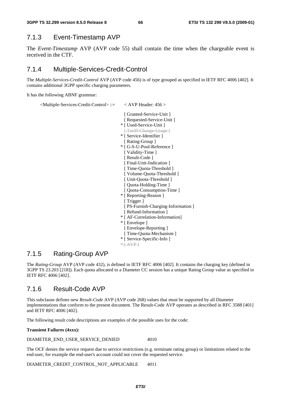# 7.1.3 Event-Timestamp AVP

The *Event-Timestamp* AVP (AVP code 55) shall contain the time when the chargeable event is received in the CTF.

# 7.1.4 Multiple-Services-Credit-Control

The *Multiple-Services-Credit-Control* AVP (AVP code 456) is of type grouped as specified in IETF RFC 4006 [402]. It contains additional 3GPP specific charging parameters.

It has the following ABNF grammar:

```
 <Multiple-Services-Credit-Control> ::= < AVP Header: 456 >
```

```
 [ Granted-Service-Unit ] 
 [ Requested-Service-Unit ]
* [ Used-Service-Unit ] 
   [ Tariff-Change-Usage ] 
* [ Service-Identifier ] 
 [ Rating-Group ]
* [ G-S-U-Pool-Reference ]
 [ Validity-Time ]
 [ Result-Code ]
 [ Final-Unit-Indication ]
 [ Time-Quota-Threshold ]
  [ Volume-Quota-Threshold ] 
  [ Unit-Quota-Threshold ] 
   [ Quota-Holding-Time ] 
   [ Quota-Consumption-Time ] 
* [ Reporting-Reason ] 
 [ Trigger ]
 [ PS-Furnish-Charging-Information ]
 [ Refund-Information ]
* [ AF-Correlation-Information] 
* [ Envelope ] 
  [ Envelope-Reporting ] 
 [ Time-Quota-Mechanism ]
* [ Service-Specific-Info ] 
* AVP
```
# 7.1.5 Rating-Group AVP

The *Rating-Group* AVP (AVP code 432), is defined in IETF RFC 4006 [402]. It contains the charging key (defined in 3GPP TS 23.203 [218]). Each quota allocated to a Diameter CC session has a unique Rating Group value as specified in IETF RFC 4006 [402].

# 7.1.6 Result-Code AVP

This subclause defines new *Result-Code* AVP (AVP code 268) values that must be supported by all Diameter implementations that conform to the present document. The Result-Code AVP operates as described in RFC 3588 [401] and IETF RFC 4006 [402].

The following result code descriptions are examples of the possible uses for the code:

**Transient Failures (4xxx):** 

DIAMETER\_END\_USER\_SERVICE\_DENIED 4010

The OCF denies the service request due to service restrictions (e.g. terminate rating group) or limitations related to the end-user, for example the end-user's account could not cover the requested service.

DIAMETER\_CREDIT\_CONTROL\_NOT\_APPLICABLE 4011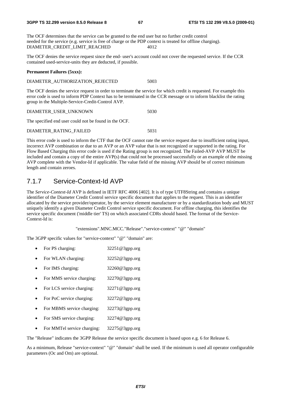The OCF determines that the service can be granted to the end user but no further credit control needed for the service (e.g. service is free of charge or the PDP context is treated for offline charging).<br>DIAMETER CREDIT LIMIT REACHED 4012 DIAMETER\_CREDIT\_LIMIT\_REACHED

The OCF denies the service request since the end- user's account could not cover the requested service. If the CCR contained used-service-units they are deducted, if possible.

#### **Permanent Failures (5xxx):**

#### DIAMETER\_AUTHORIZATION\_REJECTED 5003

The OCF denies the service request in order to terminate the service for which credit is requested. For example this error code is used to inform PDP Context has to be terminated in the CCR message or to inform blacklist the rating group in the Multiple-Service-Credit-Control AVP.

| DIAMETER USER UNKNOWN |  |  |
|-----------------------|--|--|
|-----------------------|--|--|

The specified end user could not be found in the OCF.

#### DIAMETER\_RATING\_FAILED 5031

This error code is used to inform the CTF that the OCF cannot rate the service request due to insufficient rating input, incorrect AVP combination or due to an AVP or an AVP value that is not recognized or supported in the rating. For Flow Based Charging this error code is used if the Rating group is not recognized. The Failed-AVP AVP MUST be included and contain a copy of the entire AVP(s) that could not be processed successfully or an example of the missing AVP complete with the Vendor-Id if applicable. The value field of the missing AVP should be of correct minimum length and contain zeroes.

## 7.1.7 Service-Context-Id AVP

The *Service-Context-Id* AVP is defined in IETF RFC 4006 [402]. It is of type UTF8String and contains a unique identifier of the Diameter Credit Control service specific document that applies to the request. This is an identifier allocated by the service provider/operator, by the service element manufacturer or by a standardization body and MUST uniquely identify a given Diameter Credit Control service specific document. For offline charging, this identifies the service specific document ('middle tier' TS) on which associated CDRs should based. The format of the Service-Context-Id is:

"extensions".MNC.MCC."Release"."service-context" "@" "domain"

The 3GPP specific values for "service-context" "@" "domain" are:

- For PS charging: 32251@3gpp.org
- For WLAN charging: 32252@3gpp.org
- For IMS charging: 32260@3gpp.org
- For MMS service charging: 32270@3gpp.org
- For LCS service charging: 32271@3gpp.org
- For PoC service charging: 32272@3gpp.org
- For MBMS service charging: 32273@3gpp.org
- For SMS service charging: 32274@3gpp.org
- For MMTel service charging: 32275@3gpp.org

The "Release" indicates the 3GPP Release the service specific document is based upon e.g. 6 for Release 6.

As a minimum, Release "service-context" "@" "domain" shall be used. If the minimum is used all operator configurable parameters (Oc and Om) are optional.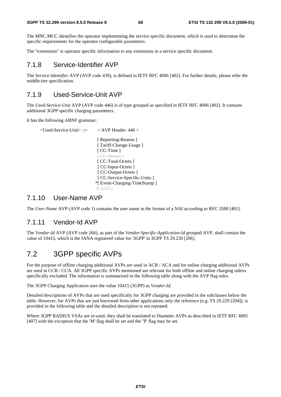The MNC.MCC identifies the operator implementing the service specific document, which is used to determine the specific requirements for the operator configurable parameters.

The "extensions" is operator specific information to any extensions in a service specific document.

### 7.1.8 Service-Identifier AVP

The *Service-Identifier* AVP (AVP code 439), is defined in IETF RFC 4006 [402]. For further details, please refer the middle-tier specification.

# 7.1.9 Used-Service-Unit AVP

The *Used-Service-Unit* AVP (AVP code 446) is of type grouped as specified in IETF RFC 4006 [402]. It contains additional 3GPP specific charging parameters.

It has the following ABNF grammar:

```
\langleUsed-Service-Unit\rangle ::= \langle AVP Header: 446 \rangle [ Reporting-Reason ] 
                              [ Tariff-Change-Usage ]
                              [ CC-Time ]
                              [ CC Money ]
                              [ CC-Total-Octets ]
                              [ CC-Input-Octets ]
                              [ CC-Output-Octets ]
                              [ CC-Service-Specific-Units ]
                              *[ Event-Charging-TimeStamp ] 
                             *AVP
```
### 7.1.10 User-Name AVP

The *User-Name* AVP (AVP code 1) contains the user name in the format of a NAI according to RFC 3588 [401].

# 7.1.11 Vendor-Id AVP

The *Vendor-Id* AVP (AVP code 266), as part of the *Vendor-Specific-Application-Id* grouped AVP, shall contain the value of 10415, which is the IANA registered value for '3GPP' in 3GPP TS 29.230 [206].

# 7.2 3GPP specific AVPs

For the purpose of offline charging additional AVPs are used in ACR / ACA and for online charging additional AVPs are used in CCR / CCA. All 3GPP specific AVPs mentioned are relevant for both offline and online charging unless specifically excluded. The information is summarized in the following table along with the AVP flag rules.

The 3GPP Charging Application uses the value 10415 (3GPP) as *Vendor-Id.*

Detailed descriptions of AVPs that are used specifically for 3GPP charging are provided in the subclauses below the table. However, for AVPs that are just borrowed from other applications only the reference (e.g. TS 29.229 [204]), is provided in the following table and the detailed description is not repeated.

Where 3GPP RADIUS VSAs are re-used, they shall be translated to Diameter AVPs as described in IETF RFC 4005 [407] with the exception that the 'M' flag shall be set and the ''P' flag may be set.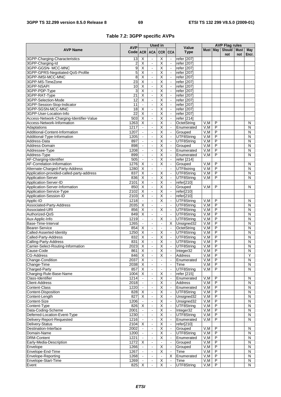|  |  |  | Table 7.2: 3GPP specific AVPs |  |
|--|--|--|-------------------------------|--|
|--|--|--|-------------------------------|--|

|                                                  |                       | <b>Used in</b><br><b>AVP</b>              |                                  |                                           |                                | Value                      | <b>AVP Flag rules</b> |                         |               |                    |                         |
|--------------------------------------------------|-----------------------|-------------------------------------------|----------------------------------|-------------------------------------------|--------------------------------|----------------------------|-----------------------|-------------------------|---------------|--------------------|-------------------------|
| <b>AVP Name</b>                                  | Code ACR              |                                           |                                  | ACA CCR CCA                               |                                | <b>Type</b>                | Must May              |                         | Should<br>not | <b>Must</b><br>not | <b>May</b><br>Encr.     |
| 3GPP-Charging-Characteristics                    | 13                    | X                                         | $\blacksquare$                   | X                                         | $\omega$                       | refer [207]                |                       |                         |               |                    |                         |
| 3GPP-Charging-Id                                 | 2                     | X                                         | $\blacksquare$                   | $\overline{\mathsf{X}}$                   | $\blacksquare$                 | refer [207]                |                       |                         |               |                    |                         |
| 3GPP-GGSN-MCC-MNC                                | 9                     | $\overline{\mathsf{x}}$                   | $\blacksquare$                   | $\overline{\mathsf{x}}$                   | $\mathbf{u}$                   | refer [207]                |                       |                         |               |                    |                         |
| 3GPP-GPRS-Negotiated-QoS-Profile                 | 5                     | $\overline{\mathsf{X}}$                   | $\Box$                           | $\overline{\mathsf{X}}$                   | $\mathbf{r}$                   | refer [207]                |                       |                         |               |                    |                         |
| 3GPP-IMSI-MCC-MNC                                | 8                     | X                                         | $\Box$                           | $\overline{\mathsf{X}}$                   | $\mathbf{u}$                   | refer [207]                |                       |                         |               |                    |                         |
| 3GPP-MS-TimeZone                                 | $\overline{23}$       | $\overline{\mathsf{x}}$                   | $\Box$                           | Χ                                         | $\mathbf{r}$                   | refer [207]                |                       |                         |               |                    |                         |
| 3GPP-NSAPI                                       | 10                    | $\overline{\mathsf{X}}$                   | $\blacksquare$                   | Χ                                         | $\overline{\phantom{a}}$       | refer [207]                |                       |                         |               |                    |                         |
| 3GPP-PDP-Type                                    | 3                     | $\overline{\mathsf{X}}$                   | $\blacksquare$                   | Χ                                         | $\mathbf{u}$<br>$\mathbf{r}$   | refer [207]                |                       |                         |               |                    |                         |
| 3GPP-RAT-Type                                    | $\overline{21}$       | Χ                                         | ä,<br>$\overline{\phantom{a}}$   | Χ                                         | $\mathcal{L}$                  | refer [207]                |                       |                         |               |                    |                         |
| 3GPP-Selection-Mode                              | $\overline{12}$<br>11 | $\overline{\mathsf{X}}$<br>$\Box$         | $\blacksquare$                   | Χ<br>$\overline{\mathsf{X}}$              | $\blacksquare$                 | refer [207]                |                       |                         |               |                    |                         |
| 3GPP-Session-Stop-Indicator<br>3GPP-SGSN-MCC-MNC | 18                    | $\overline{\mathsf{X}}$                   | $\blacksquare$                   | Χ                                         | $\mathbf{r}$                   | refer [207]<br>refer [207] |                       |                         |               |                    |                         |
| 3GPP-User-Location-Info                          | $\overline{22}$       | $\overline{\mathsf{x}}$                   | $\overline{\phantom{a}}$         | Χ                                         | $\mathbf{r}$                   | refer [207]                |                       |                         |               |                    |                         |
| Access-Network-Charging-Identifier-Value         | 503                   | $\overline{\mathsf{x}}$                   | $\overline{\phantom{a}}$         | $\overline{\mathsf{x}}$                   | $\mathbf{u}$                   | refer [214]                |                       |                         |               |                    |                         |
| Access-Network-Information                       | 1263                  | $\overline{\mathsf{x}}$                   | $\Box$                           | χ                                         | $\omega$                       | OctetString                | V,M                   | P                       |               |                    | N                       |
| Adaptations                                      | 1217                  | $\Box$                                    | $\blacksquare$                   | Χ                                         | $\mathbf{u}$                   | Enumerated                 | V, M                  | $\overline{\mathsf{P}}$ |               |                    | $\mathsf{N}$            |
| Additional-Content-Information                   | 1207                  | $\omega$                                  | $\Box$                           | $\overline{\mathsf{X}}$                   | $\omega$                       | Grouped                    | V, M                  | P                       |               |                    | $\mathsf{N}$            |
| Additional-Type-Information                      | 1205                  | $\blacksquare$                            | $\blacksquare$                   | $\overline{\mathsf{x}}$                   | $\blacksquare$                 | UTF8String                 | V, M                  | $\overline{P}$          |               |                    | N                       |
| Address-Data                                     | 897                   | ä,                                        | $\Box$                           | $\overline{\mathsf{x}}$                   | $\mathbf{r}$                   | UTF8String                 | V, M                  | $\overline{P}$          |               |                    | $\overline{N}$          |
| Address-Domain                                   | 898                   | $\blacksquare$                            | $\blacksquare$                   | $\overline{\mathsf{X}}$                   | $\blacksquare$                 | Grouped                    | V, M                  | $\overline{P}$          |               |                    | N                       |
| Addressee-Type                                   | 1208                  | $\blacksquare$                            | $\blacksquare$                   | Χ                                         | $\mathbf{u}$                   | Enumerated                 | V, M                  | $\overline{P}$          |               |                    | $\overline{N}$          |
| Address-Type                                     | 899                   | $\blacksquare$                            | $\Box$                           | $\overline{\mathsf{x}}$                   | $\mathbf{r}$                   | Enumerated                 | V, M                  | P                       |               |                    | $\overline{N}$          |
| AF-Charging-Identifier                           | 505                   | $\blacksquare$                            | $\blacksquare$                   | $\overline{\mathsf{x}}$                   | $\blacksquare$                 | refer [214]                |                       |                         |               |                    |                         |
| AF-Correlation-Information                       | 1276                  | $\overline{\mathsf{x}}$                   | $\blacksquare$                   | $\overline{\mathsf{x}}$                   | $\blacksquare$                 | Grouped                    | V, M                  | P                       |               |                    | N                       |
| Alternate-Charged-Party-Address                  | 1280                  | $\overline{\mathsf{X}}$                   | ÷,                               | $\Box$                                    | $\Box$                         | UTF8string                 | V.M                   | P                       |               |                    | $\overline{N}$          |
| Application-provided-called-party-address        | 837                   | $\overline{X}$                            | $\overline{\phantom{a}}$         | $\overline{\mathsf{x}}$                   | $\mathbf{r}$                   | UTF8String                 | V, M                  | P                       |               |                    | $\mathsf{N}$            |
| Application-Server                               | 836                   | $\overline{X}$                            | $\overline{\phantom{a}}$         | $\overline{X}$                            | $\mathbf{r}$                   | UTF8String                 | V.M                   | $\overline{P}$          |               |                    | N                       |
| Application-Server-ID                            | 2101                  | $\overline{\mathsf{X}}$                   | $\Box$                           | $\overline{\mathsf{X}}$                   | $\blacksquare$                 | refer[210]                 |                       |                         |               |                    |                         |
| Application-Server-Information                   | 850                   | $\overline{\mathsf{X}}$                   | $\blacksquare$                   | $\overline{\mathsf{X}}$                   | $\blacksquare$                 | Grouped                    | V,M                   | P                       |               |                    | N                       |
| Application-Service-Type                         | 2102                  | $\overline{\mathsf{x}}$                   | ä,                               | χ                                         | $\sim$                         | refer[210]                 |                       |                         |               |                    |                         |
| Application-Session-ID                           | 2103                  | X                                         | $\blacksquare$                   | $\overline{\mathsf{X}}$                   | $\omega$                       | refer[210]                 |                       |                         |               |                    |                         |
| Applic-ID                                        | 1218                  | $\mathbf{L}$                              | $\overline{a}$                   | Χ                                         | $\mathbb{Z}^2$                 | UTF8String                 | V,M                   | P                       |               |                    | N                       |
| Associated-Party-Address<br>Associated-URI       | 2035<br>856           | Χ<br>$\overline{\mathsf{X}}$              | $\blacksquare$<br>$\blacksquare$ | $\blacksquare$<br>$\overline{\mathsf{x}}$ | $\Box$<br>$\blacksquare$       | UTF8String                 | V, M<br>V, M          | P<br>$\overline{P}$     |               |                    | N<br>$\overline{N}$     |
| Authorized-QoS                                   | 849                   | χ                                         | ä,                               | $\Box$                                    | $\sim$                         | UTF8String<br>UTF8String   | V, M                  | $\overline{P}$          |               |                    | $\overline{N}$          |
| Aux-Applic-Info                                  | 1219                  | $\mathbf{r}$                              | $\blacksquare$                   | $\overline{\mathsf{X}}$                   | $\mathbb{Z}^2$                 | UTF8String                 | V, M                  | $\overline{P}$          |               |                    | $\overline{N}$          |
| Base-Time-Interval                               | 1265                  | $\omega$                                  | $\blacksquare$                   | $\Box$                                    | X                              | Unsigned32                 | V, M                  | $\overline{P}$          |               |                    | N                       |
| <b>Bearer-Service</b>                            | 854                   | $\overline{\mathsf{X}}$                   | $\blacksquare$                   | $\blacksquare$                            | $\omega$                       | OctetString                | V, M                  | P                       |               |                    | $\mathsf{N}$            |
| Called-Asserted-Identity                         | 1250                  | $\overline{\mathsf{x}}$                   | $\Box$                           | $\overline{\mathsf{x}}$                   | $\mathbf{r}$                   | UTF8String                 | V, M                  | $\overline{P}$          |               |                    | ${\sf N}$               |
| Called-Party-Address                             | 832                   | $\overline{\mathsf{x}}$                   | $\Box$                           | $\overline{\mathsf{x}}$                   | $\mathbb{Z}^2$                 | UTF8String                 | V, M                  | P                       |               |                    | N                       |
| Calling-Party-Address                            | 831                   | $\overline{\mathsf{x}}$                   | $\blacksquare$                   | χ                                         | $\blacksquare$                 | UTF8String                 | V, M                  | P                       |               |                    | N                       |
| Carrier-Select-Routing-Information               | 2023                  | $\overline{\mathsf{x}}$                   | $\blacksquare$                   | $\overline{\mathsf{x}}$                   | $\blacksquare$                 | UTF8String                 | V, M                  | P                       |               |                    | N                       |
| Cause-Code                                       | 861                   | χ                                         | $\Box$                           | χ                                         | $\mathbb{Z}^2$                 | Integer32                  | V, M                  | P                       |               |                    | $\overline{\mathsf{N}}$ |
| <b>CG-Address</b>                                | 846                   | X                                         | $\blacksquare$                   | X                                         |                                | Address                    | $V, M \mid$           | P.                      |               |                    | Y                       |
| Change-Condition                                 | 2037                  | X                                         |                                  |                                           | $\blacksquare$                 | Enumerated                 | V, M                  | $\overline{P}$          |               |                    | N                       |
| Change-Time                                      | 2038                  | X                                         | $\blacksquare$                   | $\blacksquare$                            | $\blacksquare$                 | Time                       | V, M                  | $\overline{P}$          |               |                    | N                       |
| Charged-Party                                    | 857                   | X                                         | $\blacksquare$                   | $\blacksquare$                            | $\blacksquare$                 | UTF8String                 | V,M                   | $\overline{P}$          |               |                    | $\overline{N}$          |
| Charging-Rule-Base-Name                          | 1004                  | $\overline{X}$                            | $\Box$                           | X                                         | $\blacksquare$                 | refer [215]                |                       |                         |               |                    |                         |
| Class-Identifier                                 | 1214                  | $\blacksquare$                            | $\blacksquare$                   | $\overline{\mathsf{X}}$                   | $\blacksquare$                 | Enumerated                 | V, M                  | P                       |               |                    | N                       |
| <b>Client-Address</b>                            | 2018                  | $\blacksquare$                            |                                  | $\overline{\mathsf{X}}$                   |                                | Address                    | V, M                  | $\overline{P}$          |               |                    | ${\sf N}$               |
| Content-Class                                    | 1220                  | $\blacksquare$                            | $\Box$                           | $\overline{\mathsf{X}}$                   | $\blacksquare$                 | Enumerated                 | V, M                  | P                       |               |                    | $\overline{\mathsf{N}}$ |
| <b>Content-Disposition</b>                       | 828                   | X                                         | $\blacksquare$                   | X                                         |                                | UTF8String                 | V, M                  | P                       |               |                    | $\overline{N}$          |
| Content-Length                                   | 827                   | $\overline{\mathsf{x}}$                   | $\Box$                           | $\overline{\mathsf{X}}$                   | $\blacksquare$                 | Unsigned32                 | V, M                  | P                       |               |                    | $\overline{N}$          |
| Content-Size<br>Content-Type                     | 1206                  | $\blacksquare$<br>$\overline{\mathsf{x}}$ | $\blacksquare$                   | $\overline{X}$                            | $\blacksquare$                 | Unsigned32                 | V,M                   | $\overline{P}$<br>P     |               |                    | $\mathsf{N}$            |
| Data-Coding-Scheme                               | 826<br>2001           | $\omega$                                  | $\blacksquare$<br>ä,             | Χ<br>$\overline{\mathsf{X}}$              | $\blacksquare$<br>$\mathbf{L}$ | UTF8String<br>Integer32    | V, M<br>V,M           | P                       |               |                    | N<br>N                  |
| Deferred-Location-Event-Type                     | 1230                  |                                           |                                  | X                                         | $\blacksquare$                 | UTF8String                 | V,M                   | P                       |               |                    | N                       |
| Delivery-Report-Requested                        | 1216                  | $\omega$                                  | $\overline{\phantom{a}}$         | Χ                                         | $\blacksquare$                 | Enumerated                 | V, M                  | $\overline{P}$          |               |                    | $\overline{\mathsf{N}}$ |
| Delivery-Status                                  | 2104                  | X                                         | $\Box$                           | $\overline{\mathsf{X}}$                   | $\blacksquare$                 | refer[210]                 |                       |                         |               |                    |                         |
| Destination-Interface                            | 2002                  | $\blacksquare$                            | $\blacksquare$                   | $\overline{X}$                            | $\blacksquare$                 | Grouped                    | V, M                  | $\overline{P}$          |               |                    | N                       |
| Domain-Name                                      | 1200                  | $\mathbf{r}$                              | ä,                               | $\overline{\mathsf{x}}$                   | $\mathcal{L}$                  | UTF8String                 | V, M                  | $\overline{P}$          |               |                    | ${\sf N}$               |
| <b>DRM-Content</b>                               | 1221                  | $\blacksquare$                            | $\blacksquare$                   | Χ                                         | $\blacksquare$                 | Enumerated                 | V,M                   | P                       |               |                    | N                       |
| Early-Media-Description                          | 1272                  | X                                         | $\blacksquare$                   |                                           | $\blacksquare$                 | Grouped                    | V, M                  | $\overline{P}$          |               |                    | ${\sf N}$               |
| Envelope                                         | 1266                  | $\blacksquare$                            | $\Box$                           | $\overline{\mathsf{X}}$                   | $\blacksquare$                 | Grouped                    | V, M                  | P                       |               |                    | $\overline{\mathsf{N}}$ |
| Envelope-End-Time                                | 1267                  | $\blacksquare$                            | $\blacksquare$                   | X                                         | $\blacksquare$                 | Time                       | V, M                  | P                       |               |                    | N                       |
| Envelope-Reporting                               | 1268                  | $\blacksquare$                            | $\blacksquare$                   | $\frac{1}{2}$                             | Χ                              | Enumerated                 | V,M                   | $\overline{P}$          |               |                    | N                       |
| Envelope-Start-Time                              | 1269                  | $\blacksquare$                            | $\blacksquare$                   | X                                         | $\Box$                         | Time                       | V, M                  | P                       |               |                    | N                       |
| Event                                            | 825                   | X                                         | $\blacksquare$                   | X                                         | $\blacksquare$                 | UTF8String                 | V, M                  | $\overline{P}$          |               |                    | N                       |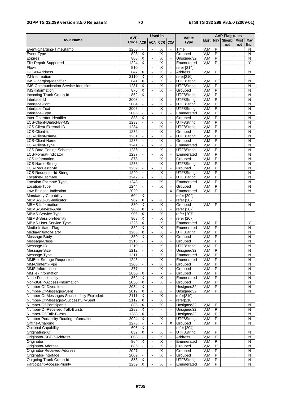### **3GPP TS 32.299 version 8.5.0 Release 8 70 ETSI TS 132 299 V8.5.0 (2009-01)**

|                                                                                  | Used in                |                                         |                                  |                                                    | <b>AVP Flag rules</b>            |                          |             |                                  |                      |                    |                              |
|----------------------------------------------------------------------------------|------------------------|-----------------------------------------|----------------------------------|----------------------------------------------------|----------------------------------|--------------------------|-------------|----------------------------------|----------------------|--------------------|------------------------------|
| <b>AVP Name</b>                                                                  | <b>AVP</b><br>Code ACR |                                         | <b>ACA</b>                       | CCR CCA                                            |                                  | Value<br><b>Type</b>     | Must May    |                                  | <b>Should</b><br>not | <b>Must</b><br>not | May<br>Encr.                 |
| Event-Charging-TimeStamp                                                         | 1258                   |                                         | $\blacksquare$                   | Х                                                  | $\blacksquare$                   | Time                     | V, M        | P                                |                      |                    | N                            |
| Event-Type                                                                       | 823                    | $\overline{\mathsf{x}}$                 | $\overline{\phantom{a}}$         | Χ                                                  | $\blacksquare$                   | Grouped                  | V,M         | $\overline{P}$                   |                      |                    | N                            |
| <b>Expires</b>                                                                   | 888                    | $\overline{\mathsf{X}}$                 | $\Box$                           | $\overline{\mathsf{X}}$                            | $\Box$                           | Unsigned32               | V, M        | P                                |                      |                    | $\mathsf{N}$                 |
| File-Repair-Supported                                                            | 1224                   | X                                       | $\blacksquare$                   | $\overline{\mathsf{x}}$                            | $\blacksquare$                   | Enumerated               | V.M         | P                                |                      |                    | Υ                            |
| <b>Flows</b>                                                                     | 510                    | $\mathbf{r}$                            | $\omega$                         | Χ                                                  | $\blacksquare$                   | refer [214]              |             |                                  |                      |                    |                              |
| <b>GGSN-Address</b>                                                              | 847                    | X                                       | $\blacksquare$                   | $\overline{\mathsf{x}}$                            | $\blacksquare$                   | <b>Address</b>           | V, M        | P                                |                      |                    | N                            |
| <b>IM-Information</b>                                                            | 2110                   | X                                       | $\blacksquare$                   | $\overline{\mathsf{x}}$                            | $\blacksquare$                   | refer[210]               |             |                                  |                      |                    |                              |
| IMS-Charging-Identifier                                                          | 841                    | $\overline{\mathsf{x}}$                 | $\Box$                           | $\overline{\mathsf{x}}$                            | $\Box$                           | UTF8String               | V, M        | P                                |                      |                    | N                            |
| <b>IMS-Communication-Service-Identifier</b>                                      | 1281                   | X                                       | $\blacksquare$                   | X                                                  | $\blacksquare$                   | UTF8String               | V, M        | $\overline{P}$                   |                      |                    | N                            |
| <b>IMS-Information</b>                                                           | 876                    | $\overline{\mathsf{x}}$                 | $\overline{\phantom{a}}$         | $\overline{\mathsf{x}}$                            | $\blacksquare$                   | Grouped                  | V, M        | $\overline{P}$                   |                      |                    | $\overline{N}$               |
| Incoming-Trunk-Group-Id                                                          | 852                    | $\overline{\mathsf{x}}$                 | $\blacksquare$                   | $\blacksquare$                                     | $\Box$                           | UTF8String               | V, M        | P                                |                      |                    | N                            |
| Interface-Id                                                                     | 2003                   | $\Box$                                  | $\blacksquare$                   | $\overline{\mathsf{X}}$                            | $\blacksquare$                   | UTF8String               | V, M        | $\overline{\mathsf{P}}$          |                      |                    | $\overline{N}$               |
| Interface-Port                                                                   | 2004                   | $\mathbb{Z}^2$                          | $\overline{\phantom{a}}$         | $\overline{\mathsf{x}}$                            | $\blacksquare$                   | UTF8String               | V, M        | P                                |                      |                    | N                            |
| Interface-Text                                                                   | 2005                   | $\Box$<br>$\mathbb{Z}^2$                | $\blacksquare$<br>$\mathbb{Z}^2$ | $\overline{\mathsf{X}}$                            | $\bar{\phantom{a}}$              | UTF8String               | V,M         | P                                |                      |                    | $\mathsf{N}$                 |
| Interface-Type                                                                   | 2006                   |                                         |                                  | Χ                                                  | $\blacksquare$                   | Enumerated               | V, M        | $\overline{\mathsf{P}}$          |                      |                    | $\overline{N}$               |
| Inter-Operator-Identifier                                                        | 838                    | $\overline{\mathsf{x}}$<br>$\mathbf{L}$ | $\Box$<br>$\blacksquare$         | $\blacksquare$<br>Χ                                | $\Box$<br>$\mathbf{u}$           | Grouped                  | V, M        | P<br>$\overline{P}$              |                      |                    | $\mathsf{N}$                 |
| LCS-Client-Dialed-By-MS                                                          | 1233<br>1234           | $\mathbb{Z}^2$                          | $\overline{\phantom{a}}$         | $\overline{\mathsf{x}}$                            | $\mathbf{r}$                     | UTF8String<br>UTF8String | V,M<br>V, M | P                                |                      |                    | $\mathsf{N}$<br>$\mathsf{N}$ |
| LCS-Client-External-ID<br>LCS-Client-Id                                          | 1232                   | $\blacksquare$                          | $\blacksquare$                   | $\overline{\mathsf{X}}$                            | $\blacksquare$                   | Grouped                  | V,M         | P                                |                      |                    | N                            |
| LCS-Client-Name                                                                  | 1231                   | $\mathbf{r}$                            | $\overline{\phantom{a}}$         | $\overline{\mathsf{x}}$                            | $\bar{\phantom{a}}$              | UTF8String               | V,M         | P                                |                      |                    | $\mathsf{N}$                 |
| <b>LCS-Client-Name</b>                                                           | 1235                   | $\Box$                                  | $\Box$                           | $\overline{\mathsf{x}}$                            | $\omega$                         | Grouped                  | V, M        | P                                |                      |                    | $\mathsf{N}$                 |
| LCS-Client-Type                                                                  | 1241                   | $\blacksquare$                          | $\blacksquare$                   | $\overline{\mathsf{x}}$                            | $\blacksquare$                   | Enumerated               | V, M        | $\overline{P}$                   |                      |                    | N                            |
| LCS-Data-Coding-Scheme                                                           | 1236                   | $\Box$                                  | $\Box$                           | $\overline{\mathsf{x}}$                            | $\blacksquare$                   | UTF8String               | V, M        | $\overline{P}$                   |                      |                    | $\overline{\mathsf{N}}$      |
| LCS-Format-Indicator                                                             | 1237                   | $\blacksquare$                          | $\blacksquare$                   | $\overline{\mathsf{X}}$                            | $\overline{\phantom{a}}$         | Enumerated               | V,M         | P                                |                      |                    | N                            |
| <b>LCS-Information</b>                                                           | 878                    | $\blacksquare$                          | $\blacksquare$                   | $\overline{\mathsf{x}}$                            | $\blacksquare$                   | Grouped                  | V, M        | P                                |                      |                    | $\overline{N}$               |
| LCS-Name-String                                                                  | 1238                   | $\blacksquare$                          | $\blacksquare$                   | $\overline{\mathsf{x}}$                            | $\overline{\phantom{a}}$         | UTF8String               | V, M        | P                                |                      |                    | $\overline{\mathsf{N}}$      |
| LCS-Requestor-Id                                                                 | 1239                   | $\blacksquare$                          | $\blacksquare$                   | $\overline{\mathsf{X}}$                            | $\blacksquare$                   | Grouped                  | V,M         | P                                |                      |                    | N                            |
| LCS-Requestor-Id-String                                                          | 1240                   | $\blacksquare$                          | $\blacksquare$                   | Χ                                                  | $\Box$                           | UTF8String               | V, M        | $\overline{\mathsf{P}}$          |                      |                    | N                            |
| Location-Estimate                                                                | 1242                   | $\blacksquare$                          | $\blacksquare$                   | $\overline{\mathsf{x}}$                            | $\blacksquare$                   | UTF8String               | V, M        | P                                |                      |                    | $\mathsf{N}$                 |
| Location-Estimate-Type                                                           | 1243                   | $\overline{a}$                          | $\overline{\phantom{a}}$         | Χ                                                  | $\mathbf{r}$                     | Enumerated               | V, M        | P                                |                      |                    | ${\sf N}$                    |
| Location-Type                                                                    | 1244                   | $\blacksquare$                          | $\Box$                           | $\overline{\mathsf{x}}$                            | $\blacksquare$                   | Grouped                  | V, M        | P                                |                      |                    | N                            |
| Low-Balance-Indication                                                           | 2020                   | $\Box$                                  | $\blacksquare$                   | $\Box$                                             | X                                | Enumerated               | V,M         | P                                |                      |                    | N                            |
| Mandatory-Capability                                                             | 604                    | $\overline{\mathsf{x}}$                 | $\blacksquare$                   | $\overline{\phantom{a}}$                           | $\bar{\phantom{a}}$              | refer [204]              |             |                                  |                      |                    |                              |
| MBMS-2G-3G-Indicator                                                             | 907                    | $\overline{\mathsf{x}}$                 | $\omega$                         | $\overline{\mathsf{x}}$                            | $\mathbf{r}$                     | refer [207]              |             |                                  |                      |                    |                              |
| <b>MBMS-Information</b>                                                          | 880                    | X                                       | $\Box$                           | Χ                                                  | $\blacksquare$                   | Grouped                  | V,M         | P                                |                      |                    | N                            |
| MBMS-Service-Area                                                                | 903                    | $\overline{\mathsf{x}}$                 | $\overline{\phantom{a}}$         | $\overline{\mathsf{x}}$                            | $\blacksquare$                   | refer [207]              |             |                                  |                      |                    |                              |
| MBMS-Service-Type                                                                | 906                    | $\overline{\mathsf{X}}$                 | $\Box$                           | Χ                                                  | $\overline{\phantom{a}}$         | refer [207]              |             |                                  |                      |                    |                              |
| <b>MBMS-Session-Identity</b>                                                     | 908                    | $\overline{X}$                          | $\blacksquare$                   | $\overline{\mathsf{X}}$                            | $\blacksquare$                   | refer [207]              |             |                                  |                      |                    |                              |
| MBMS-User-Service-Type                                                           | 1225                   | $\overline{\mathsf{X}}$                 | $\omega$                         | $\overline{\mathsf{X}}$                            | $\mathbf{r}$                     | Enumerated               | V,M         | $\overline{P}$                   |                      |                    | Y                            |
| Media-Initiator-Flag                                                             | 882                    | $\overline{X}$                          | $\Box$                           | $\overline{\mathsf{X}}$                            | $\mathbf{u}$                     | Enumerated               | V,M         | P                                |                      |                    | $\mathsf{N}$                 |
| Media-Initiator-Party                                                            | 1288                   | $\overline{\mathsf{X}}$                 | $\blacksquare$                   | Χ                                                  | $\blacksquare$                   | UTF8String               | V,M         | $\overline{\mathsf{P}}$          |                      |                    | N                            |
| Message-Body                                                                     | 889                    | $\overline{X}$                          | $\blacksquare$                   | Χ                                                  | $\mathbf{r}$                     | Grouped                  | V, M        | P                                |                      |                    | $\overline{\mathsf{N}}$      |
| Message-Class                                                                    | 1213                   | $\Box$                                  | $\Box$                           | $\overline{\mathsf{x}}$                            | $\bar{\phantom{a}}$              | Grouped                  | V,M         | $\overline{P}$                   |                      |                    | N                            |
| Message-ID                                                                       | 1210                   | $\blacksquare$                          | $\blacksquare$                   | $\overline{X}$                                     | $\blacksquare$                   | UTF8String               | V,M         | P                                |                      |                    | N                            |
| Message-Size                                                                     | 1212                   |                                         | $\blacksquare$                   | $\overline{\mathsf{X}}$                            |                                  | Unsigned32               | V,M         | $\overline{P}$                   |                      |                    | N                            |
| Message-Type                                                                     | 1211                   |                                         | $\blacksquare$                   | Χ                                                  | $\sim$                           | Enumerated               | V,M         | P                                |                      |                    | N                            |
| MMBox-Storage-Requested                                                          | 1248                   | $\overline{\phantom{a}}$                | $\overline{\phantom{a}}$         | χ                                                  | $\sim$                           | Enumerated               | V,M         | P                                |                      |                    | N                            |
| MM-Content-Type                                                                  | 1203                   | $\blacksquare$                          | $\blacksquare$                   | Χ                                                  | $\blacksquare$                   | Grouped                  | V,M         | $\overline{P}$                   |                      |                    | N                            |
| MMS-Information                                                                  | 877                    | $\blacksquare$                          | $\Box$                           | Χ                                                  | $\blacksquare$                   | Grouped                  | V, M        | $\overline{P}$                   |                      |                    | $\overline{N}$               |
| MMTel-Information                                                                | 2030                   | $\overline{X}$                          | $\blacksquare$                   | $\Box$                                             | $\blacksquare$                   | Grouped                  | V,M         | P                                |                      |                    | ${\sf N}$                    |
| Node-Functionality                                                               | 862                    | $\overline{\mathsf{x}}$                 | ۰.                               | $\overline{\mathsf{X}}$                            | $\blacksquare$                   | Enumerated               | V,M         | P                                |                      |                    | $\overline{N}$               |
| Non-3GPP-Access-Information                                                      | 2050                   | X                                       | $\bar{\Xi}$                      | $\overline{\mathsf{x}}$                            | $\blacksquare$                   | Grouped                  | V,M         | P                                |                      |                    | N                            |
| Number-Of-Diversions                                                             | 2034                   | $\overline{\mathsf{x}}$                 | $\blacksquare$                   | $\blacksquare$                                     | $\blacksquare$                   | Unsigned32               | V,M         | $\overline{P}$<br>$\overline{P}$ |                      |                    | N<br>$\overline{N}$          |
| Number-Of-Messages-Sent                                                          | 2019<br>2111           | $\overline{\mathsf{x}}$                 | $\Box$                           | $\overline{\mathsf{X}}$<br>$\overline{\mathsf{X}}$ | $\blacksquare$<br>$\blacksquare$ | Unsigned32               | V,M         |                                  |                      |                    |                              |
| Number-Of-Messages-Successfully-Exploded<br>Number-Of-Messages-Successfully-Sent | 2112                   | X<br>X                                  | $\blacksquare$<br>$\blacksquare$ | $\overline{\mathsf{X}}$                            | $\blacksquare$                   | refer[210]<br>refer[210] |             |                                  |                      |                    |                              |
| Number-Of-Participants                                                           | 885                    | $\overline{\mathsf{x}}$                 | $\overline{\phantom{a}}$         | $\overline{\mathsf{X}}$                            | $\blacksquare$                   | Unsigned32               | V, M        | $\overline{P}$                   |                      |                    | N                            |
| Number-Of-Received-Talk-Bursts                                                   | 1282                   | $\overline{\mathsf{x}}$                 | $\blacksquare$                   | $\blacksquare$                                     | $\blacksquare$                   | Unsigned32               | V, M        | $\overline{P}$                   |                      |                    | N                            |
| Number-Of-Talk-Bursts                                                            | 1283                   | $\overline{\mathsf{x}}$                 | $\Box$                           | $\Box$                                             | $\Box$                           | Unsigned32               | V,M         | P                                |                      |                    | ${\sf N}$                    |
| Number-Portability-Routing-Information                                           | 2024                   | $\overline{\mathsf{x}}$                 | $\Box$                           | $\overline{X}$                                     | $\Box$                           | UTF8String               | V, M        | P                                |                      |                    | N                            |
| <b>Offline-Charging</b>                                                          | 1278                   | $\blacksquare$                          | $\omega$                         | $\Box$                                             | X                                | Grouped                  | V,M         | $\overline{P}$                   |                      |                    | N                            |
| Optional-Capability                                                              | 605                    | $\overline{\mathsf{x}}$                 | $\omega$                         | $\overline{\phantom{a}}$                           | $\mathbf{u}$                     | refer [204]              |             |                                  |                      |                    |                              |
| Originating-IOI                                                                  | 839                    | $\overline{X}$                          | $\blacksquare$                   | X                                                  | $\blacksquare$                   | UTF8String               | V,M         | P                                |                      |                    | N                            |
| Originator-SCCP-Address                                                          | 2008                   |                                         | $\blacksquare$                   | $\overline{\mathsf{X}}$                            | $\blacksquare$                   | Address                  | V,M         | P                                |                      |                    | N                            |
| Originator                                                                       | 864                    | $\overline{X}$                          | $\omega$                         | Χ                                                  | $\mathbf{r}$                     | Enumerated               | V,M         | $\overline{P}$                   |                      |                    | $\overline{N}$               |
| Originator-Address                                                               | 886                    | $\blacksquare$                          | $\blacksquare$                   | X                                                  | $\blacksquare$                   | Grouped                  | V,M         | $\overline{P}$                   |                      |                    | N                            |
| Originator-Received-Address                                                      | 2027                   | $\Box$                                  | $\Box$                           | $\overline{\mathsf{x}}$                            | $\blacksquare$                   | Grouped                  | V, M        | $\overline{P}$                   |                      |                    | N                            |
| Originator-Interface                                                             | 2009                   | $\blacksquare$                          | $\blacksquare$                   | $\overline{\mathsf{X}}$                            | $\overline{\phantom{a}}$         | Grouped                  | V,M         | $\overline{P}$                   |                      |                    | N                            |
| Outgoing-Trunk-Group-Id                                                          | 853                    | X                                       | $\blacksquare$                   | $\blacksquare$                                     | $\blacksquare$                   | UTF8String               | V,M         | P                                |                      |                    | $\overline{N}$               |
| Participant-Access-Priority                                                      | 1259                   | $\overline{\mathsf{x}}$                 | $\omega$                         | $\overline{\mathsf{x}}$                            | $\blacksquare$                   | Enumerated               | V, M        | $\overline{P}$                   |                      |                    | $\overline{N}$               |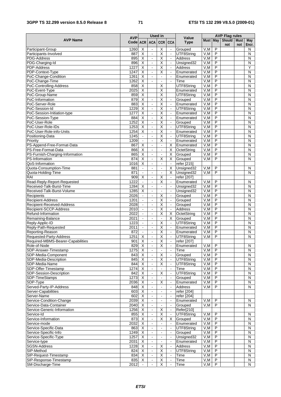### **3GPP TS 32.299 version 8.5.0 Release 8 71 ETSI TS 132 299 V8.5.0 (2009-01)**

|                                               |                        | <b>Used in</b>                            |                                      |                                                    |                                  |                          |              | <b>AVP Flag rules</b>            |                      |     |                              |
|-----------------------------------------------|------------------------|-------------------------------------------|--------------------------------------|----------------------------------------------------|----------------------------------|--------------------------|--------------|----------------------------------|----------------------|-----|------------------------------|
| <b>AVP Name</b>                               | <b>AVP</b><br>Code ACR |                                           | <b>ACA</b>                           | CCR CCA                                            |                                  | Value<br><b>Type</b>     | Must May     |                                  | Should   Must<br>not | not | May<br>Encr.                 |
| Participant-Group                             | 1260                   | Χ                                         | $\blacksquare$                       | $\overline{\mathsf{X}}$                            | $\omega$                         | Grouped                  | V, M         | $\overline{P}$                   |                      |     | N                            |
| Participants-Involved                         | 887                    | $\overline{\mathsf{x}}$                   | $\overline{\phantom{a}}$             | $\overline{\mathsf{X}}$                            | $\mathbf{r}$                     | UTF8String               | V, M         | $\overline{P}$                   |                      |     | $\overline{N}$               |
| <b>PDG-Address</b>                            | 895                    | $\overline{\mathsf{X}}$                   | $\blacksquare$                       | $\overline{\mathsf{X}}$                            | $\blacksquare$                   | <b>Address</b>           | V,M          | P                                |                      |     | $\mathsf{N}$                 |
| PDG-Charging-Id<br>PDP-Address                | 896<br>1227            | $\overline{\mathsf{X}}$<br>$\overline{X}$ | $\blacksquare$<br>$\hat{\mathbf{r}}$ | $\overline{\mathsf{X}}$<br>$\overline{\mathsf{X}}$ | $\blacksquare$<br>$\mathbf{r}$   | Unsigned32<br>Address    | V, M<br>V, M | P<br>$\overline{P}$              |                      |     | $\overline{\mathsf{N}}$<br>Y |
| PDP-Context-Type                              | 1247                   | Χ                                         | $\Box$                               | $\overline{X}$                                     | $\blacksquare$                   | Enumerated               | V,M          | $\overline{P}$                   |                      |     | $\mathsf{N}$                 |
| PoC-Change-Condition                          | 1261                   | $\overline{\mathsf{x}}$                   | $\sim$                               | $\overline{\phantom{a}}$                           | $\blacksquare$                   | Enumerated               | V,M          | $\overline{P}$                   |                      |     | N                            |
| PoC-Change-Time                               | 1262                   | $\overline{\mathsf{X}}$                   | $\Box$                               | $\blacksquare$                                     | $\Box$                           | Time                     | V, M         | P                                |                      |     | $\mathsf{N}$                 |
| PoC-Controlling-Address                       | 858                    | $\overline{\mathsf{X}}$                   |                                      | $\overline{\mathsf{X}}$                            |                                  | UTF8String               | V,M          | $\overline{P}$                   |                      |     | $\overline{N}$               |
| PoC-Event-Type                                | 2025                   | $\overline{\mathsf{X}}$                   |                                      | $\overline{\mathsf{X}}$                            |                                  | Enumerated               | V,M          | P                                |                      |     | $\mathsf{N}$                 |
| PoC-Group-Name                                | 859                    | $\overline{\mathsf{X}}$                   |                                      | $\overline{\mathsf{X}}$                            |                                  | UTF8String               | V,M          | P                                |                      |     | $\mathsf{N}$                 |
| PoC-Information                               | 879                    | $\overline{\mathsf{x}}$                   | $\blacksquare$                       | $\overline{\mathsf{X}}$                            | $\blacksquare$                   | Grouped                  | V, M         | $\overline{\mathsf{P}}$          |                      |     | N                            |
| PoC-Server-Role                               | 883                    | $\overline{\mathsf{x}}$                   | $\Box$                               | Χ                                                  | $\blacksquare$                   | Enumerated               | V, M         | $\overline{P}$                   |                      |     | $\overline{\mathsf{N}}$      |
| PoC-Session-Id                                | 1229                   | X                                         | $\blacksquare$                       | $\overline{\mathsf{X}}$                            | $\blacksquare$                   | UTF8String               | V, M         | $\overline{P}$                   |                      |     | N                            |
| PoC-Session-Initiation-type                   | 1277                   | $\overline{\mathsf{x}}$                   | $\Box$                               | Χ                                                  | $\blacksquare$                   | Enumerated               | V, M         | $\overline{P}$                   |                      |     | $\overline{\mathsf{N}}$      |
| PoC-Session-Type                              | 884                    | $\overline{\mathsf{X}}$                   | $\blacksquare$                       | $\overline{\mathsf{X}}$                            | $\blacksquare$                   | Enumerated               | V, M         | $\overline{P}$                   |                      |     | N                            |
| PoC-User-Role                                 | 1252                   | $\overline{\mathsf{x}}$                   | $\blacksquare$                       | $\overline{X}$                                     | $\blacksquare$                   | Grouped                  | V, M         | $\overline{P}$                   |                      |     | $\overline{N}$               |
| PoC-User-Role-IDs<br>PoC-User-Role-info-Units | 1253                   | Χ                                         | $\omega$                             | χ                                                  | $\mathbf{r}$                     | UTF8String               | V, M         | $\overline{P}$<br>$\overline{P}$ |                      |     | N                            |
|                                               | 1254<br>1245           | $\overline{X}$<br>$\blacksquare$          | $\blacksquare$<br>$\blacksquare$     | Χ<br>$\overline{\mathsf{x}}$                       | $\blacksquare$<br>$\blacksquare$ | Enumerated<br>UTF8String | V,M<br>V, M  | $\overline{P}$                   |                      |     | ${\sf N}$<br>N               |
| Positioning-Data<br>Priority                  | 1209                   | $\blacksquare$                            | $\Box$                               | $\overline{\mathsf{X}}$                            | $\Box$                           | Enumerated               | V, M         | P                                |                      |     | $\mathsf{N}$                 |
| PS-Append-Free-Format-Data                    | 867                    | $\overline{\mathsf{x}}$                   | $\Box$                               | $\Box$                                             | X                                | Enumerated               | V, M         | $\overline{P}$                   |                      |     | $\mathsf{N}$                 |
| PS-Free-Format-Data                           | 866                    | $\overline{\mathsf{x}}$                   | $\Box$                               | $\mathbf{r}$                                       | X                                | OctetString              | V, M         | P                                |                      |     | N                            |
| PS-Furnish-Charging-Information               | 865                    | $\overline{\mathsf{X}}$                   | $\blacksquare$                       | $\blacksquare$                                     | X                                | Grouped                  | V,M          | P                                |                      |     | N                            |
| PS-Information                                | 874                    | $\overline{\mathsf{x}}$                   | $\blacksquare$                       | $\overline{\mathsf{x}}$                            | X                                | Grouped                  | V,M          | $\overline{P}$                   |                      |     | N                            |
| QoS-Information                               | 1016                   | Χ                                         | $\omega$                             | $\Box$                                             | $\mathbf{r}$                     | refer [215]              |              |                                  |                      |     |                              |
| Quota-Consumption-Time                        | 881                    | $\blacksquare$                            | $\blacksquare$                       | $\overline{\phantom{a}}$                           | X                                | Unsigned32               | V, M         | $\overline{P}$                   |                      |     | N                            |
| Quota-Holding-Time                            | 871                    | $\overline{\phantom{a}}$                  | $\blacksquare$                       | $\mathbf{r}$                                       | X                                | Unsigned32               | V, M         | $\overline{P}$                   |                      |     | $\overline{N}$               |
| RAI                                           | 909                    | $\overline{X}$                            | $\blacksquare$                       | $\overline{X}$                                     | $\mathbf{r}$                     | refer [207]              |              |                                  |                      |     |                              |
| Read-Reply-Report-Requested                   | 1222                   | $\blacksquare$                            | $\blacksquare$                       | X                                                  | $\mathbf{u}$                     | Enumerated               | V,M          | P                                |                      |     | ${\sf N}$                    |
| Received-Talk-Burst-Time                      | 1284                   | $\overline{\mathsf{x}}$                   | $\omega$                             | $\blacksquare$                                     | $\mathbf{r}$                     | Unsigned32               | V, M         | $\overline{P}$                   |                      |     | $\overline{N}$               |
| Received-Talk-Burst-Volume                    | 1285                   | $\overline{\mathsf{x}}$                   | $\blacksquare$                       | $\mathbf{r}$                                       | $\mathbf{r}$                     | Unsigned32               | V,M          | $\overline{P}$                   |                      |     | ${\sf N}$                    |
| Recipients                                    | 2026                   | $\omega$                                  | $\blacksquare$                       | $\overline{\mathsf{X}}$                            | $\blacksquare$                   | Grouped                  | V, M         | $\overline{P}$                   |                      |     | $\overline{N}$               |
| Recipient-Address                             | 1201                   | $\blacksquare$                            | $\Box$                               | $\overline{\mathsf{X}}$                            | $\mathbf{r}$                     | Grouped                  | V, M         | P                                |                      |     | $\overline{N}$               |
| Recipient-Received-Address                    | 2028                   | $\omega$                                  | $\blacksquare$                       | $\overline{\mathsf{X}}$                            | $\mathbf{u}$                     | Grouped                  | V, M         | P                                |                      |     | ${\sf N}$                    |
| Recipient-SCCP-Address                        | 2010                   | $\Box$                                    | $\overline{\phantom{a}}$             | $\overline{\mathsf{X}}$                            | $\mathbb{Z}^2$                   | <b>Address</b>           | V,M          | P                                |                      |     | $\overline{N}$               |
| Refund-Information                            | 2022                   | $\blacksquare$                            | $\blacksquare$                       | Χ                                                  | X                                | OctetString              | V,M          | $\overline{P}$                   |                      |     | $\mathsf{N}$                 |
| Remaining-Balance                             | 2021                   |                                           | ÷,                                   | $\overline{\phantom{a}}$                           | X                                | Grouped                  | V, M         | P                                |                      |     | $\mathsf{N}$                 |
| Reply-Applic-ID                               | 1223                   | $\omega$                                  | $\Box$                               | $\overline{\mathsf{X}}$                            | $\omega$                         | UTF8String               | V, M         | $\overline{P}$                   |                      |     | $\mathsf{N}$                 |
| Reply-Path-Requested                          | 2011                   | $\blacksquare$<br>$\overline{a}$          | $\sim$<br>L.                         | $\overline{X}$<br>Χ                                | $\mathbf{r}$<br>$\mathbb{Z}^2$   | Enumerated<br>Enumerated | V,M          | $\overline{P}$<br>$\overline{P}$ |                      |     | ${\sf N}$<br>$\overline{N}$  |
| Reporting-Reason<br>Requested-Party-Address   | 872<br>1251            | X                                         | $\blacksquare$                       | Χ                                                  | $\blacksquare$                   | UTF8String               | V, M<br>V, M | $\overline{P}$                   |                      |     | N                            |
| Required-MBMS-Bearer-Capabilities             | 901                    | $\overline{\mathsf{x}}$                   | $\overline{\phantom{a}}$             | Χ                                                  | $\omega$                         | refer [207]              |              |                                  |                      |     |                              |
| Role-of-Node                                  | 829                    | X                                         | $\blacksquare$                       | Х                                                  | $\blacksquare$                   | Enumerated               | V,M          | P                                |                      |     | N                            |
| SDP-Answer-Timestamp                          | 1275                   | $\overline{X}$                            |                                      | $\Box$                                             | $\blacksquare$                   | Time                     | V,M          | $\overline{P}$                   |                      |     | ${\sf N}$                    |
| SDP-Media-Component                           | 843                    | X                                         |                                      | X                                                  |                                  | Grouped                  | V,M          | $\overline{P}$                   |                      |     | ${\sf N}$                    |
| SDP-Media-Description                         | 845                    | $\overline{\mathsf{x}}$                   | $\blacksquare$                       | $\overline{\mathsf{X}}$                            | $\mathcal{L}$                    | UTF8String               | V,M          | $\overline{P}$                   |                      |     | ${\sf N}$                    |
| SDP-Media-Name                                | 844                    | $\overline{X}$                            | $\blacksquare$                       | X                                                  | $\blacksquare$                   | UTF8String               | V, M         | $\overline{\mathsf{P}}$          |                      |     | N                            |
| SDP-Offer-Timestamp                           | 1274                   | $\overline{X}$                            | $\Box$                               | $\blacksquare$                                     | $\omega$                         | Time                     | V, M         | $\overline{P}$                   |                      |     | ${\sf N}$                    |
| SDP-Session-Description                       | 842                    | $\overline{X}$                            | $\blacksquare$                       | X                                                  | $\blacksquare$                   | UTF8String               | V,M          | P                                |                      |     | ${\sf N}$                    |
| SDP-TimeStamps                                | 1273                   | $\overline{X}$                            | $\blacksquare$                       | $\blacksquare$                                     | $\blacksquare$                   | Grouped                  | V, M         | P                                |                      |     | ${\sf N}$                    |
| SDP-Type                                      | 2036                   | $\overline{X}$                            | $\omega$                             | Χ                                                  | $\omega$                         | Enumerated               | V,M          | $\overline{P}$                   |                      |     | ${\sf N}$                    |
| Served-Party-IP-Address                       | 848                    | X                                         | $\blacksquare$                       | $\blacksquare$                                     | $\blacksquare$                   | Address                  | V,M          | $\overline{P}$                   |                      |     | N                            |
| Server-Capabilities                           | 603                    | $\overline{X}$                            | $\blacksquare$                       | $\blacksquare$                                     | $\blacksquare$                   | refer [204]              |              |                                  |                      |     |                              |
| Server-Name                                   | 602                    | $\overline{X}$                            | $\blacksquare$                       | $\blacksquare$                                     | $\omega$                         | refer [204]              |              |                                  |                      |     |                              |
| Service-Condition-Change                      | 2039                   | X                                         | $\blacksquare$                       | $\blacksquare$                                     | $\blacksquare$                   | Enumerated               | V,M          | $\overline{P}$                   |                      |     | N                            |
| Service-Data-Container                        | 2040                   | $\overline{\mathsf{x}}$                   | $\blacksquare$                       | $\blacksquare$                                     | $\blacksquare$                   | Grouped                  | V, M         | $\overline{P}$                   |                      |     | $\overline{N}$               |
| Service-Generic-Information                   | 1256                   | X                                         | $\blacksquare$                       | X                                                  | $\blacksquare$                   | Refer[210]               |              |                                  |                      |     |                              |
| Service-Id                                    | 855                    | X                                         | $\blacksquare$                       | $\overline{\mathsf{X}}$                            | $\blacksquare$                   | UTF8String               | V, M         | $\overline{P}$                   |                      |     | N                            |
| Service-Information                           | 873                    | $\overline{\mathsf{x}}$                   | $\blacksquare$                       | $\overline{\mathsf{X}}$                            | X                                | Grouped                  | V, M         | $\overline{P}$                   |                      |     | $\overline{\mathsf{N}}$      |
| Service-mode                                  | 2032                   | $\overline{X}$                            | $\blacksquare$                       | $\blacksquare$                                     | $\blacksquare$                   | Enumerated               | V,M          | $\overline{P}$                   |                      |     | N                            |
| Service-Specific-Data                         | 863                    | $\overline{\mathsf{x}}$                   | $\omega$                             | $\blacksquare$                                     | $\blacksquare$                   | UTF8String               | V, M         | $\overline{P}$<br>$\overline{P}$ |                      |     | N                            |
| Service-Specific-Info                         | 1249                   | $\overline{X}$                            | $\blacksquare$                       | $\blacksquare$                                     | $\blacksquare$                   | Grouped                  | V,M          |                                  |                      |     | ${\sf N}$                    |
| Service-Specific-Type                         | 1257<br>2031           | $\overline{\mathsf{X}}$<br>$\overline{X}$ | $\blacksquare$<br>$\omega$           | $\blacksquare$<br>$\blacksquare$                   | $\blacksquare$<br>$\mathbf{r}$   | Unsigned32<br>Enumerated | V, M<br>V, M | P<br>$\overline{P}$              |                      |     | ${\sf N}$<br>${\sf N}$       |
| Service-type<br>SGSN-Address                  | 1228                   | X                                         | $\blacksquare$                       | X                                                  | $\blacksquare$                   | Address                  | V, M         | $\overline{P}$                   |                      |     | N                            |
| SIP-Method                                    | 824                    | $\overline{\mathsf{x}}$                   | $\Box$                               | $\overline{\mathsf{x}}$                            | $\blacksquare$                   | UTF8String               | V, M         | $\overline{P}$                   |                      |     | N                            |
| SIP-Request-Timestamp                         | 834                    | $\overline{X}$                            | $\Box$                               | X                                                  | $\blacksquare$                   | Time                     | V,M          | $\overline{P}$                   |                      |     | N                            |
| SIP-Response-Timestamp                        | 835                    | X                                         | $\blacksquare$                       | $\overline{\mathsf{X}}$                            | $\blacksquare$                   | Time                     | V,M          | P                                |                      |     | N                            |
| SM-Discharge-Time                             | 2012                   | $\mathbf{L}$                              | $\overline{a}$                       | $\overline{\mathsf{X}}$                            | $\mathbf{r}$                     | Time                     | V, M         | P                                |                      |     | N                            |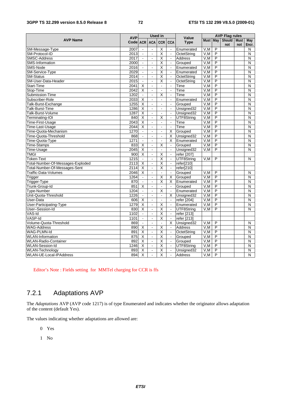#### **3GPP TS 32.299 version 8.5.0 Release 8 72 ETSI TS 132 299 V8.5.0 (2009-01)**

|                                   | <b>AVP</b>   | <b>Used in</b>           |                          |                                                    |                                  | Value                     | <b>AVP Flag rules</b> |                         |               |             |                         |
|-----------------------------------|--------------|--------------------------|--------------------------|----------------------------------------------------|----------------------------------|---------------------------|-----------------------|-------------------------|---------------|-------------|-------------------------|
| <b>AVP Name</b>                   | Code ACR     |                          | <b>ACA</b>               | <b>CCR</b>                                         | <b>CCA</b>                       | <b>Type</b>               | Must May              |                         | <b>Should</b> | <b>Must</b> | <b>May</b>              |
|                                   |              |                          | $\blacksquare$           |                                                    |                                  |                           |                       | P                       | not           | not         | Encr.                   |
| SM-Message-Type<br>SM-Protocol-ID | 2007<br>2013 | $\blacksquare$<br>ä,     | $\blacksquare$           | $\overline{\mathsf{X}}$<br>$\overline{\mathsf{x}}$ | $\blacksquare$<br>$\blacksquare$ | Enumerated<br>OctetStrina | V,M<br>V.M            | $\overline{\mathsf{P}}$ |               |             | N<br>N                  |
| <b>SMSC-Address</b>               | 2017         | $\Box$                   | $\blacksquare$           | χ                                                  | $\blacksquare$                   | <b>Address</b>            | V.M                   | P                       |               |             | N                       |
| SMS-Information                   | 2000         | $\blacksquare$           | $\overline{\phantom{a}}$ | Χ                                                  | $\blacksquare$                   | Grouped                   | V, M                  | $\overline{\mathsf{P}}$ |               |             | N                       |
| SMS-Node                          | 2016         | ä,                       | $\blacksquare$           | Χ                                                  | $\mathbf{r}$                     | Enumerated                | V.M                   | P                       |               |             | N                       |
| SM-Service-Type                   | 2029         | $\overline{a}$           | $\blacksquare$           | $\overline{\mathsf{x}}$                            | $\bar{\phantom{a}}$              | Enumerated                | V, M                  | P                       |               |             | N                       |
| <b>SM-Status</b>                  | 2014         | $\overline{a}$           | $\blacksquare$           | $\overline{\mathsf{x}}$                            | $\overline{\phantom{a}}$         | OctetString               | V, M                  | P                       |               |             | N                       |
| SM-User-Data-Header               | 2015         | $\blacksquare$           | $\overline{\phantom{a}}$ | $\overline{\mathsf{x}}$                            | $\blacksquare$                   | OctetString               | V, M                  | $\overline{P}$          |               |             | N                       |
| Start-Time                        | 2041         | Χ                        | $\blacksquare$           | $\Box$                                             | $\blacksquare$                   | Time                      | V, M                  | P                       |               |             | N                       |
| Stop-Time                         | 2042         | $\overline{\mathsf{x}}$  | ä,                       | ä,                                                 | $\overline{a}$                   | Time                      | V.M                   | $\overline{P}$          |               |             | N                       |
| Submission-Time                   | 1202         | $\frac{1}{2}$            | $\blacksquare$           | $\overline{\mathsf{x}}$                            | $\mathbf{r}$                     | Time                      | V, M                  | P                       |               |             | N                       |
| Subscriber-Role                   | 2033         | X                        | $\overline{\phantom{a}}$ | $\mathbf{r}$                                       | $\mathbf{r}$                     | Enumerated                | V,M                   | $\overline{\mathsf{P}}$ |               |             | N                       |
| Talk-Burst-Exchange               | 1255         | $\overline{\mathsf{x}}$  | $\blacksquare$           | $\overline{\phantom{a}}$                           | $\mathbf{r}$                     | Grouped                   | V, M                  | P                       |               |             | N                       |
| Talk-Burst-Time                   | 1286         | $\overline{\mathsf{x}}$  | $\blacksquare$           | $\blacksquare$                                     | $\Box$                           | Unsigned32                | V, M                  | $\overline{P}$          |               |             | N                       |
| Talk-Burst-Volume                 | 1287         | $\overline{\mathsf{x}}$  | $\blacksquare$           | $\overline{\phantom{a}}$                           | ä,                               | Unsigned32                | V, M                  | P                       |               |             | N                       |
| Terminating-IOI                   | 840          | X                        | $\overline{\phantom{a}}$ | $\overline{X}$                                     | $\Box$                           | UTF8String                | V, M                  | P                       |               |             | N                       |
| Time-First-Usage                  | 2043         | $\overline{\mathsf{x}}$  | $\Box$                   | $\blacksquare$                                     | $\blacksquare$                   | Time                      | V, M                  | $\overline{P}$          |               |             | $\overline{\mathsf{N}}$ |
| Time-Last-Usage                   | 2044         | X                        | $\blacksquare$           | $\Box$                                             | $\mathbf{r}$                     | Time                      | V, M                  | $\overline{P}$          |               |             | $\overline{N}$          |
| Time-Quota-Mechanism              | 1270         | $\blacksquare$           | $\blacksquare$           | $\overline{\phantom{a}}$                           | X                                | Grouped                   | V,M                   | P                       |               |             | N                       |
| Time-Quota-Threshold              | 868          | $\blacksquare$           | $\blacksquare$           | $\Box$                                             | X                                | Unsigned32                | V, M                  | $\overline{P}$          |               |             | N                       |
| Time-Quota-Type                   | 1271         | $\overline{\phantom{a}}$ | $\overline{\phantom{a}}$ | $\Box$                                             | X                                | Enumerated                | V, M                  | $\overline{P}$          |               |             | N                       |
| Time-Stamps                       | 833          | X                        | $\blacksquare$           | Χ                                                  | $\blacksquare$                   | Grouped                   | V,M                   | P                       |               |             | N                       |
| Time-Usage                        | 2045         | X                        | $\blacksquare$           | $\overline{\phantom{a}}$                           | $\mathbf{r}$                     | Unsigned32                | V.M                   | P                       |               |             | N                       |
| <b>TMGI</b>                       | 900          | X                        | $\blacksquare$           | X                                                  | $\blacksquare$                   | refer [207]               |                       |                         |               |             |                         |
| <b>Token-Text</b>                 | 1215         | $\blacksquare$           | $\Box$                   | $\overline{\mathsf{x}}$                            | ä,                               | UTF8String                | V, M                  | P                       |               |             | N                       |
| Total-Number-Of-Messages-Exploded | 2113         | X                        | $\overline{\phantom{a}}$ | Χ                                                  | $\Box$                           | refer[210]                |                       |                         |               |             |                         |
| Total-Number-Of-Messages-Sent     | 2114         | X                        | $\blacksquare$           | $\overline{\mathsf{x}}$                            | $\Box$                           | refer[210]                |                       |                         |               |             |                         |
| <b>Traffic-Data-Volumes</b>       | 2046         | $\overline{\mathsf{x}}$  | $\blacksquare$           | $\Box$                                             | $\blacksquare$                   | Grouped                   | V, M                  | P                       |               |             | N                       |
| Trigger                           | 1264         | $\overline{a}$           | $\overline{\phantom{a}}$ | Χ                                                  | X                                | Grouped                   | V.M                   | $\overline{P}$          |               |             | N                       |
| Trigger-Type                      | 870          | $\blacksquare$           | $\blacksquare$           | Χ                                                  | X                                | Enumerated                | V,M                   | P                       |               |             | N                       |
| Trunk-Group-Id                    | 851          | $\overline{\mathsf{x}}$  | $\Box$                   | $\overline{a}$                                     | $\mathbf{r}$                     | Grouped                   | V.M                   | $\overline{P}$          |               |             | $\overline{N}$          |
| <b>Type-Number</b>                | 1204         | $\Box$                   | $\overline{\phantom{a}}$ | $\overline{X}$                                     | $\blacksquare$                   | Enumerated                | V, M                  | $\overline{P}$          |               |             | $\mathsf{N}$            |
| Unit-Quota-Threshold              | 1226         | $\mathbf{r}$             | $\overline{a}$           | $\overline{\phantom{a}}$                           | X                                | Unsigned32                | V.M                   | $\overline{P}$          |               |             | $\overline{N}$          |
| User-Data                         | 606          | Χ                        | $\overline{\phantom{a}}$ | $\overline{\phantom{a}}$                           | $\mathbf{r}$                     | refer [204]               | V, M                  | $\overline{P}$          |               |             | N                       |
| User-Participating-Type           | 1279         | $\overline{\mathsf{x}}$  | $\blacksquare$           | Χ                                                  | $\blacksquare$                   | Enumerated                | V, M                  | $\overline{\mathsf{P}}$ |               |             | N                       |
| User-Session-Id                   | 830          | $\overline{\mathsf{x}}$  | $\Box$                   | χ                                                  | $\blacksquare$                   | UTF8Strina                | V.M                   | P                       |               |             | N                       |
| VAS-Id                            | 1102         | $\mathbb{Z}^2$           | $\overline{\phantom{a}}$ | Χ                                                  | $\mathbf{r}$                     | refer [213]               |                       |                         |               |             |                         |
| VASP-Id                           | 1101         | $\Box$                   | $\blacksquare$           | Χ                                                  | $\blacksquare$                   | refer [213]               |                       |                         |               |             |                         |
| Volume-Quota-Threshold            | 869          | ä,                       | $\blacksquare$           | ä,                                                 | X                                | Unsigned32                | V, M                  | P                       |               |             | N                       |
| <b>WAG-Address</b>                | 890          | X                        | $\blacksquare$           | $\overline{\mathsf{x}}$                            | $\Box$                           | Address                   | V, M                  | P                       |               |             | N                       |
| WAG-PLMN-Id                       | 891          | $\overline{\mathsf{x}}$  | $\blacksquare$           | $\overline{\mathsf{x}}$                            | $\mathbf{r}$                     | OctetString               | V, M                  | $\overline{P}$          |               |             | N                       |
| <b>WLAN-Information</b>           | 875          | $\overline{\mathsf{X}}$  | $\blacksquare$           | $\overline{\mathsf{x}}$                            | $\blacksquare$                   | Grouped                   | V, M                  | P                       |               |             | N                       |
| <b>WLAN-Radio-Container</b>       | 892          | Χ                        | $\blacksquare$           | $\overline{\mathsf{x}}$                            | $\blacksquare$                   | Grouped                   | V, M                  | $\overline{\mathsf{P}}$ |               |             | N                       |
| <b>WLAN-Session-Id</b>            | 1246         | $\overline{\mathsf{x}}$  | $\blacksquare$           | Χ                                                  | $\mathbf{r}$                     | UTF8String                | V, M                  | $\overline{P}$          |               |             | N                       |
| <b>WLAN-Technology</b>            | 893          | $\overline{\mathsf{x}}$  | $\blacksquare$           | $\overline{\mathsf{x}}$                            | $\mathbf{r}$                     | Unsigned32                | V, M                  | $\overline{P}$          |               |             | N                       |
| WLAN-UE-Local-IPAddress           | 894          | $\overline{\mathsf{x}}$  | $\overline{a}$           | $\overline{\mathsf{x}}$                            | $\overline{a}$                   | <b>Address</b>            | V, M                  | P                       |               |             | N                       |

Editor's Note : Fields setting for MMTel charging for CCR is ffs

# 7.2.1 Adaptations AVP

The *Adaptations* AVP (AVP code 1217) is of type Enumerated and indicates whether the originator allows adaptation of the content (default Yes).

The values indicating whether adaptations are allowed are:

- 0 Yes
- 1 No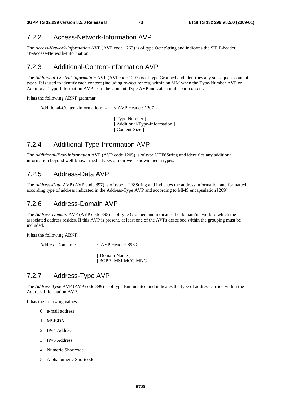### 7.2.2 Access-Network-Information AVP

The *Access-Network-Information* AVP (AVP code 1263) is of type OctetString and indicates the SIP P-header "P-Access-Network-Information".

### 7.2.3 Additional-Content-Information AVP

The *Additional-Content-Information* AVP (AVPcode 1207) is of type Grouped and identifies any subsequent content types. It is used to identify each content (including re-occurences) within an MM when the Type-Number AVP or Additional-Type-Information AVP from the Content-Type AVP indicate a multi-part content.

It has the following ABNF grammar:

```
Additional-Content-Information:: = < AVP Header: 1207 > 
                                     [ Type-Number ] 
                                    [ Additional-Type-Information ]
```
### 7.2.4 Additional-Type-Information AVP

The *Additional-Type-Information* AVP (AVP code 1205) is of type UTF8String and identifies any additional information beyond well-known media types or non-well-known media types.

[ Content-Size ]

### 7.2.5 Address-Data AVP

The *Address-Data* AVP (AVP code 897) is of type UTF8String and indicates the address information and formatted according type of address indicated in the Address-Type AVP and according to MMS encapsulation [209].

### 7.2.6 Address-Domain AVP

The *Address-Domain* AVP (AVP code 898) is of type Grouped and indicates the domain/network to which the associated address resides. If this AVP is present, at least one of the AVPs described within the grouping must be included.

It has the following ABNF:

Address-Domain :: = < AVP Header: 898 > [ Domain-Name ] [ 3GPP-IMSI-MCC-MNC ]

### 7.2.7 Address-Type AVP

The *Address-Type* AVP (AVP code 899) is of type Enumerated and indicates the type of address carried within the Address-Information AVP.

It has the following values:

- 0 e-mail address
- 1 MSISDN
- 2 IPv4 Address
- 3 IPv6 Address
- 4 Numeric Shortcode
- 5 Alphanumeric Shortcode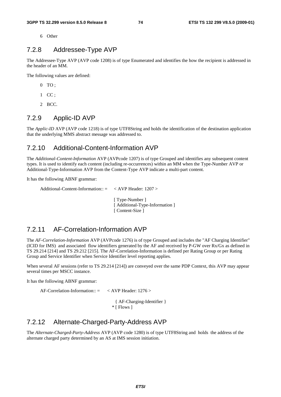6 Other

### 7.2.8 Addressee-Type AVP

The Addressee-Type AVP (AVP code 1208) is of type Enumerated and identifies the how the recipient is addressed in the header of an MM.

The following values are defined:

- $0$  TO :
- 1 CC ;
- 2 BCC.

### 7.2.9 Applic-ID AVP

The *Applic-ID* AVP (AVP code 1218) is of type UTF8String and holds the identification of the destination application that the underlying MMS abstract message was addressed to.

### 7.2.10 Additional-Content-Information AVP

The *Additional-Content-Information* AVP (AVPcode 1207) is of type Grouped and identifies any subsequent content types. It is used to identify each content (including re-occurrences) within an MM when the Type-Number AVP or Additional-Type-Information AVP from the Content-Type AVP indicate a multi-part content.

It has the following ABNF grammar:

```
Additional-Content-Information:: = < AVP Header: 1207 >
```
[ Type-Number ] [ Additional-Type-Information ] [ Content-Size ]

### 7.2.11 AF-Correlation-Information AVP

The *AF-Correlation-Information* AVP (AVPcode 1276) is of type Grouped and includes the "AF Charging Identifier" (ICID for IMS) and associated flow identifiers generated by the AF and received by P-GW over Rx/Gx as defined in TS 29.214 [214] and TS 29.212 [215]. The AF-Correlation-Information is defined per Rating Group or per Rating Group and Service Identifier when Service Identifier level reporting applies.

When several AF sessions (refer to TS 29.214 [214]) are conveyed over the same PDP Context, this AVP may appear several times per MSCC instance.

It has the following ABNF grammar:

AF-Correlation-Information:: = < AVP Header: 1276 >

 { AF-Charging-Identifier } \* [ Flows ]

### 7.2.12 Alternate-Charged-Party-Address AVP

The *Alternate-Charged-Party-Address* AVP (AVP code 1280) is of type UTF8String and holds the address of the alternate charged party determined by an AS at IMS session initiation.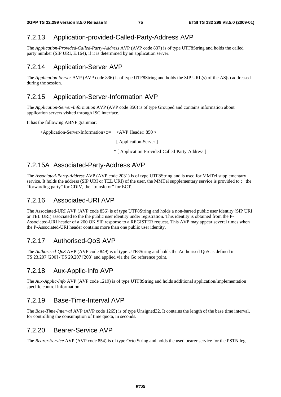### 7.2.13 Application-provided-Called-Party-Address AVP

The *Application-Provided-Called-Party-Address* AVP (AVP code 837) is of type UTF8String and holds the called party number (SIP URI, E.164), if it is determined by an application server.

### 7.2.14 Application-Server AVP

The *Application-Server* AVP (AVP code 836) is of type UTF8String and holds the SIP URL(s) of the AS(s) addressed during the session.

### 7.2.15 Application-Server-Information AVP

The *Application-Server-Information* AVP (AVP code 850) is of type Grouped and contains information about application servers visited through ISC interface.

It has the following ABNF grammar:

<Application-Server-Information>::= <AVP Header: 850 >

[ Application-Server ]

\* [ Application-Provided-Called-Party-Address ]

### 7.2.15A Associated-Party-Address AVP

The *Associated-Party-Address* AVP (AVP code 2031) is of type UTF8String and is used for MMTel supplementary service. It holds the address (SIP URI or TEL URI) of the user, the MMTel supplementary service is provided to : the "forwarding party" for CDIV, the "transferor" for ECT.

### 7.2.16 Associated-URI AVP

The Associated-URI AVP (AVP code 856) is of type UTF8String and holds a non-barred public user identity (SIP URI or TEL URI) associated to the the public user identity under registration. This identity is obtained from the P-Associated-URI header of a 200 OK SIP response to a REGISTER request. This AVP may appear several times when the P-Associated-URI header contains more than one public user identity.

### 7.2.17 Authorised-QoS AVP

The *Authorised-QoS* AVP (AVP code 849) is of type UTF8String and holds the Authorised QoS as defined in TS 23.207 [200] / TS 29.207 [203] and applied via the Go reference point.

### 7.2.18 Aux-Applic-Info AVP

The *Aux-Applic-Info* AVP (AVP code 1219) is of type UTF8String and holds additional application/implementation specific control information.

### 7.2.19 Base-Time-Interval AVP

The *Base-Time-Interval* AVP (AVP code 1265) is of type Unsigned32. It contains the length of the base time interval, for controlling the consumption of time quota, in seconds.

### 7.2.20 Bearer-Service AVP

The *Bearer-Service* AVP (AVP code 854) is of type OctetString and holds the used bearer service for the PSTN leg.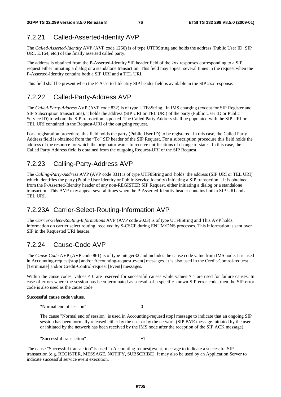### 7.2.21 Called-Asserted-Identity AVP

The *Called-Asserted-Identity* AVP (AVP code 1250) is of type UTF8String and holds the address (Public User ID: SIP URI, E.164, etc.) of the finally asserted called party.

The address is obtained from the P-Asserted-Identity SIP header field of the 2xx responses corresponding to a SIP request either initiating a dialog or a standalone transaction. This field may appear several times in the request when the P-Asserted-Identity contains both a SIP URI and a TEL URI.

This field shall be present when the P-Asserted-Identity SIP header field is available in the SIP 2xx response.

### 7.2.22 Called-Party-Address AVP

The *Called-Party-Address* AVP (AVP code 832) is of type UTF8String. In IMS charging (except for SIP Register and SIP Subscription transactions), it holds the address (SIP URI or TEL URI) of the party (Public User ID or Public Service ID) to whom the SIP transaction is posted. The Called Party Address shall be populated with the SIP URI or TEL URI contained in the Request-URI of the outgoing request.

For a registration procedure, this field holds the party (Public User ID) to be registered. In this case, the Called Party Address field is obtained from the "To" SIP header of the SIP Request. For a subscription procedure this field holds the address of the resource for which the originator wants to receive notifications of change of states. In this case, the Called Party Address field is obtained from the outgoing Request-URI of the SIP Request.

### 7.2.23 Calling-Party-Address AVP

The *Calling-Party-Address* AVP (AVP code 831) is of type UTF8String and holds the address (SIP URI or TEL URI) which identifies the party (Public User Identity or Public Service Identity) initiating a SIP transaction. . It is obtained from the P-Asserted-Identity header of any non-REGISTER SIP Request, either initiating a dialog or a standalone transaction. This AVP may appear several times when the P-Asserted-Identity header contains both a SIP URI and a TEL URI.

### 7.2.23A Carrier-Select-Routing-Information AVP

The *Carrier-Select-Routing-Informations* AVP (AVP code 2023) is of type UTF8String and This AVP holds information on carrier select routing, received by S-CSCF during ENUM/DNS processes. This information is sent over SIP in the Requested URI header.

### 7.2.24 Cause-Code AVP

The *Cause-Code* AVP (AVP code 861) is of type Integer32 and includes the cause code value from IMS node. It is used in Accounting-request[stop] and/or Accounting-request[event] messages. It is also used in the Credit-Control-request [Terminate] and/or Credit-Control-request [Event] messages.

Within the cause codes, values  $\leq 0$  are reserved for successful causes while values  $\geq 1$  are used for failure causes. In case of errors where the session has been terminated as a result of a specific known SIP error code, then the SIP error code is also used as the cause code.

#### **Successful cause code values.**

"Normal end of session" 0

The cause "Normal end of session" is used in Accounting-request[stop] message to indicate that an ongoing SIP session has been normally released either by the user or by the network (SIP BYE message initiated by the user or initiated by the network has been received by the IMS node after the reception of the SIP ACK message).

"Successful transaction" -1

The cause "Successful transaction" is used in Accounting-request[event] message to indicate a successful SIP transaction (e.g. REGISTER, MESSAGE, NOTIFY, SUBSCRIBE). It may also be used by an Application Server to indicate successful service event execution.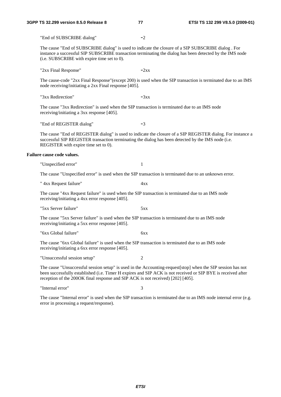"End of SUBSCRIBE dialog" -2 The cause "End of SUBSCRIBE dialog" is used to indicate the closure of a SIP SUBSCRIBE dialog . For instance a successful SIP SUBSCRIBE transaction terminating the dialog has been detected by the IMS node (i.e. SUBSCRIBE with expire time set to 0). " $2xx$  Final Response"  $-2xx$ The cause-code "2xx Final Response"(except 200) is used when the SIP transaction is terminated due to an IMS node receiving/initiating a 2xx Final response [405]. " $3xx$  Redirection"  $-3xx$ The cause "3xx Redirection" is used when the SIP transaction is terminated due to an IMS node receiving/initiating a 3xx response [405]. "End of REGISTER dialog" -3 The cause "End of REGISTER dialog" is used to indicate the closure of a SIP REGISTER dialog. For instance a successful SIP REGISTER transaction terminating the dialog has been detected by the IMS node (i.e. REGISTER with expire time set to 0). **Failure cause code values.**  "Unspecified error" 1 The cause "Unspecified error" is used when the SIP transaction is terminated due to an unknown error. " 4xx Request failure" 4xx The cause "4xx Request failure" is used when the SIP transaction is terminated due to an IMS node receiving/initiating a 4xx error response [405]. "5xx Server failure" 5xx The cause "5xx Server failure" is used when the SIP transaction is terminated due to an IMS node receiving/initiating a 5xx error response [405]. "6xx Global failure" 6xx The cause "6xx Global failure" is used when the SIP transaction is terminated due to an IMS node receiving/initiating a 6xx error response [405]. "Unsuccessful session setup" 2 The cause "Unsuccessful session setup" is used in the Accounting-request[stop] when the SIP session has not been successfully established (i.e. Timer H expires and SIP ACK is not received or SIP BYE is received after reception of the 200OK final response and SIP ACK is not received) [202] [405]. "Internal error" 3

The cause "Internal error" is used when the SIP transaction is terminated due to an IMS node internal error (e.g. error in processing a request/response).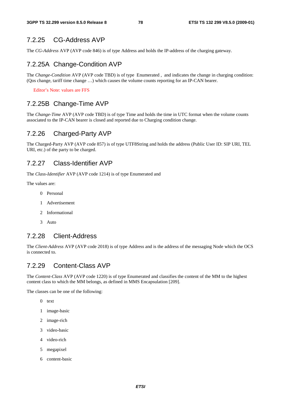### 7.2.25 CG-Address AVP

The *CG-Address* AVP (AVP code 846) is of type Address and holds the IP-address of the charging gateway.

### 7.2.25A Change-Condition AVP

The *Change-Condition* AVP (AVP code TBD) is of type Enumerated , and indicates the change in charging condition: (Qos change, tariff time change …) which causes the volume counts reporting for an IP-CAN bearer.

Editor's Note: values are FFS

### 7.2.25B Change-Time AVP

The *Change-Time* AVP (AVP code TBD) is of type Time and holds the time in UTC format when the volume counts associated to the IP-CAN bearer is closed and reported due to Charging condition change.

### 7.2.26 Charged-Party AVP

The Charged-Party AVP (AVP code 857) is of type UTF8String and holds the address (Public User ID: SIP URI, TEL URI, etc.) of the party to be charged.

### 7.2.27 Class-Identifier AVP

The *Class-Identifier* AVP (AVP code 1214) is of type Enumerated and

The values are:

- 0 Personal
- 1 Advertisement
- 2 Informational
- 3 Auto

### 7.2.28 Client-Address

The *Client-Address* AVP (AVP code 2018) is of type Address and is the address of the messaging Node which the OCS is connected to.

### 7.2.29 Content-Class AVP

The *Content-Class* AVP (AVP code 1220) is of type Enumerated and classifies the content of the MM to the highest content class to which the MM belongs, as defined in MMS Encapsulation [209].

The classes can be one of the following:

- 0 text
- 1 image-basic
- 2 image-rich
- 3 video-basic
- 4 video-rich
- 5 megapixel
- 6 content-basic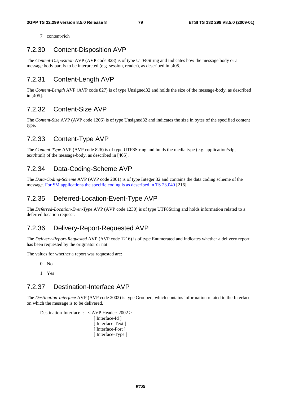7 content-rich

### 7.2.30 Content-Disposition AVP

The *Content-Disposition* AVP (AVP code 828) is of type UTF8String and indicates how the message body or a message body part is to be interpreted (e.g. session, render), as described in [405].

### 7.2.31 Content-Length AVP

The *Content-Length* AVP (AVP code 827) is of type Unsigned32 and holds the size of the message-body, as described in [405].

### 7.2.32 Content-Size AVP

The *Content-Size* AVP (AVP code 1206) is of type Unsigned32 and indicates the size in bytes of the specified content type.

### 7.2.33 Content-Type AVP

The *Content-Type* AVP (AVP code 826) is of type UTF8String and holds the media type (e.g. application/sdp, text/html) of the message-body, as described in [405].

### 7.2.34 Data-Coding-Scheme AVP

The *Data-Coding-Scheme* AVP (AVP code 2001) is of type Integer 32 and contains the data coding scheme of the message. For SM applications the specific coding is as described in TS 23.040 [216].

### 7.2.35 Deferred-Location-Event-Type AVP

The *Deferred-Location-Even-Type* AVP (AVP code 1230) is of type UTF8String and holds information related to a deferred location request.

### 7.2.36 Delivery-Report-Requested AVP

The *Delivery-Report-Requested* AVP (AVP code 1216) is of type Enumerated and indicates whether a delivery report has been requested by the originator or not.

The values for whether a report was requested are:

 $0$  No

1 Yes

### 7.2.37 Destination-Interface AVP

The *Destination-Interface* AVP (AVP code 2002) is type Grouped, which contains information related to the Interface on which the message is to be delivered.

Destination-Interface ::= < AVP Header: 2002 > [ Interface-Id ] [ Interface-Text ] [ Interface-Port ]

```
[ Interface-Type ]
```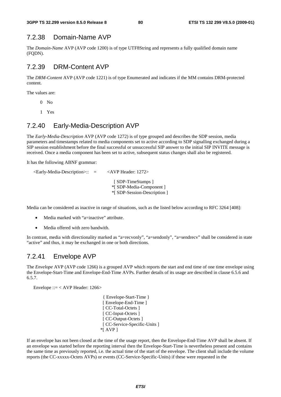### 7.2.38 Domain-Name AVP

The *Domain-Name* AVP (AVP code 1200) is of type UTF8String and represents a fully qualified domain name (FQDN).

### 7.2.39 DRM-Content AVP

The *DRM-Content* AVP (AVP code 1221) is of type Enumerated and indicates if the MM contains DRM-protected content.

The values are:

- $0$  No
- 1 Yes

### 7.2.40 Early-Media-Description AVP

The *Early-Media-Description* AVP (AVP code 1272) is of type grouped and describes the SDP session, media parameters and timestamps related to media components set to active according to SDP signalling exchanged during a SIP session establishment before the final successful or unsuccessful SIP answer to the initial SIP INVITE message is received. Once a media component has been set to active, subsequent status changes shall also be registered.

It has the following ABNF grammar:

 <Early-Media-Description>:: = <AVP Header: 1272> [ SDP-TimeStamps ] \*[ SDP-Media-Component ] \*[ SDP-Session-Description ]

Media can be considered as inactive in range of situations, such as the listed below according to RFC 3264 [408]:

- Media marked with "a=inactive" attribute.
- Media offered with zero bandwith.

In contrast, media with directionality marked as "a=recvonly", "a=sendonly", "a=sendrecv" shall be considered in state "active" and thus, it may be exchanged in one or both directions.

### 7.2.41 Envelope AVP

The *Envelope* AVP (AVP code 1266) is a grouped AVP which reports the start and end time of one time envelope using the Envelope-Start-Time and Envelope-End-Time AVPs. Further details of its usage are described in clause 6.5.6 and 6.5.7.

Envelope ::= < AVP Header: 1266>

 { Envelope-Start-Time } [ Envelope-End-Time ] [ CC-Total-Octets ] [ CC-Input-Octets ] [ CC-Output-Octets ] [ CC-Service-Specific-Units ] \*[ AVP ]

If an envelope has not been closed at the time of the usage report, then the Envelope-End-Time AVP shall be absent. If an envelope was started before the reporting interval then the Envelope-Start-Time is nevertheless present and contains the same time as previously reported, i.e. the actual time of the start of the envelope. The client shall include the volume reports (the CC-xxxxx-Octets AVPs) or events (CC-Service-Specific-Units) if these were requested in the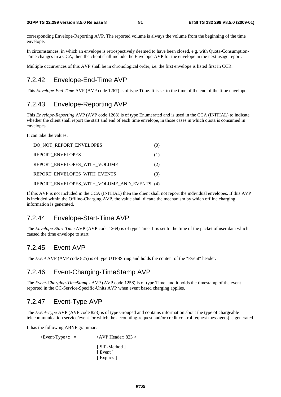corresponding Envelope-Reporting AVP. The reported volume is always the volume from the beginning of the time envelope.

In circumstances, in which an envelope is retrospectively deemed to have been closed, e.g. with Quota-Consumption-Time changes in a CCA, then the client shall include the Envelope-AVP for the envelope in the next usage report.

Multiple occurrences of this AVP shall be in chronological order, i.e. the first envelope is listed first in CCR.

### 7.2.42 Envelope-End-Time AVP

This *Envelope-End-Time* AVP (AVP code 1267) is of type Time. It is set to the time of the end of the time envelope.

### 7.2.43 Envelope-Reporting AVP

This *Envelope-Reporting* AVP (AVP code 1268) is of type Enumerated and is used in the CCA (INITIAL) to indicate whether the client shall report the start and end of each time envelope, in those cases in which quota is consumed in envelopes.

It can take the values:

| DO NOT REPORT ENVELOPES                     | (0) |
|---------------------------------------------|-----|
| <b>REPORT ENVELOPES</b>                     | (1) |
| REPORT ENVELOPES WITH VOLUME                | (2) |
| REPORT ENVELOPES WITH EVENTS                | (3) |
| REPORT ENVELOPES WITH VOLUME AND EVENTS (4) |     |

If this AVP is not included in the CCA (INITIAL) then the client shall not report the individual envelopes. If this AVP is included within the Offline-Charging AVP, the value shall dictate the mechanism by which offline charging information is generated.

### 7.2.44 Envelope-Start-Time AVP

The *Envelope-Start-Time* AVP (AVP code 1269) is of type Time. It is set to the time of the packet of user data which caused the time envelope to start.

### 7.2.45 Event AVP

The *Event* AVP (AVP code 825) is of type UTF8String and holds the content of the "Event" header.

### 7.2.46 Event-Charging-TimeStamp AVP

The *Event-Charging-TimeStamps* AVP (AVP code 1258) is of type Time, and it holds the timestamp of the event reported in the CC-Service-Specific-Units AVP when event based charging applies.

### 7.2.47 Event-Type AVP

The *Event-Type* AVP (AVP code 823) is of type Grouped and contains information about the type of chargeable telecommunication service/event for which the accounting-request and/or credit control request message(s) is generated.

It has the following ABNF grammar:

```
\leqEvent-Type\geq:: = \leqAVP Header: 823 >
                             [ SIP-Method ] 
                            [ Event ]
                            [ Expires ]
```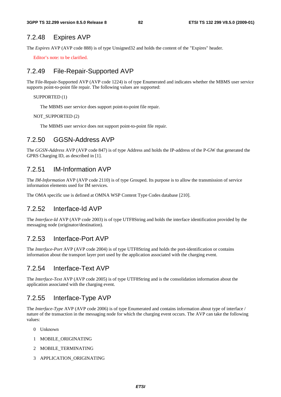### 7.2.48 Expires AVP

The *Expires* AVP (AVP code 888) is of type Unsigned32 and holds the content of the "Expires" header.

Editor's note: to be clarified.

### 7.2.49 File-Repair-Supported AVP

The File-Repair-Supported AVP (AVP code 1224) is of type Enumerated and indicates whether the MBMS user service supports point-to-point file repair. The following values are supported:

#### SUPPORTED (1)

The MBMS user service does support point-to-point file repair.

#### NOT\_SUPPORTED (2)

The MBMS user service does not support point-to-point file repair.

### 7.2.50 GGSN-Address AVP

The *GGSN-Address* AVP (AVP code 847) is of type Address and holds the IP-address of the P-GW that generated the GPRS Charging ID, as described in [1].

### 7.2.51 IM-Information AVP

The *IM-Information* AVP (AVP code 2110) is of type Grouped. Its purpose is to allow the transmission of service information elements used for IM services.

The OMA specific use is defined at OMNA WSP Content Type Codes database [210].

### 7.2.52 Interface-Id AVP

The *Interface-Id* AVP (AVP code 2003) is of type UTF8String and holds the interface identification provided by the messaging node (originator/destination).

### 7.2.53 Interface-Port AVP

The *Interface-Port* AVP (AVP code 2004) is of type UTF8String and holds the port-identification or contains information about the transport layer port used by the application associated with the charging event.

### 7.2.54 Interface-Text AVP

The *Interface-Text* AVP (AVP code 2005) is of type UTF8String and is the consolidation information about the application associated with the charging event.

### 7.2.55 Interface-Type AVP

The *Interface-Type* AVP (AVP code 2006) is of type Enumerated and contains information about type of interface / nature of the transaction in the messaging node for which the charging event occurs. The AVP can take the following values:

- 0 Unknown
- 1 MOBILE\_ORIGINATING
- 2 MOBILE\_TERMINATING
- 3 APPLICATION\_ORIGINATING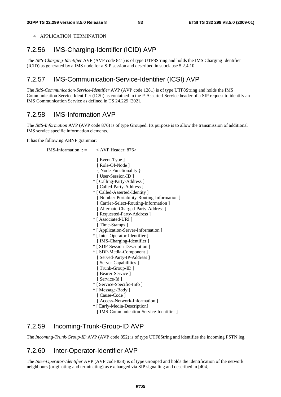4 APPLICATION TERMINATION

# 7.2.56 IMS-Charging-Identifier (ICID) AVP

The *IMS-Charging-Identifier* AVP (AVP code 841) is of type UTF8String and holds the IMS Charging Identifier (ICID) as generated by a IMS node for a SIP session and described in subclause 5.2.4.10.

# 7.2.57 IMS-Communication-Service-Identifier (ICSI) AVP

The *IMS-Communication-Service-Identifier* AVP (AVP code 1281) is of type UTF8String and holds the IMS Communication Service Identifier (ICSI) as contained in the P-Asserted-Service header of a SIP request to identify an IMS Communication Service as defined in TS 24.229 [202].

# 7.2.58 IMS-Information AVP

The *IMS-Information* AVP (AVP code 876) is of type Grouped. Its purpose is to allow the transmission of additional IMS service specific information elements.

It has the following ABNF grammar:

```
IMS-Information :: = < AVP Header: 876>
                           [ Event-Type ]
                            [ Role-Of-Node ] 
                            { Node-Functionality } 
                           [ User-Session-ID ] 
                          * [ Calling-Party-Address ] 
                          [ Called-Party-Address ]
                          * [ Called-Asserted-Identity ] 
                            [ Number-Portability-Routing-Information ] 
                           [ Carrier-Select-Routing-Information ]
                            [ Alternate-Charged-Party-Address ] 
                            [ Requested-Party-Address ] 
                          * [ Associated-URI ] 
                          [ Time-Stamps ]
                          * [ Application-Server-Information ] 
                          * [ Inter-Operator-Identifier ] 
                          [ IMS-Charging-Identifier ]
                          * [ SDP-Session-Description ] 
                          * [ SDP-Media-Component ] 
                            [ Served-Party-IP-Address ] 
                            [ Server-Capabilities ] 
                            [ Trunk-Group-ID ] 
                           [ Bearer-Service ]
                           [ Service-Id ] 
                          * [ Service-Specific-Info ] 
                          * [ Message-Body ] 
                          [ Cause-Code ]
                           [ Access-Network-Information ] 
                          * [ Early-Media-Description] 
                           [ IMS-Communication-Service-Identifier ]
```
### 7.2.59 Incoming-Trunk-Group-ID AVP

The *Incoming-Trunk-Group-ID* AVP (AVP code 852) is of type UTF8String and identifies the incoming PSTN leg.

### 7.2.60 Inter-Operator-Identifier AVP

The *Inter-Operator-Identifier* AVP (AVP code 838) is of type Grouped and holds the identification of the network neighbours (originating and terminating) as exchanged via SIP signalling and described in [404].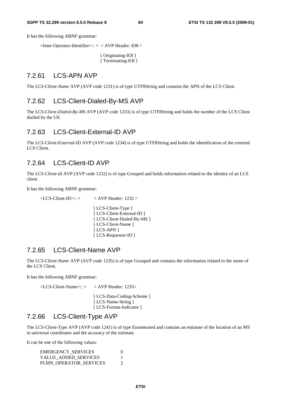It has the following ABNF grammar:

 $\alpha$  <Inter-Operator-Identifier>:: =  $\alpha$  AVP Header: 838

[ Originating-IOI ] [ Terminating-IOI ]

### 7.2.61 LCS-APN AVP

The *LCS-Client-Name* AVP (AVP code 1231) is of type UTF8String and contains the APN of the LCS Client.

### 7.2.62 LCS-Client-Dialed-By-MS AVP

The *LCS-Client-Dialed-By-MS* AVP (AVP code 1233) is of type UTF8String and holds the number of the LCS Client dialled by the UE.

### 7.2.63 LCS-Client-External-ID AVP

The *LCS-Client-External-ID* AVP (AVP code 1234) is of type UTF8String and holds the identification of the external LCS Client.

### 7.2.64 LCS-Client-ID AVP

The *LCS-Client-Id* AVP (AVP code 1232) is of type Grouped and holds information related to the identity of an LCS client.

It has the following ABNF grammar:

- $\angle$ LCS-Client-ID $\angle$ :: =  $\angle$  AVP Header: 1232  $>$ 
	- [ LCS-Client-Type ] [ LCS-Client-External-ID ] [ LCS-Client-Dialed-By-MS ] [ LCS-Client-Name ] [ LCS-APN ] [ LCS-Requestor-ID ]

#### 7.2.65 LCS-Client-Name AVP

The *LCS-Client-Name* AVP (AVP code 1235) is of type Grouped and contains the information related to the name of the LCS Client.

It has the following ABNF grammar:

 $\langle$ LCS-Client-Name>:: =  $\langle$  AVP Header: 1235>

[ LCS-Data-Coding-Scheme ] [ LCS-Name-String ] [ LCS-Format-Indicator ]

### 7.2.66 LCS-Client-Type AVP

The *LCS-Client-Type* AVP (AVP code 1241) is of type Enumerated and contains an estimate of the location of an MS in universal coordinates and the accuracy of the estimate.

It can be one of the following values:

| <b>EMERGENCY SERVICES</b> |  |
|---------------------------|--|
| VALUE ADDED SERVICES      |  |
| PLMN OPERATOR SERVICES    |  |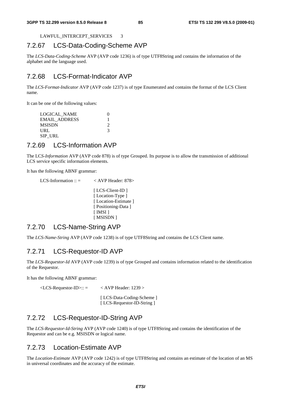LAWFUL\_INTERCEPT\_SERVICES 3

### 7.2.67 LCS-Data-Coding-Scheme AVP

The *LCS-Data-Coding-Scheme* AVP (AVP code 1236) is of type UTF8String and contains the information of the alphabet and the language used.

# 7.2.68 LCS-Format-Indicator AVP

The *LCS-Format-Indicator* AVP (AVP code 1237) is of type Enumerated and contains the format of the LCS Client name.

It can be one of the following values:

| LOGICAL NAME         |   |
|----------------------|---|
| <b>EMAIL ADDRESS</b> |   |
| <b>MSISDN</b>        |   |
| URL                  | 3 |
| SIP URL              |   |
|                      |   |

### 7.2.69 LCS-Information AVP

The LC*S-Information* AVP (AVP code 878) is of type Grouped. Its purpose is to allow the transmission of additional LCS service specific information elements.

It has the following ABNF grammar:

```
LCS-Information :: = \langle AVP Header: 878>
                           [ LCS-Client-ID ]
                           [Location-Type ]
                           [ Location-Estimate ]
                           [ Positioning-Data ]
                           [ IMSI ] 
                           [ MSISDN ]
```
### 7.2.70 LCS-Name-String AVP

The *LCS-Name-String* AVP (AVP code 1238) is of type UTF8String and contains the LCS Client name.

### 7.2.71 LCS-Requestor-ID AVP

The *LCS-Requestor-Id* AVP (AVP code 1239) is of type Grouped and contains information related to the identification of the Requestor.

It has the following ABNF grammar:

 $\langle$ LCS-Requestor-ID>:: =  $\langle$  AVP Header: 1239 > [ LCS-Data-Coding-Scheme ] [ LCS-Requestor-ID-String ]

### 7.2.72 LCS-Requestor-ID-String AVP

The *LCS-Requestor-Id-String* AVP (AVP code 1240) is of type UTF8String and contains the identification of the Requestor and can be e.g. MSISDN or logical name.

### 7.2.73 Location-Estimate AVP

The *Location-Estimate* AVP (AVP code 1242) is of type UTF8String and contains an estimate of the location of an MS in universal coordinates and the accuracy of the estimate.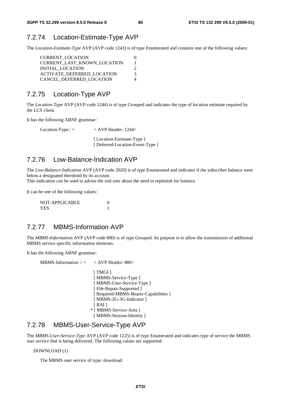### 7.2.74 Location-Estimate-Type AVP

The *Location-Estimate-Type* AVP (AVP code 1243) is of type Enumerated and contains one of the following values:

| <b>CURRENT LOCATION</b>            |   |
|------------------------------------|---|
| <b>CURRENT LAST KNOWN LOCATION</b> |   |
| INITIAL LOCATION                   |   |
| ACTIVATE DEFERRED_LOCATION         | 3 |
| CANCEL DEFERRED LOCATION           |   |

### 7.2.75 Location-Type AVP

The *Location-Type* AVP (AVP code 1244) is of type Grouped and indicates the type of location estimate required by the LCS client.

It has the following ABNF grammar:

Location-Type:: = < AVP Header: 1244> [Location-Estimate-Type ] [ Deferred-Location-Event-Type ]

### 7.2.76 Low-Balance-Indication AVP

The *Low-Balance-Indication* AVP (AVP code 2020) is of type Enumerated and indicates if the subscriber balance went below a designated threshold by its account.

This indication can be used to advise the end user about the need to replenish his balance.

It can be one of the following values:

| NOT-APPLICABLE |  |
|----------------|--|
| YES.           |  |

### 7.2.77 MBMS-Information AVP

The *MBMS-Information* AVP (AVP code 880) is of type Grouped. Its purpose is to allow the transmission of additional MBMS service specific information elements.

It has the following ABNF grammar:

 $MBMS\text{-}Information :: = \langle AVP \text{Header}: 880 \rangle$ [ TMGI ] [ MBMS-Service-Type ] [ MBMS-User-Service-Type ] [ File-Repair-Supported ] [ Required-MBMS-Bearer-Capabilities ] [ MBMS-2G-3G-Indicator ] [ RAI ] \* [ MBMS-Service-Area ] [ MBMS-Session-Identity ]

### 7.2.78 MBMS-User-Service-Type AVP

The *MBMS-User-Service-Type* AVP (AVP code 1225) is of type Enumerated and indicates type of service the MBMS user service that is being delivered. The following values are supported:

DOWNLOAD (1)

The MBMS user service of type: download.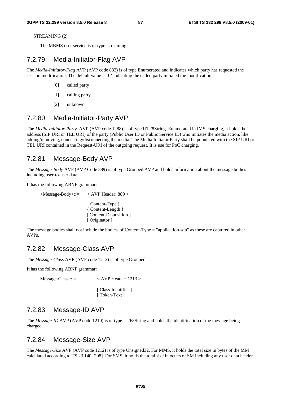STREAMING (2)

The MBMS user service is of type: streaming.

### 7.2.79 Media-Initiator-Flag AVP

The *Media-Initiator-Flag* AVP (AVP code 882) is of type Enumerated and indicates which party has requested the session modification. The default value is '0' indicating the called party initiated the modification.

- [0] called party
- [1] calling party
- [2] unknown

#### 7.2.80 Media-Initiator-Party AVP

The *Media-Initiator-Party* AVP (AVP code 1288) is of type UTF8String. Enumerated in IMS charging, it holds the address (SIP URI or TEL URI) of the party (Public User ID or Public Service ID) who initiates the media action, like adding/removing, connecting/disconnecting the media. The Media Initiator Party shall be populated with the SIP URI or TEL URI contained in the Request-URI of the outgoing request. It is use for PoC charging.

#### 7.2.81 Message-Body AVP

The *Message-Body* AVP (AVP Code 889) is of type Grouped AVP and holds information about the message bodies including user-to-user data.

It has the following ABNF grammar:

<Message-Body>::= < AVP Header: 889 >

{ Content-Type } { Content-Length } [ Content-Disposition ] [ Originator ]

The message bodies shall not include the bodies' of Content-Type = "application-sdp" as these are captured in other AVPs.

#### 7.2.82 Message-Class AVP

The *Message-Class* AVP (AVP code 1213) is of type Grouped.

It has the following ABNF grammar:

 $Message-Class :: = \n\qquad \qquad \text{AVP} \nHeader: 1213 >$ 

[ Class-Identifier ] [ Token-Text ]

### 7.2.83 Message-ID AVP

The *Message-ID* AVP (AVP code 1210) is of type UTF8String and holds the identification of the message being charged.

### 7.2.84 Message-Size AVP

The *Message-Size* AVP (AVP code 1212) is of type Unsigned32. For MMS, it holds the total size in bytes of the MM calculated according to TS 23.140 [208]. For SMS, it holds the total size in octets of SM including any user data header.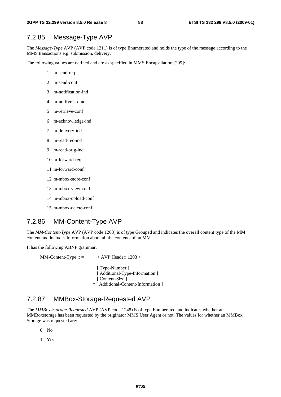### 7.2.85 Message-Type AVP

The *Message-Type* AVP (AVP code 1211) is of type Enumerated and holds the type of the message according to the MMS transactions e.g. submission, delivery.

The following values are defined and are as specified in MMS Encapsulation [209]:

- 1 m-send-req
- 2 m-send-conf
- 3 m-notification-ind
- 4 m-notifyresp-ind
- 5 m-retrieve-conf
- 6 m-acknowledge-ind
- 7 m-delivery-ind
- 8 m-read-rec-ind
- 9 m-read-orig-ind
- 10 m-forward-req
- 11 m-forward-conf
- 12 m-mbox-store-conf
- 13 m-mbox-view-conf
- 14 m-mbox-upload-conf
- 15 m-mbox-delete-conf

### 7.2.86 MM-Content-Type AVP

The *MM-Content-Type* AVP (AVP code 1203) is of type Grouped and indicates the overall content type of the MM content and includes information about all the contents of an MM.

It has the following ABNF grammar:

 $MM-Content-Type :: = \nightharpoonup \nightharpoonup \nightharpoonup \nightharpoonup \nightharpoonup \nightharpoonup \nightharpoonup \nightharpoonup \nightharpoonup \nightharpoonup \nightharpoonup \nightharpoonup \nightharpoonup \nightharpoonup \nightharpoonup \nightharpoonup \nightharpoonup \nightharpoonup \nightharpoonup \nightharpoonup \nightharpoonup \nightharpoonup \nightharpoonup \nightharpoonup \nightharpoonup \nightharpoonup \nightharpoonup \nightharpoonup \nightharpoonup \nightharpoonup \nightharpoonup \nightharpoonup \nightharpoonup \nightharpoonup \nightharpoonup \nighthar$ 

[ Type-Number ] [ Additional-Type-Information ] [ Content-Size ] \* [ Additional-Content-Information ]

### 7.2.87 MMBox-Storage-Requested AVP

The *MMBox-Storage-Requested* AVP (AVP code 1248) is of type Enumerated and indicates whether an MMBoxstorage has been requested by the originator MMS User Agent or not. The values for whether an MMBox Storage was requested are:

 $0$  No

1 Yes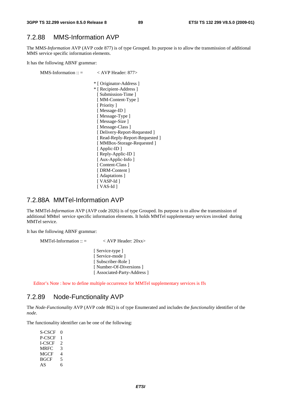### 7.2.88 MMS-Information AVP

The MM*S-Information* AVP (AVP code 877) is of type Grouped. Its purpose is to allow the transmission of additional MMS service specific information elements.

It has the following ABNF grammar:

MMS-Information ::  $=$   $\langle$  AVP Header: 877> \* [ Originator-Address ] \* [ Recipient-Address ] [ Submission-Time ] [ MM-Content-Type ] [ Priority ] [ Message-ID ] [Message-Type ] [ Message-Size ] [ Message-Class ] [ Delivery-Report-Requested ] [ Read-Reply-Report-Requested ] [ MMBox-Storage-Requested ] [ Applic-ID ] [ Reply-Applic-ID ] [ Aux-Applic-Info ] [ Content-Class ] [ DRM-Content ] [ Adaptations ] [ VASP-Id ] [ VAS-Id ]

### 7.2.88A MMTel-Information AVP

The MMTel*-Information* AVP (AVP code 2026) is of type Grouped. Its purpose is to allow the transmission of additional MMtel service specific information elements. It holds MMTel supplementary services invoked during MMTel service.

It has the following ABNF grammar:

```
MMTel-Information :: = \langle AVP Header: 20xx>
                          [ Service-type ]
                          [ Service-mode ]
                          [ Subscriber-Role ] 
                           [ Number-Of-Diversions ]
                          [ Associated-Party-Address ]
```
Editor's Note : how to define multiple occurrence for MMTel supplementary services is ffs

### 7.2.89 Node-Functionality AVP

The *Node-Functionality* AVP (AVP code 862) is of type Enumerated and includes the *functionality* identifier of the *node*.

The functionality identifier can be one of the following:

| S-CSCF      | $\mathbf{0}$ |
|-------------|--------------|
| P-CSCF      | 1            |
| LCSCF       | 2            |
| <b>MRFC</b> | 3            |
| MGCF        | 4            |
| <b>BGCF</b> | 5            |
| AS          | 6            |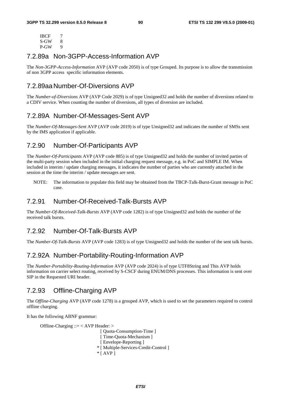| IBCF | 7 |
|------|---|
| S-GW | x |
| P-GW | 9 |

### 7.2.89a Non-3GPP-Access-Information AVP

The *Non-3GPP-Access-Information* AVP (AVP code 2050) is of type Grouped. Its purpose is to allow the transmission of non 3GPP access specific information elements.

### 7.2.89aa Number-Of-Diversions AVP

The *Number-of-Diversions* AVP (AVP Code 2029) is of type Unsigned32 and holds the number of diversions related to a CDIV service. When counting the number of diversions, all types of diversion are included.

### 7.2.89A Number-Of-Messages-Sent AVP

The *Number-Of-Messages-Sent* AVP (AVP code 2019) is of type Unsigned32 and indicates the number of SMSs sent by the IMS application if applicable.

### 7.2.90 Number-Of-Participants AVP

The *Number-Of-Participants* AVP (AVP code 885) is of type Unsigned32 and holds the number of invited parties of the multi-party session when included in the initial charging request message, e.g. in PoC and SIMPLE IM. When included in interim / update charging messages, it indicates the number of parties who are currently attached in the session at the time the interim / update messages are sent.

NOTE: The information to populate this field may be obtained from the TBCP-Talk-Burst-Grant message in PoC case.

### 7.2.91 Number-Of-Received-Talk-Bursts AVP

The *Number-Of-Received-Talk-Bursts* AVP (AVP code 1282) is of type Unsigned32 and holds the number of the received talk bursts.

### 7.2.92 Number-Of-Talk-Bursts AVP

The *Number-Of-Talk-Bursts* AVP (AVP code 1283) is of type Unsigned32 and holds the number of the sent talk bursts.

### 7.2.92A Number-Portability-Routing-Information AVP

The *Number-Portability-Routing-Information* AVP (AVP code 2024) is of type UTF8String and This AVP holds information on carrier select routing, received by S-CSCF during ENUM/DNS processes. This information is sent over SIP in the Requested URI header.

### 7.2.93 Offline-Charging AVP

The *Offline-Charging* AVP (AVP code 1278) is a grouped AVP, which is used to set the parameters required to control offline charging.

It has the following ABNF grammar:

Offline-Charging ::= < AVP Header: >

```
 [ Quota-Consumption-Time ] 
 [ Time-Quota-Mechanism ]
 [ Envelope-Reporting ]
* [ Multiple-Services-Credit-Control ] 
* [ AVP ]
```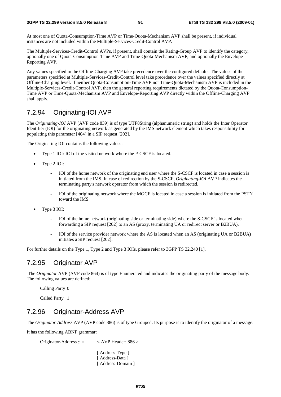#### **3GPP TS 32.299 version 8.5.0 Release 8 91 ETSI TS 132 299 V8.5.0 (2009-01)**

At most one of Quota-Consumption-Time AVP or Time-Quota-Mechanism AVP shall be present, if individual instances are not included within the Multiple-Services-Credit-Control AVP.

The Multiple-Services-Credit-Control AVPs, if present, shall contain the Rating-Group AVP to identify the category, optionally one of Quota-Consumption-Time AVP and Time-Quota-Mechanism AVP, and optionally the Envelope-Reporting AVP.

Any values specified in the Offline-Charging AVP take precedence over the configured defaults. The values of the parameters specified at Multiple-Services-Credit-Control level take precedence over the values specified directly at Offline-Charging level. If neither Quota-Consumption-Time AVP nor Time-Quota-Mechanism AVP is included in the Multiple-Services-Credit-Control AVP, then the general reporting requirements dictated by the Quota-Consumption-Time AVP or Time-Quota-Mechanism AVP and Envelope-Reporting AVP directly within the Offline-Charging AVP shall apply.

# 7.2.94 Originating-IOI AVP

The *Originating-IOI* AVP (AVP code 839) is of type UTF8String (alphanumeric string) and holds the Inter Operator Identifier (IOI) for the originating network as generated by the IMS network element which takes responsibility for populating this parameter [404] in a SIP request [202].

The Originating IOI contains the following values:

- Type 1 IOI: IOI of the visited network where the P-CSCF is located.
- Type 2 IOI:
	- IOI of the home network of the originating end user where the S-CSCF is located in case a session is initiated from the IMS. In case of redirection by the S-CSCF, *Originating-IOI* AVP indicates the terminating party's network operator from which the session is redirected.
	- IOI of the originating network where the MGCF is located in case a session is initiated from the PSTN toward the IMS.
- Type 3 IOI:
	- IOI of the home network (originating side or terminating side) where the S-CSCF is located when forwarding a SIP request [202] to an AS (proxy, terminating UA or redirect server or B2BUA).
	- IOI of the service provider network where the AS is located when an AS (originating UA or B2BUA) initiates a SIP request [202].

For further details on the Type 1, Type 2 and Type 3 IOIs, please refer to 3GPP TS 32.240 [1].

### 7.2.95 Originator AVP

 The *Originator* AVP (AVP code 864) is of type Enumerated and indicates the originating party of the message body. The following values are defined:

Calling Party 0

Called Party 1

# 7.2.96 Originator-Address AVP

The *Originator-Address* AVP (AVP code 886) is of type Grouped. Its purpose is to identify the originator of a message.

It has the following ABNF grammar:

```
Originator-Address :: = < AVP Header: 886 >
```
[ Address-Type ] [ Address-Data ] [ Address-Domain ]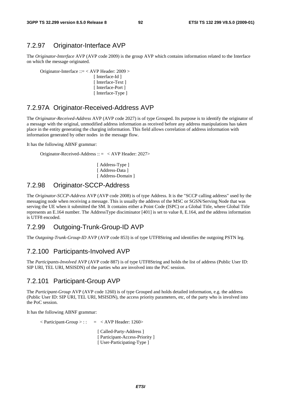### 7.2.97 Originator-Interface AVP

The *Originator-Interface* AVP (AVP code 2009) is the group AVP which contains information related to the Interface on which the message originated.

Originator-Interface ::= < AVP Header: 2009 >

[ Interface-Id ] [ Interface-Text ] [ Interface-Port ] [ Interface-Type ]

### 7.2.97A Originator-Received-Address AVP

The *Originator-Received-Address* AVP (AVP code 2027) is of type Grouped. Its purpose is to identify the originator of a message with the original, unmodified address information as received before any address manipulations has taken place in the entity generating the charging information. This field allows correlation of address information with information generated by other nodes in the message flow.

It has the following ABNF grammar:

Originator-Received-Address :: = < AVP Header: 2027>

[ Address-Type ] [ Address-Data ] [ Address-Domain ]

### 7.2.98 Originator-SCCP-Address

The *Originator-SCCP-Address* AVP (AVP code 2008) is of type Address. It is the "SCCP calling address" used by the messaging node when receiving a message. This is usually the address of the MSC or SGSN/Serving Node that was serving the UE when it submitted the SM. It contains either a Point Code (ISPC) or a Global Title, where Global Title represents an E.164 number. The AddressType disciminator [401] is set to value 8, E.164, and the address information is UTF8 encoded.

### 7.2.99 Outgoing-Trunk-Group-ID AVP

The *Outgoing-Trunk-Group-ID* AVP (AVP code 853) is of type UTF8String and identifies the outgoing PSTN leg.

### 7.2.100 Participants-Involved AVP

The *Participants-Involved* AVP (AVP code 887) is of type UTF8String and holds the list of address (Public User ID: SIP URI, TEL URI, MSISDN) of the parties who are involved into the PoC session.

### 7.2.101 Participant-Group AVP

The *Participant-Group* AVP (AVP code 1260) is of type Grouped and holds detailed information, e.g. the address (Public User ID: SIP URI, TEL URI, MSISDN), the access priority parameters, etc, of the party who is involved into the PoC session.

It has the following ABNF grammar:

```
\langle Participant-Group >: : = \langle AVP Header: 1260>[ Called-Party-Address ]
                               [ Participant-Access-Priority ] 
                               [ User-Participating-Type ]
```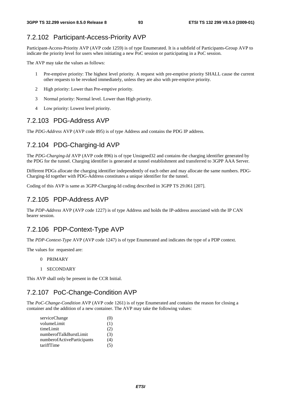# 7.2.102 Participant-Access-Priority AVP

Participant-Access-Priority AVP (AVP code 1259) is of type Enumerated. It is a subfield of Participants-Group AVP to indicate the priority level for users when initiating a new PoC session or participating in a PoC session.

The AVP may take the values as follows:

- 1 Pre-emptive priority: The highest level priority. A request with pre-emptive priority SHALL cause the current other requests to be revoked immediately, unless they are also with pre-emptive priority.
- 2 High priority: Lower than Pre-emptive priority.
- 3 Normal priority: Normal level. Lower than High priority.
- 4 Low priority: Lowest level priority.

# 7.2.103 PDG-Address AVP

The *PDG-Address* AVP (AVP code 895) is of type Address and contains the PDG IP address.

# 7.2.104 PDG-Charging-Id AVP

The *PDG-Charging-Id* AVP (AVP code 896) is of type Unsigned32 and contains the charging identifier generated by the PDG for the tunnel. Charging identifier is generated at tunnel establishment and transferred to 3GPP AAA Server.

Different PDGs allocate the charging identifier independently of each other and may allocate the same numbers. PDG-Charging-Id together with PDG-Address constitutes a unique identifier for the tunnel.

Coding of this AVP is same as 3GPP-Charging-Id coding described in 3GPP TS 29.061 [207].

# 7.2.105 PDP-Address AVP

The *PDP-Address* AVP (AVP code 1227) is of type Address and holds the IP-address associated with the IP CAN bearer session.

# 7.2.106 PDP-Context-Type AVP

The *PDP-Context-Type* AVP (AVP code 1247) is of type Enumerated and indicates the type of a PDP context.

The values for requested are:

- 0 PRIMARY
- 1 SECONDARY

This AVP shall only be present in the CCR Initial.

# 7.2.107 PoC-Change-Condition AVP

The *PoC-Change-Condition* AVP (AVP code 1261) is of type Enumerated and contains the reason for closing a container and the addition of a new container. The AVP may take the following values:

| serviceChange              | (U) |
|----------------------------|-----|
| volumeLimit                | (1) |
| timeLimit                  | (2) |
| numberofTalkBurstLimit     | (3) |
| numberofActiveParticipants | (4) |
| tariffTime                 | (5) |
|                            |     |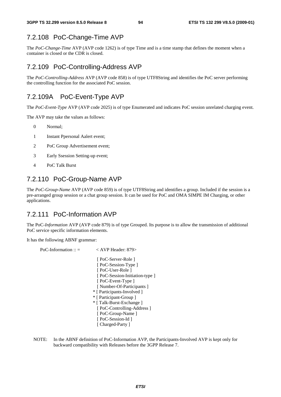### 7.2.108 PoC-Change-Time AVP

The *PoC-Change-Time* AVP (AVP code 1262) is of type Time and is a time stamp that defines the moment when a container is closed or the CDR is closed.

### 7.2.109 PoC-Controlling-Address AVP

The *PoC-Controlling-Address* AVP (AVP code 858) is of type UTF8String and identifies the PoC server performing the controlling function for the associated PoC session.

### 7.2.109A PoC-Event-Type AVP

The *PoC-Event-Type* AVP (AVP code 2025) is of type Enumerated and indicates PoC session unrelated charging event.

The AVP may take the values as follows:

- 0 Normal;
- 1 Instant Ppersonal Aalert event;
- 2 PoC Group Advertisement event;
- 3 Early Ssession Setting-up event;
- 4 PoC Talk Burst

### 7.2.110 PoC-Group-Name AVP

The *PoC-Group-Name* AVP (AVP code 859) is of type UTF8String and identifies a group. Included if the session is a pre-arranged group session or a chat group session. It can be used for PoC and OMA SIMPE IM Charging, or other applications.

### 7.2.111 PoC-Information AVP

The PoC*-Information* AVP (AVP code 879) is of type Grouped. Its purpose is to allow the transmission of additional PoC service specific information elements.

It has the following ABNF grammar:

```
PoC-Information :: = < AVP Header: 879>
                             [ PoC-Server-Role ] 
                             [ PoC-Session-Type ]
                             [ PoC-User-Role ] 
                             [ PoC-Session-Initiation-type ] 
                             [ PoC-Event-Type ]
                            [ Number-Of-Participants ]
                            * [ Participants-Involved ] 
                           * [ Participant-Group ] 
                            * [ Talk-Burst-Exchange ] 
                            [ PoC-Controlling-Address ]
                             [ PoC-Group-Name ]
                            [ PoC-Session-Id ]
                            [ Charged-Party ]
```
NOTE: In the ABNF definition of PoC-Information AVP, the Participants-Involved AVP is kept only for backward compatibility with Releases before the 3GPP Release 7.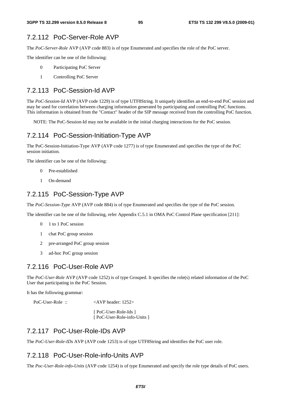### 7.2.112 PoC-Server-Role AVP

The *PoC-Server-Role* AVP (AVP code 883) is of type Enumerated and specifies the role of the PoC server.

The identifier can be one of the following:

- 0 Participating PoC Server
- 1 Controlling PoC Server

### 7.2.113 PoC-Session-Id AVP

The *PoC-Session-Id* AVP (AVP code 1229) is of type UTF8String. It uniquely identifies an end-to-end PoC session and may be used for correlation between charging information generated by participating and controlling PoC functions. This information is obtained from the "Contact" header of the SIP message received from the controlling PoC function.

NOTE: The PoC-Session-Id may not be available in the initial charging interactions for the PoC session.

### 7.2.114 PoC-Session-Initiation-Type AVP

The PoC-Session-Initiation-Type AVP (AVP code 1277) is of type Enumerated and specifies the type of the PoC session initiation.

The identifier can be one of the following:

- 0 Pre-established
- 1 On-demand

### 7.2.115 PoC-Session-Type AVP

The *PoC-Session-Type* AVP (AVP code 884) is of type Enumerated and specifies the type of the PoC session.

The identifier can be one of the following, refer Appendix C.5.1 in OMA PoC Control Plane specification [211]:

- 0 1 to 1 PoC session
- 1 chat PoC group session
- 2 pre-arranged PoC group session
- 3 ad-hoc PoC group session

### 7.2.116 PoC-User-Role AVP

The *PoC-User-Role* AVP (AVP code 1252) is of type Grouped. It specifies the role(s) related information of the PoC User that participating in the PoC Session.

It has the following grammar:

PoC-User-Role ::  $\langle AVP \text{ header}: 1252 \rangle$ 

 [ PoC-User-Role-Ids ] [ PoC-User-Role-info-Units ]

### 7.2.117 PoC-User-Role-IDs AVP

The *PoC-User-Role-IDs* AVP (AVP code 1253) is of type UTF8String and identifies the PoC user role.

### 7.2.118 PoC-User-Role-info-Units AVP

The *Poc-User-Role-info-Units* (AVP code 1254) is of type Enumerated and specify the role type details of PoC users.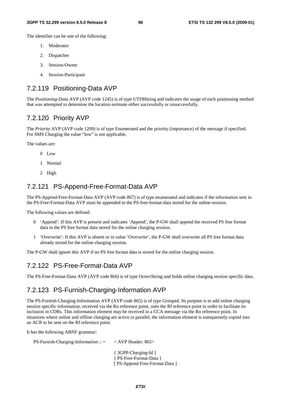The identifier can be one of the following:

- 1. Moderator
- 2. Dispatcher
- 3. Session-Owner
- 4. Session-Participant

### 7.2.119 Positioning-Data AVP

The *Positioning-Data* AVP (AVP code 1245) is of type UTF8String and indicates the usage of each positioning method that was attempted to determine the location estimate either successfully or unsuccessfully.

### 7.2.120 Priority AVP

The *Priority* AVP (AVP code 1209) is of type Enumerated and the priority (importance) of the message if specified. For SMS Charging the value "low" is not applicable.

The values are:

- 0 Low
- 1 Normal
- 2 High

### 7.2.121 PS-Append-Free-Format-Data AVP

The PS-Append-Free-Format-Data AVP (AVP code 867) is of type enumerated and indicates if the information sent in the PS-Free-Format-Data AVP must be appended to the PS-free-format-data stored for the online-session.

The following values are defined:

- 0 'Append': If this AVP is present and indicates 'Append', the P-GW shall append the received PS free format data to the PS free format data stored for the online charging session.
- 1 'Overwrite': If this AVP is absent or in value 'Overwrite', the P-GW shall overwrite all PS free format data already stored for the online charging session.

The P-GW shall ignore this AVP if no PS free format data is stored for the online charging session.

### 7.2.122 PS-Free-Format-Data AVP

The PS-Free-Format-Data AVP (AVP code 866) is of type OctectString and holds online charging session specific data.

### 7.2.123 PS-Furnish-Charging-Information AVP

The PS-Furnish-Charging-Information AVP (AVP code 865) is of type Grouped. Its purpose is to add online charging session specific information, received via the Ro reference point, onto the Rf reference point in order to facilitate its inclusion in CDRs. This information element may be received in a CCA message via the Ro reference point. In situations where online and offline charging are active in parallel, the information element is transparently copied into an ACR to be sent on the Rf reference point.

It has the following ABNF grammar:

PS-Furnish-Charging-Information  $\therefore$   $\leq$   $\lt$  AVP Header: 865 $\gt$ 

{ 3GPP-Charging-Id } { PS-Free-Format-Data } [ PS-Append-Free-Format-Data ]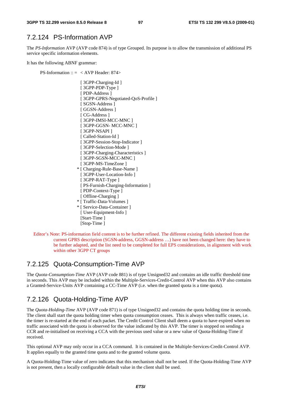### 7.2.124 PS-Information AVP

The *PS-Information* AVP (AVP code 874) is of type Grouped. Its purpose is to allow the transmission of additional PS service specific information elements.

It has the following ABNF grammar:

PS-Information  $:: = <$  AVP Header: 874>

- [ 3GPP-Charging-Id ] [ 3GPP-PDP-Type ] [ PDP-Address ] [ 3GPP-GPRS-Negotiated-QoS-Profile ] [ SGSN-Address ] [ GGSN-Address ] [ CG-Address ] [ 3GPP-IMSI-MCC-MNC ] [ 3GPP-GGSN- MCC-MNC ] [ 3GPP-NSAPI ] [ Called-Station-Id ] [ 3GPP-Session-Stop-Indicator ] [ 3GPP-Selection-Mode ] [ 3GPP-Charging-Characteristics ] [ 3GPP-SGSN-MCC-MNC ] [ 3GPP-MS-TimeZone ] \* [ Charging-Rule-Base-Name ] [ 3GPP-User-Location-Info ] [ 3GPP-RAT-Type ] [ PS-Furnish-Charging-Information ] [ PDP-Context-Type ] [ Offline-Charging ] \* [ Traffic-Data-Volumes ] \* [ Service-Data-Container ]
- [ User-Equipment-Info ] [Start-Time ] [Stop-Time ]
- Editor's Note: PS-information field content is to be further refined. The different existing fields inherited from the current GPRS description (SGSN-address, GGSN-address …) have not been changed here: they have to be further adapted, and the list need to be completed for full EPS considerations, in alignment with work within other 3GPP CT groups

### 7.2.125 Quota-Consumption-Time AVP

The *Quota-Consumption-Time* AVP (AVP code 881) is of type Unsigned32 and contains an idle traffic threshold time in seconds. This AVP may be included within the Multiple-Services-Credit-Control AVP when this AVP also contains a Granted-Service-Units AVP containing a CC-Time AVP (i.e. when the granted quota is a time quota).

### 7.2.126 Quota-Holding-Time AVP

The *Quota-Holding-Time* AVP (AVP code 871) is of type Unsigned32 and contains the quota holding time in seconds. The client shall start the quota holding timer when quota consumption ceases. This is always when traffic ceases, i.e. the timer is re-started at the end of each packet. The Credit Control Client shall deem a quota to have expired when no traffic associated with the quota is observed for the value indicated by this AVP. The timer is stopped on sending a CCR and re-initialised on receiving a CCA with the previous used value or a new value of Quota-Holding-Time if received.

This optional AVP may only occur in a CCA command. It is contained in the Multiple-Services-Credit-Control AVP. It applies equally to the granted time quota and to the granted volume quota.

A Quota-Holding-Time value of zero indicates that this mechanism shall not be used. If the Quota-Holding-Time AVP is not present, then a locally configurable default value in the client shall be used.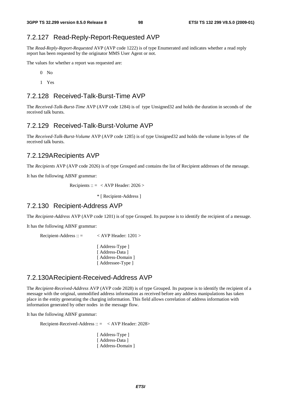### 7.2.127 Read-Reply-Report-Requested AVP

The *Read-Reply-Report-Requested* AVP (AVP code 1222) is of type Enumerated and indicates whether a read reply report has been requested by the originator MMS User Agent or not.

The values for whether a report was requested are:

- $0$  No
- 1 Yes

### 7.2.128 Received-Talk-Burst-Time AVP

The *Received-Talk-Burst-Time* AVP (AVP code 1284) is of type Unsigned32 and holds the duration in seconds of the received talk bursts.

### 7.2.129 Received-Talk-Burst-Volume AVP

The *Received-Talk-Burst-Volume* AVP (AVP code 1285) is of type Unsigned32 and holds the volume in bytes of the received talk bursts.

#### 7.2.129A Recipients AVP

The *Recipients* AVP (AVP code 2026) is of type Grouped and contains the list of Recipient addresses of the message.

It has the following ABNF grammar:

Recipients ::  $=$  < AVP Header: 2026 >

\* [ Recipient-Address ]

### 7.2.130 Recipient-Address AVP

The *Recipient-Address* AVP (AVP code 1201) is of type Grouped. Its purpose is to identify the recipient of a message.

It has the following ABNF grammar:

```
Recipient-Address :: = < AVP Header: 1201 >
```
[ Address-Type ] [ Address-Data ] [ Address-Domain ] [ Addressee-Type ]

### 7.2.130A Recipient-Received-Address AVP

The *Recipient-Received-Address* AVP (AVP code 2028) is of type Grouped. Its purpose is to identify the recipient of a message with the original, unmodified address information as received before any address manipulations has taken place in the entity generating the charging information. This field allows correlation of address information with information generated by other nodes in the message flow.

It has the following ABNF grammar:

Recipient-Received-Address :: = < AVP Header: 2028>

[Address-Type ] [ Address-Data ] [ Address-Domain ]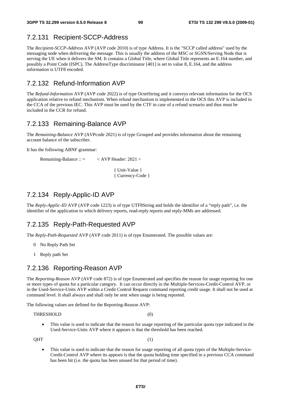### 7.2.131 Recipient-SCCP-Address

The *Recipient-SCCP-Address* AVP (AVP code 2010) is of type Address. It is the "SCCP called address" used by the messaging node when delivering the message. This is usually the address of the MSC or SGSN/Serving Node that is serving the UE when it delivers the SM. It contains a Global Title, where Global Title represents an E.164 number, and possibly a Point Code (ISPC). The AddressType discriminator [401] is set to value 8, E.164, and the address information is UTF8 encoded.

### 7.2.132 Refund-Information AVP

The *Refund-Information* AVP (AVP code 2022) is of type OctetString and it conveys relevant information for the OCS application relative to refund mechanism. When refund mechanism is implemented in the OCS this AVP is included in the CCA of the previous IEC. This AVP must be used by the CTF in case of a refund scenario and thus must be included in the CCR for refund.

### 7.2.133 Remaining-Balance AVP

The *Remaining-Balance* AVP (AVPcode 2021) is of type Grouped and provides information about the remaining account balance of the subscriber.

It has the following ABNF grammar:

Remaining-Balance :: = < AVP Header: 2021 >

 { Unit-Value } { Currency-Code }

### 7.2.134 Reply-Applic-ID AVP

The *Reply-Applic-ID* AVP (AVP code 1223) is of type UTF8String and holds the identifier of a "reply path", i.e. the identifier of the application to which delivery reports, read-reply reports and reply-MMs are addressed.

### 7.2.135 Reply-Path-Requested AVP

The *Reply-Path-Requested* AVP (AVP code 2011) is of type Enumerated. The possible values are:

- 0 No Reply Path Set
- 1 Reply path Set

### 7.2.136 Reporting-Reason AVP

The *Reporting-Reason* AVP (AVP code 872) is of type Enumerated and specifies the reason for usage reporting for one or more types of quota for a particular category. It can occur directly in the Multiple-Services-Credit-Control AVP, or in the Used-Service-Units AVP within a Credit Control Request command reporting credit usage. It shall not be used at command level. It shall always and shall only be sent when usage is being reported.

The following values are defined for the Reporting-Reason AVP:

THRESHOLD (0)

This value is used to indicate that the reason for usage reporting of the particular quota type indicated in the Used-Service-Units AVP where it appears is that the threshold has been reached.

 $QHT$  (1)

• This value is used to indicate that the reason for usage reporting of all quota types of the Multiple-Service-Credit-Control AVP where its appears is that the quota holding time specified in a previous CCA command has been hit (i.e. the quota has been unused for that period of time).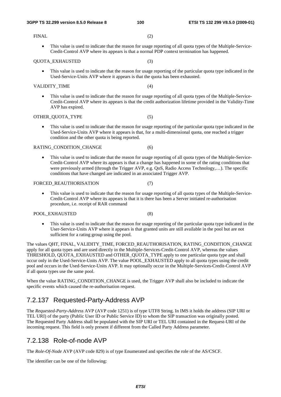- FINAL (2)
	- This value is used to indicate that the reason for usage reporting of all quota types of the Multiple-Service-Credit-Control AVP where its appears is that a normal PDP context termination has happened.

#### QUOTA\_EXHAUSTED (3)

• This value is used to indicate that the reason for usage reporting of the particular quota type indicated in the Used-Service-Units AVP where it appears is that the quota has been exhausted.

#### VALIDITY TIME (4)

• This value is used to indicate that the reason for usage reporting of all quota types of the Multiple-Service-Credit-Control AVP where its appears is that the credit authorization lifetime provided in the Validity-Time AVP has expired.

#### OTHER\_QUOTA\_TYPE (5)

This value is used to indicate that the reason for usage reporting of the particular quota type indicated in the Used-Service-Units AVP where it appears is that, for a multi-dimensional quota, one reached a trigger condition and the other quota is being reported.

RATING CONDITION CHANGE (6)

• This value is used to indicate that the reason for usage reporting of all quota types of the Multiple-Service-Credit-Control AVP where its appears is that a change has happened in some of the rating conditions that were previously armed (through the Trigger AVP, e.g. QoS, Radio Access Technology,…). The specific conditions that have changed are indicated in an associated Trigger AVP.

#### FORCED\_REAUTHORISATION (7)

• This value is used to indicate that the reason for usage reporting of all quota types of the Multiple-Service-Credit-Control AVP where its appears is that it is there has been a Server initiated re-authorisation procedure, i.e. receipt of RAR command

#### POOL\_EXHAUSTED (8)

• This value is used to indicate that the reason for usage reporting of the particular quota type indicated in the User-Service-Units AVP where it appears is that granted units are still available in the pool but are not sufficient for a rating group using the pool.

The values QHT, FINAL, VALIDITY\_TIME, FORCED\_REAUTHORISATION, RATING\_CONDITION\_CHANGE apply for all quota types and are used directly in the Multiple-Services-Credit-Control AVP, whereas the values THRESHOLD, QUOTA\_EXHAUSTED and OTHER\_QUOTA\_TYPE apply to one particular quota type and shall occur only in the Used-Service-Units AVP. The value POOL\_EXHAUSTED apply to all quota types using the credit pool and occurs in the Used-Service-Units AVP. It may optionally occur in the Multiple-Services-Credit-Control AVP if all quota types use the same pool.

When the value RATING\_CONDITION\_CHANGE is used, the Trigger AVP shall also be included to indicate the specific events which caused the re-authorisation request.

### 7.2.137 Requested-Party-Address AVP

The *Requested-Party-Address* AVP (AVP code 1251) is of type UTF8 String. In IMS it holds the address (SIP URI or TEL URI) of the party (Public User ID or Public Service ID) to whom the SIP transaction was originally posted. The Requested Party Address shall be populated with the SIP URI or TEL URI contained in the Request-URI of the incoming request. This field is only present if different from the Called Party Address parameter.

### 7.2.138 Role-of-node AVP

The *Role-Of-Node* AVP (AVP code 829) is of type Enumerated and specifies the role of the AS/CSCF.

The identifier can be one of the following: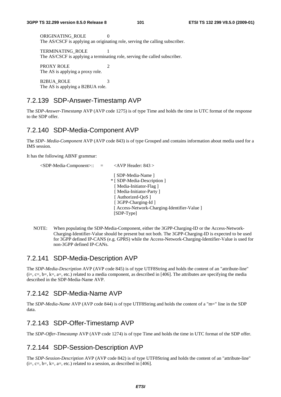ORIGINATING ROLE 0 The AS/CSCF is applying an originating role, serving the calling subscriber.

 TERMINATING\_ROLE 1 The AS/CSCF is applying a terminating role, serving the called subscriber.

PROXY ROLE 2 The AS is applying a proxy role.

B2BUA ROLE 3 The AS is applying a B2BUA role.

### 7.2.139 SDP-Answer-Timestamp AVP

The *SDP-Answer-Timestamp* AVP (AVP code 1275) is of type Time and holds the time in UTC format of the response to the SDP offer.

### 7.2.140 SDP-Media-Component AVP

The *SDP- Media-Component* AVP (AVP code 843) is of type Grouped and contains information about media used for a IMS session.

It has the following ABNF grammar:

```
 <SDP-Media-Component>:: = <AVP Header: 843 > 
                                    [ SDP-Media-Name ] 
                                    * [ SDP-Media-Description ] 
                                     [ Media-Initiator-Flag ] 
                                    [ Media-Initiator-Party ]
                                    [ Authorized-QoS ]
                                    [ 3GPP-Charging-Id ]
                                    [ Access-Network-Charging-Identifier-Value ] 
                                    [SDP-Type]
```
NOTE: When populating the SDP-Media-Component, either the 3GPP-Charging-ID or the Access-Network-Charging-Identifier-Value should be present but not both. The 3GPP-Charging-ID is expected to be used for 3GPP defined IP-CANS (e.g. GPRS) while the Access-Network-Charging-Identifier-Value is used for non-3GPP defined IP-CANs.

### 7.2.141 SDP-Media-Description AVP

The *SDP-Media-Description* AVP (AVP code 845) is of type UTF8String and holds the content of an "attribute-line"  $(i=, c=, b=, k=, a=, etc.)$  related to a media component, as described in [406]. The attributes are specifying the media described in the SDP-Media-Name AVP.

### 7.2.142 SDP-Media-Name AVP

The *SDP-Media-Name* AVP (AVP code 844) is of type UTF8String and holds the content of a "m=" line in the SDP data.

### 7.2.143 SDP-Offer-Timestamp AVP

The *SDP-Offer-Timestamp* AVP (AVP code 1274) is of type Time and holds the time in UTC format of the SDP offer.

### 7.2.144 SDP-Session-Description AVP

The *SDP-Session-Description* AVP (AVP code 842) is of type UTF8String and holds the content of an "attribute-line"  $(i=, c=, b=, k=, a=, etc.)$  related to a session, as described in [406].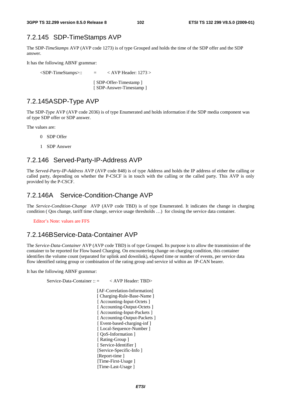### 7.2.145 SDP-TimeStamps AVP

The SDP-*TimeStamps* AVP (AVP code 1273) is of type Grouped and holds the time of the SDP offer and the SDP answer.

It has the following ABNF grammar:

 $\langle$ SDP-TimeStamps>:: =  $\langle$  AVP Header: 1273 > [ SDP-Offer-Timestamp ] [ SDP-Answer-Timestamp ]

### 7.2.145A SDP-Type AVP

The SDP-*Type* AVP (AVP code 2036) is of type Enumerated and holds information if the SDP media component was of type SDP offer or SDP answer.

The values are:

- 0 SDP Offer
- 1 SDP Answer

### 7.2.146 Served-Party-IP-Address AVP

The *Served-Party-IP-Address* AVP (AVP code 848) is of type Address and holds the IP address of either the calling or called party, depending on whether the P-CSCF is in touch with the calling or the called party. This AVP is only provided by the P-CSCF.

### 7.2.146A Service-Condition-Change AVP

The *Service-Condition-Change* AVP (AVP code TBD) is of type Enumerated. It indicates the change in charging condition ( Qos change, tariff time change, service usage thresholds …) for closing the service data container.

Editor's Note: values are FFS

### 7.2.146B Service-Data-Container AVP

The *Service-Data-Container* AVP (AVP code TBD) is of type Grouped. Its purpose is to allow the transmission of the container to be reported for Flow based Charging. On encountering change on charging condition, this container identifies the volume count (separated for uplink and downlink), elapsed time or number of events, per service data flow identified rating group or combination of the rating group and service id within an IP-CAN bearer.

It has the following ABNF grammar:

Service-Data-Container :: = < AVP Header: TBD>

[AF-Correlation-Information] [ Charging-Rule-Base-Name ] [ Accounting-Input-Octets ] [ Accounting-Output-Octets ] [ Accounting-Input-Packets ] [ Accounting-Output-Packets ] [ Event-based-charging-inf ] [ Local-Sequence-Number ] [ QoS-Information ] [ Rating-Group ] [ Service-Identifier ] [Service-Specific-Info ] [Report-time ] [Time-First-Usage] [Time-Last-Usage ]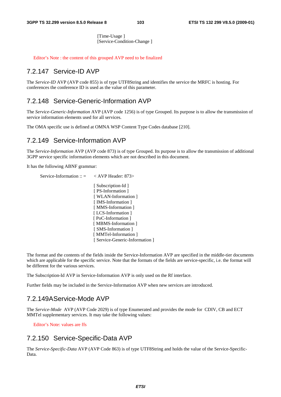[Time-Usage ] [Service-Condition-Change ]

Editor's Note : the content of this grouped AVP need to be finalized

### 7.2.147 Service-ID AVP

The *Service-ID* AVP (AVP code 855) is of type UTF8String and identifies the service the MRFC is hosting. For conferences the conference ID is used as the value of this parameter.

### 7.2.148 Service-Generic-Information AVP

The *Service-Generic-Information* AVP (AVP code 1256) is of type Grouped. Its purpose is to allow the transmission of service information elements used for all services.

The OMA specific use is defined at OMNA WSP Content Type Codes database [210].

### 7.2.149 Service-Information AVP

The *Service-Information* AVP (AVP code 873) is of type Grouped. Its purpose is to allow the transmission of additional 3GPP service specific information elements which are not described in this document.

It has the following ABNF grammar:

```
Service-Information :: = < AVP Header: 873>
                          [ Subscription-Id ] 
                          [ PS-Information ] 
                          [ WLAN-Information ]
                          [IMS-Information]
                          [ MMS-Information ] 
                          [ LCS-Information ]
                          [ PoC-Information ]
                          [ MBMS-Information ]
                          [ SMS-Information ]
                          [ MMTel-Information ]
                          [ Service-Generic-Information ]
```
The format and the contents of the fields inside the Service-Information AVP are specified in the middle-tier documents which are applicable for the specific service. Note that the formats of the fields are service-specific, i.e. the format will be different for the various services.

The Subscription-Id AVP in Service-Information AVP is only used on the Rf interface.

Further fields may be included in the Service-Information AVP when new services are introduced.

### 7.2.149A Service-Mode AVP

The *Service-Mode* AVP (AVP Code 2029) is of type Enumerated and provides the mode for CDIV, CB and ECT MMTel supplementary services. It may take the following values:

Editor's Note: values are ffs

### 7.2.150 Service-Specific-Data AVP

The *Service-Specific-Data* AVP (AVP Code 863) is of type UTF8String and holds the value of the Service-Specific-Data.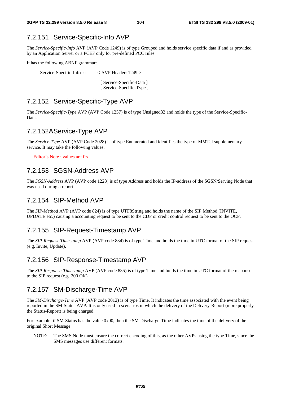### 7.2.151 Service-Specific-Info AVP

The *Service-Specific-Info* AVP (AVP Code 1249) is of type Grouped and holds service specific data if and as provided by an Application Server or a PCEF only for pre-defined PCC rules.

It has the following ABNF grammar:

Service-Specific-Info ::= < AVP Header: 1249 > [ Service-Specific-Data ]

[ Service-Specific-Type ]

### 7.2.152 Service-Specific-Type AVP

The *Service-Specific-Type* AVP (AVP Code 1257) is of type Unsigned32 and holds the type of the Service-Specific-Data.

#### 7.2.152A Service-Type AVP

The *Service-Type* AVP (AVP Code 2028) is of type Enumerated and identifies the type of MMTel supplementary service. It may take the following values:

Editor's Note : values are ffs

### 7.2.153 SGSN-Address AVP

The *SGSN-Address* AVP (AVP code 1228) is of type Address and holds the IP-address of the SGSN/Serving Node that was used during a report.

### 7.2.154 SIP-Method AVP

The *SIP-Method* AVP (AVP code 824) is of type UTF8String and holds the name of the SIP Method (INVITE, UPDATE etc.) causing a accounting request to be sent to the CDF or credit control request to be sent to the OCF.

### 7.2.155 SIP-Request-Timestamp AVP

The *SIP-Request-Timestamp* AVP (AVP code 834) is of type Time and holds the time in UTC format of the SIP request (e.g. Invite, Update).

### 7.2.156 SIP-Response-Timestamp AVP

The *SIP-Response-Timestamp* AVP (AVP code 835) is of type Time and holds the time in UTC format of the response to the SIP request (e.g. 200 OK).

### 7.2.157 SM-Discharge-Time AVP

The *SM-Discharge-Time* AVP (AVP code 2012) is of type Time. It indicates the time associated with the event being reported in the SM-Status AVP. It is only used in scenarios in which the delivery of the Delivery-Report (more properly the Status-Report) is being charged.

For example, if SM-Status has the value 0x00, then the SM-Discharge-Time indicates the time of the delivery of the original Short Message.

NOTE: The SMS Node must ensure the correct encoding of this, as the other AVPs using the type Time, since the SMS messages use different formats.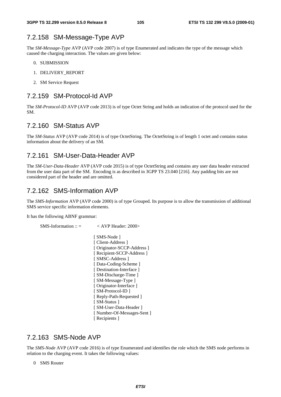### 7.2.158 SM-Message-Type AVP

The *SM*-*Message-Type* AVP (AVP code 2007) is of type Enumerated and indicates the type of the message which caused the charging interaction. The values are given below:

- 0. SUBMISSION
- 1. DELIVERY\_REPORT
- 2. SM Service Request

### 7.2.159 SM-Protocol-Id AVP

The *SM-Protocol-ID* AVP (AVP code 2013) is of type Octet String and holds an indication of the protocol used for the SM.

### 7.2.160 SM-Status AVP

The *SM-Status* AVP (AVP code 2014) is of type OctetString. The OctetString is of length 1 octet and contains status information about the delivery of an SM.

### 7.2.161 SM-User-Data-Header AVP

The *SM-User-Data-Header* AVP (AVP code 2015) is of type OctetString and contains any user data header extracted from the user data part of the SM. Encoding is as described in 3GPP TS 23.040 [216]. Any padding bits are not considered part of the header and are omitted.

### 7.2.162 SMS-Information AVP

The *SMS-Information* AVP (AVP code 2000) is of type Grouped. Its purpose is to allow the transmission of additional SMS service specific information elements.

It has the following ABNF grammar:

 $\text{SMS-Information} :: = \text{SAVP}$  Header: 2000>

[ SMS-Node ] [ Client-Address ] [ Originator-SCCP-Address ] [ Recipient-SCCP-Address ] [ SMSC-Address ] [ Data-Coding-Scheme ] [ Destination-Interface ] [ SM-Discharge-Time ] [ SM-Message-Type ] [ Originator-Interface ] [ SM-Protocol-ID ] [ Reply-Path-Requested ] [ SM-Status ] [ SM-User-Data-Header ] [ Number-Of-Messages-Sent ] [ Recipients ]

### 7.2.163 SMS-Node AVP

The *SMS-Node* AVP (AVP code 2016) is of type Enumerated and identifies the role which the SMS node performs in relation to the charging event. It takes the following values:

0 SMS Router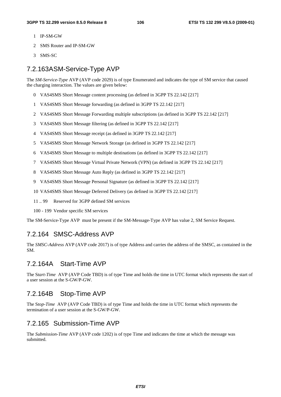- 1 IP-SM-GW
- 2 SMS Router and IP-SM-GW
- 3 SMS-SC

### 7.2.163A SM-Service-Type AVP

The *SM-Service-Type* AVP (AVP code 2029) is of type Enumerated and indicates the type of SM service that caused the charging interaction. The values are given below:

- 0 VAS4SMS Short Message content processing (as defined in 3GPP TS 22.142 [217]
- 1 VAS4SMS Short Message forwarding (as defined in 3GPP TS 22.142 [217]
- 2 VAS4SMS Short Message Forwarding multiple subscriptions (as defined in 3GPP TS 22.142 [217]
- 3 VAS4SMS Short Message filtering (as defined in 3GPP TS 22.142 [217]
- 4 VAS4SMS Short Message receipt (as defined in 3GPP TS 22.142 [217]
- 5 VAS4SMS Short Message Network Storage (as defined in 3GPP TS 22.142 [217]
- 6 VAS4SMS Short Message to multiple destinations (as defined in 3GPP TS 22.142 [217]
- 7 VAS4SMS Short Message Virtual Private Network (VPN) (as defined in 3GPP TS 22.142 [217]
- 8 VAS4SMS Short Message Auto Reply (as defined in 3GPP TS 22.142 [217]
- 9 VAS4SMS Short Message Personal Signature (as defined in 3GPP TS 22.142 [217]
- 10 VAS4SMS Short Message Deferred Delivery (as defined in 3GPP TS 22.142 [217]
- 11 .. 99 Reserved for 3GPP defined SM services
- 100 199 Vendor specific SM services

The SM-Service-Type AVP must be present if the SM-Message-Type AVP has value 2, SM Service Request.

### 7.2.164 SMSC-Address AVP

The *SMSC-Address* AVP (AVP code 2017) is of type Address and carries the address of the SMSC, as contained in the SM.

### 7.2.164A Start-Time AVP

The S*tart-Time* AVP (AVP Code TBD) is of type Time and holds the time in UTC format which represents the start of a user session at the S-GW/P-GW.

#### 7.2.164B Stop-Time AVP

The S*top-Time* AVP (AVP Code TBD) is of type Time and holds the time in UTC format which represents the termination of a user session at the S-GW/P-GW.

### 7.2.165 Submission-Time AVP

The *Submission-Time* AVP (AVP code 1202) is of type Time and indicates the time at which the message was submitted.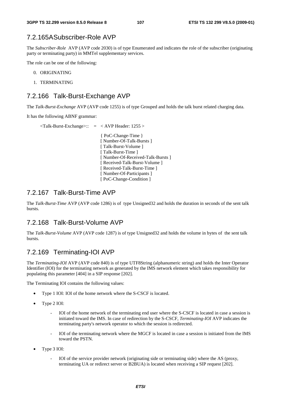### 7.2.165A Subscriber-Role AVP

The *Subscriber-Role* AVP (AVP code 2030) is of type Enumerated and indicates the role of the subscriber (originating party or terminating party) in MMTel supplementary services.

The role can be one of the following:

- 0. ORIGINATING
- 1. TERMINATING

### 7.2.166 Talk-Burst-Exchange AVP

The *Talk-Burst-Exchange* AVP (AVP code 1255) is of type Grouped and holds the talk burst related charging data.

It has the following ABNF grammar:

| [Number-Of-Received-Talk-Bursts] |
|----------------------------------|
|                                  |
|                                  |
|                                  |
|                                  |
|                                  |

### 7.2.167 Talk-Burst-Time AVP

The *Talk-Burst-Time* AVP (AVP code 1286) is of type Unsigned32 and holds the duration in seconds of the sent talk bursts.

### 7.2.168 Talk-Burst-Volume AVP

The *Talk-Burst-Volume* AVP (AVP code 1287) is of type Unsigned32 and holds the volume in bytes of the sent talk bursts.

### 7.2.169 Terminating-IOI AVP

The *Terminating-IOI* AVP (AVP code 840) is of type UTF8String (alphanumeric string) and holds the Inter Operator Identifier (IOI) for the terminating network as generated by the IMS network element which takes responsibility for populating this parameter [404] in a SIP response [202].

The Terminating IOI contains the following values:

- Type 1 IOI: IOI of the home network where the S-CSCF is located.
- Type 2 IOI:
	- IOI of the home network of the terminating end user where the S-CSCF is located in case a session is initiated toward the IMS. In case of redirection by the S-CSCF, *Terminating-IOI* AVP indicates the terminating party's network operator to which the session is redirected.
	- IOI of the terminating network where the MGCF is located in case a session is initiated from the IMS toward the PSTN.
- Type 3 IOI:
	- IOI of the service provider network (originating side or terminating side) where the AS (proxy, terminating UA or redirect server or B2BUA) is located when receiving a SIP request [202].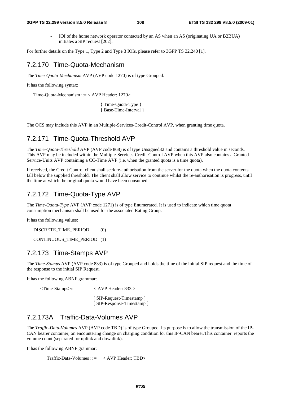- IOI of the home network operator contacted by an AS when an AS (originating UA or B2BUA) initiates a SIP request [202].

For further details on the Type 1, Type 2 and Type 3 IOIs, please refer to 3GPP TS 32.240 [1].

## 7.2.170 Time-Quota-Mechanism

The *Time-Quota-Mechanism* AVP (AVP code 1270) is of type Grouped.

It has the following syntax:

Time-Quota-Mechanism ::= < AVP Header: 1270>

{ Time-Quota-Type } { Base-Time-Interval }

The OCS may include this AVP in an Multiple-Services-Credit-Control AVP, when granting time quota.

## 7.2.171 Time-Quota-Threshold AVP

The *Time-Quota-Threshold* AVP (AVP code 868) is of type Unsigned32 and contains a threshold value in seconds. This AVP may be included within the Multiple-Services-Credit-Control AVP when this AVP also contains a Granted-Service-Units AVP containing a CC-Time AVP (i.e. when the granted quota is a time quota).

If received, the Credit Control client shall seek re-authorisation from the server for the quota when the quota contents fall below the supplied threshold. The client shall allow service to continue whilst the re-authorisation is progress, until the time at which the original quota would have been consumed.

## 7.2.172 Time-Quota-Type AVP

The *Time-Quota-Type* AVP (AVP code 1271) is of type Enumerated. It is used to indicate which time quota consumption mechanism shall be used for the associated Rating Group.

It has the following values:

DISCRETE\_TIME\_PERIOD (0)

CONTINUOUS\_TIME\_PERIOD (1)

## 7.2.173 Time-Stamps AVP

The *Time-Stamps* AVP (AVP code 833) is of type Grouped and holds the time of the initial SIP request and the time of the response to the initial SIP Request.

It has the following ABNF grammar:

 $\langle$ Time-Stamps>:: =  $\langle$  AVP Header: 833 >

[ SIP-Request-Timestamp ] [ SIP-Response-Timestamp ]

## 7.2.173A Traffic-Data-Volumes AVP

The *Traffic-Data-Volumes* AVP (AVP code TBD) is of type Grouped. Its purpose is to allow the transmission of the IP-CAN bearer container, on encountering change on charging condition for this IP-CAN bearer.This container reports the volume count (separated for uplink and downlink).

It has the following ABNF grammar:

 $Traffic\text{-}Data-Volumes :: = < AVP\text{}Header: TBD>$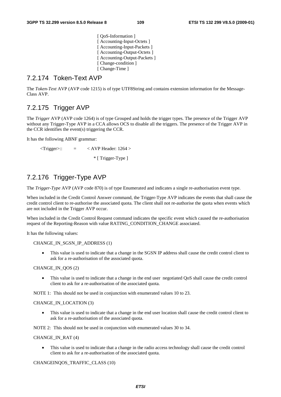[  $OoS$ -Information ] [ Accounting-Input-Octets ] [ Accounting-Input-Packets ] [ Accounting-Output-Octets ] [ Accounting-Output-Packets ] [ Change-condition ] [ Change-Time ]

## 7.2.174 Token-Text AVP

The *Token-Text* AVP (AVP code 1215) is of type UTF8String and contains extension information for the Message-Class AVP.

## 7.2.175 Trigger AVP

The *Trigger* AVP (AVP code 1264) is of type Grouped and holds the trigger types. The presence of the Trigger AVP without any Trigger-Type AVP in a CCA allows OCS to disable all the triggers. The presence of the Trigger AVP in the CCR identifies the event(s) triggering the CCR.

It has the following ABNF grammar:

 $\langle$ Trigger>:: =  $\langle$  AVP Header: 1264 > \* [ Trigger-Type ]

## 7.2.176 Trigger-Type AVP

The *Trigger-Type* AVP (AVP code 870) is of type Enumerated and indicates a single re-authorisation event type.

When included in the Credit Control Answer command, the Trigger-Type AVP indicates the events that shall cause the credit control client to re-authorise the associated quota. The client shall not re-authorise the quota when events which are not included in the Trigger AVP occur.

When included in the Credit Control Request command indicates the specific event which caused the re-authorisation request of the Reporting-Reason with value RATING\_CONDITION\_CHANGE associated.

It has the following values:

CHANGE\_IN\_SGSN\_IP\_ADDRESS (1)

• This value is used to indicate that a change in the SGSN IP address shall cause the credit control client to ask for a re-authorisation of the associated quota.

#### CHANGE\_IN\_QOS (2)

• This value is used to indicate that a change in the end user negotiated QoS shall cause the credit control client to ask for a re-authorisation of the associated quota.

NOTE 1: This should not be used in conjunction with enumerated values 10 to 23.

#### CHANGE\_IN\_LOCATION (3)

• This value is used to indicate that a change in the end user location shall cause the credit control client to ask for a re-authorisation of the associated quota.

NOTE 2: This should not be used in conjunction with enumerated values 30 to 34.

#### CHANGE\_IN\_RAT (4)

• This value is used to indicate that a change in the radio access technology shall cause the credit control client to ask for a re-authorisation of the associated quota.

#### CHANGEINQOS\_TRAFFIC\_CLASS (10)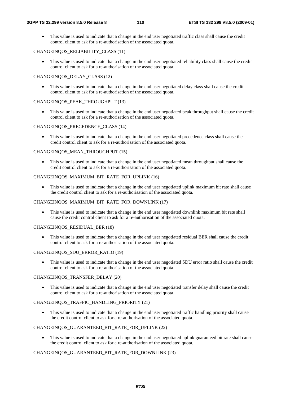• This value is used to indicate that a change in the end user negotiated traffic class shall cause the credit control client to ask for a re-authorisation of the associated quota.

#### CHANGEINQOS\_RELIABILITY\_CLASS (11)

• This value is used to indicate that a change in the end user negotiated reliability class shall cause the credit control client to ask for a re-authorisation of the associated quota.

#### CHANGEINQOS\_DELAY\_CLASS (12)

• This value is used to indicate that a change in the end user negotiated delay class shall cause the credit control client to ask for a re-authorisation of the associated quota.

#### CHANGEINQOS\_PEAK\_THROUGHPUT (13)

• This value is used to indicate that a change in the end user negotiated peak throughput shall cause the credit control client to ask for a re-authorisation of the associated quota.

#### CHANGEINQOS\_PRECEDENCE\_CLASS (14)

This value is used to indicate that a change in the end user negotiated precedence class shall cause the credit control client to ask for a re-authorisation of the associated quota.

#### CHANGEINQOS\_MEAN\_THROUGHPUT (15)

• This value is used to indicate that a change in the end user negotiated mean throughput shall cause the credit control client to ask for a re-authorisation of the associated quota.

#### CHANGEINQOS\_MAXIMUM\_BIT\_RATE\_FOR\_UPLINK (16)

This value is used to indicate that a change in the end user negotiated uplink maximum bit rate shall cause the credit control client to ask for a re-authorisation of the associated quota.

#### CHANGEINQOS\_MAXIMUM\_BIT\_RATE\_FOR\_DOWNLINK (17)

• This value is used to indicate that a change in the end user negotiated downlink maximum bit rate shall cause the credit control client to ask for a re-authorisation of the associated quota.

#### CHANGEINQOS\_RESIDUAL\_BER (18)

• This value is used to indicate that a change in the end user negotiated residual BER shall cause the credit control client to ask for a re-authorisation of the associated quota.

### CHANGEINQOS\_SDU\_ERROR\_RATIO (19)

• This value is used to indicate that a change in the end user negotiated SDU error ratio shall cause the credit control client to ask for a re-authorisation of the associated quota.

#### CHANGEINQOS\_TRANSFER\_DELAY (20)

• This value is used to indicate that a change in the end user negotiated transfer delay shall cause the credit control client to ask for a re-authorisation of the associated quota.

#### CHANGEINQOS\_TRAFFIC\_HANDLING\_PRIORITY (21)

This value is used to indicate that a change in the end user negotiated traffic handling priority shall cause the credit control client to ask for a re-authorisation of the associated quota.

### CHANGEINQOS\_GUARANTEED\_BIT\_RATE\_FOR\_UPLINK (22)

• This value is used to indicate that a change in the end user negotiated uplink guaranteed bit rate shall cause the credit control client to ask for a re-authorisation of the associated quota.

#### CHANGEINQOS\_GUARANTEED\_BIT\_RATE\_FOR\_DOWNLINK (23)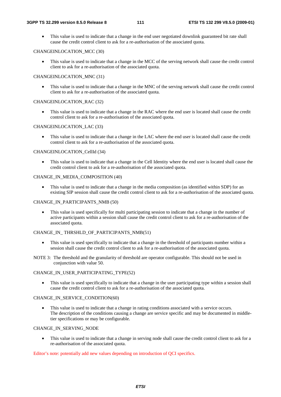• This value is used to indicate that a change in the end user negotiated downlink guaranteed bit rate shall cause the credit control client to ask for a re-authorisation of the associated quota.

#### CHANGEINLOCATION MCC (30)

• This value is used to indicate that a change in the MCC of the serving network shall cause the credit control client to ask for a re-authorisation of the associated quota.

#### CHANGEINLOCATION\_MNC (31)

• This value is used to indicate that a change in the MNC of the serving network shall cause the credit control client to ask for a re-authorisation of the associated quota.

#### CHANGEINLOCATION\_RAC (32)

• This value is used to indicate that a change in the RAC where the end user is located shall cause the credit control client to ask for a re-authorisation of the associated quota.

#### CHANGEINLOCATION\_LAC (33)

• This value is used to indicate that a change in the LAC where the end user is located shall cause the credit control client to ask for a re-authorisation of the associated quota.

#### CHANGEINLOCATION\_CellId (34)

• This value is used to indicate that a change in the Cell Identity where the end user is located shall cause the credit control client to ask for a re-authorisation of the associated quota.

#### CHANGE\_IN\_MEDIA\_COMPOSITION (40)

This value is used to indicate that a change in the media composition (as identified within SDP) for an existing SIP session shall cause the credit control client to ask for a re-authorisation of the associated quota.

#### CHANGE\_IN\_PARTICIPANTS\_NMB (50)

• This value is used specifically for multi participating session to indicate that a change in the number of active participants within a session shall cause the credit control client to ask for a re-authorisation of the associated quota.

#### CHANGE\_IN\_THRSHLD\_OF\_PARTICIPANTS\_NMB(51)

- This value is used specifically to indicate that a change in the threshold of participants number within a session shall cause the credit control client to ask for a re-authorisation of the associated quota.
- NOTE 3: The threshold and the granularity of threshold are operator configurable. This should not be used in conjunction with value 50.

#### CHANGE\_IN\_USER\_PARTICIPATING\_TYPE(52)

This value is used specifically to indicate that a change in the user participating type within a session shall cause the credit control client to ask for a re-authorisation of the associated quota.

#### CHANGE\_IN\_SERVICE\_CONDITION(60)

• This value is used to indicate that a change in rating conditions associated with a service occurs. The description of the conditions causing a change are service specific and may be documented in middletier specifications or may be configurable.

#### CHANGE\_IN\_SERVING\_NODE

This value is used to indicate that a change in serving node shall cause the credit control client to ask for a re-authorisation of the associated quota.

Editor's note: potentially add new values depending on introduction of QCI specifics.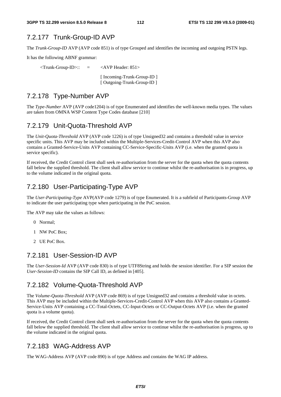## 7.2.177 Trunk-Group-ID AVP

The *Trunk-Group-ID* AVP (AVP code 851) is of type Grouped and identifies the incoming and outgoing PSTN legs.

It has the following ABNF grammar:

 $\langle$ Trunk-Group-ID>:: =  $\langle$ AVP Header: 851> [ Incoming-Trunk-Group-ID ] [ Outgoing-Trunk-Group-ID ]

## 7.2.178 Type-Number AVP

The *Type-Number* AVP (AVP code1204) is of type Enumerated and identifies the well-known media types. The values are taken from OMNA WSP Content Type Codes database [210]

## 7.2.179 Unit-Quota-Threshold AVP

The *Unit-Quota-Threshold* AVP (AVP code 1226) is of type Unsigned32 and contains a threshold value in service specific units. This AVP may be included within the Multiple-Services-Credit-Control AVP when this AVP also contains a Granted-Service-Units AVP containing CC-Service-Specific-Units AVP (i.e. when the granted quota is service specific).

If received, the Credit Control client shall seek re-authorisation from the server for the quota when the quota contents fall below the supplied threshold. The client shall allow service to continue whilst the re-authorisation is in progress, up to the volume indicated in the original quota.

## 7.2.180 User-Participating-Type AVP

The *User-Participating-Type* AVP(AVP code 1279) is of type Enumerated. It is a subfield of Participants-Group AVP to indicate the user participating type when participating in the PoC session.

The AVP may take the values as follows:

- 0 Normal;
- 1 NW PoC Box;
- 2 UE PoC Box.

## 7.2.181 User-Session-ID AVP

The *User-Session-Id* AVP (AVP code 830) is of type UTF8String and holds the session identifier. For a SIP session the *User-Session-ID* contains the SIP Call ID, as defined in [405].

## 7.2.182 Volume-Quota-Threshold AVP

The *Volume-Quota-Threshold* AVP (AVP code 869) is of type Unsigned32 and contains a threshold value in octets. This AVP may be included within the Multiple-Services-Credit-Control AVP when this AVP also contains a Granted-Service-Units AVP containing a CC-Total-Octets, CC-Input-Octets or CC-Output-Octets AVP (i.e. when the granted quota is a volume quota).

If received, the Credit Control client shall seek re-authorisation from the server for the quota when the quota contents fall below the supplied threshold. The client shall allow service to continue whilst the re-authorisation is progress, up to the volume indicated in the original quota.

## 7.2.183 WAG-Address AVP

The WAG-Address AVP (AVP code 890) is of type Address and contains the WAG IP address.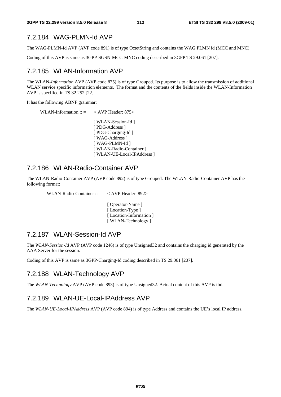## 7.2.184 WAG-PLMN-Id AVP

The WAG-PLMN-Id AVP (AVP code 891) is of type OctetString and contains the WAG PLMN id (MCC and MNC).

Coding of this AVP is same as 3GPP-SGSN-MCC-MNC coding described in 3GPP TS 29.061 [207].

## 7.2.185 WLAN-Information AVP

The WLAN*-Information* AVP (AVP code 875) is of type Grouped. Its purpose is to allow the transmission of additional WLAN service specific information elements. The format and the contents of the fields inside the WLAN-Information AVP is specified in TS 32.252 [22].

It has the following ABNF grammar:

```
WLAN-Information :: = < AVP Header: 875>
            [ WLAN-Session-Id ]
            [ PDG-Address ] 
            [ PDG-Charging-Id ]
            [ WAG-Address ] 
            [ WAG-PLMN-Id ] 
            [ WLAN-Radio-Container ]
            [ WLAN-UE-Local-IPAddress ]
```
## 7.2.186 WLAN-Radio-Container AVP

The WLAN-Radio-Container AVP (AVP code 892) is of type Grouped. The WLAN-Radio-Container AVP has the following format:

WLAN-Radio-Container  $\therefore$   $\leq$   $\lt$  AVP Header: 892>

 [ Operator-Name ] [Location-Type] [Location-Information] [ WLAN-Technology ]

## 7.2.187 WLAN-Session-Id AVP

The *WLAN-Session-Id* AVP (AVP code 1246) is of type Unsigned32 and contains the charging id generated by the AAA Server for the session.

Coding of this AVP is same as 3GPP-Charging-Id coding described in TS 29.061 [207].

## 7.2.188 WLAN-Technology AVP

The *WLAN-Technology* AVP (AVP code 893) is of type Unsigned32. Actual content of this AVP is tbd.

## 7.2.189 WLAN-UE-Local-IPAddress AVP

The *WLAN-UE-Local-IPAddress* AVP (AVP code 894) is of type Address and contains the UE's local IP address.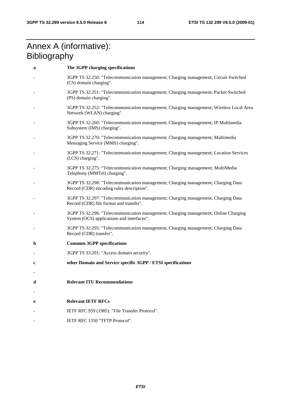## Annex A (informative): **Bibliography**

| a | The 3GPP charging specifications                                                                                                  |  |  |  |  |  |
|---|-----------------------------------------------------------------------------------------------------------------------------------|--|--|--|--|--|
|   | 3GPP TS 32.250: "Telecommunication management; Charging management; Circuit Switched<br>(CS) domain charging".                    |  |  |  |  |  |
|   | 3GPP TS 32.251: "Telecommunication management; Charging management; Packet Switched<br>(PS) domain charging".                     |  |  |  |  |  |
|   | 3GPP TS 32.252: "Telecommunication management; Charging management; Wireless Local Area<br>Network (WLAN) charging".              |  |  |  |  |  |
|   | 3GPP TS 32.260: "Telecommunication management; Charging management; IP Multimedia<br>Subsystem (IMS) charging".                   |  |  |  |  |  |
|   | 3GPP TS 32.270: "Telecommunication management; Charging management; Multimedia<br>Messaging Service (MMS) charging".              |  |  |  |  |  |
|   | 3GPP TS 32.271: "Telecommunication management; Charging management; Location Services<br>(LCS) charging".                         |  |  |  |  |  |
|   | 3GPP TS 32.275: "Telecommunication management; Charging management; MultiMedia<br>Telephony (MMTel) charging".                    |  |  |  |  |  |
|   | 3GPP TS 32.298: "Telecommunication management; Charging management; Charging Data<br>Record (CDR) encoding rules description".    |  |  |  |  |  |
|   | 3GPP TS 32.297: "Telecommunication management; Charging management; Charging Data<br>Record (CDR) file format and transfer".      |  |  |  |  |  |
|   | 3GPP TS 32.296: "Telecommunication management; Charging management; Online Charging<br>System (OCS) applications and interfaces". |  |  |  |  |  |
|   | 3GPP TS 32.295: "Telecommunication management; Charging management; Charging Data<br>Record (CDR) transfer".                      |  |  |  |  |  |
| b | <b>Common 3GPP specifications</b>                                                                                                 |  |  |  |  |  |
|   | 3GPP TS 33.201: "Access domain security".                                                                                         |  |  |  |  |  |
| c | other Domain and Service specific 3GPP / ETSI specifications                                                                      |  |  |  |  |  |
|   |                                                                                                                                   |  |  |  |  |  |
| d | <b>Relevant ITU Recommendations</b>                                                                                               |  |  |  |  |  |
|   |                                                                                                                                   |  |  |  |  |  |
| e | <b>Relevant IETF RFCs</b>                                                                                                         |  |  |  |  |  |
|   | IETF RFC 959 (1985): "File Transfer Protocol".                                                                                    |  |  |  |  |  |
|   | IETF RFC 1350 "TFTP Protocol".                                                                                                    |  |  |  |  |  |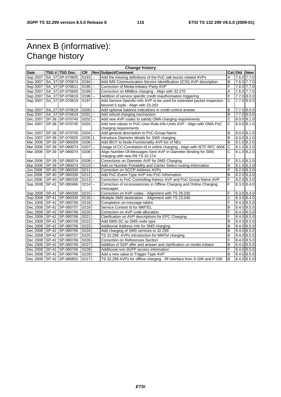# Annex B (informative): Change history

|             | <b>Change history</b> |                              |                     |                          |                                                                          |                       |           |                 |  |
|-------------|-----------------------|------------------------------|---------------------|--------------------------|--------------------------------------------------------------------------|-----------------------|-----------|-----------------|--|
| <b>Date</b> |                       | TSG # TSG Doc.               | <b>CR</b>           |                          | <b>Rev Subject/Comment</b>                                               |                       | Cat   Old | <b>New</b>      |  |
| Sep 2007    |                       | SA 37 SP-070605              | 0193                | --                       | Add the missing definitions of the PoC talk bursts related AVPs          | Α                     |           | 7.6.0 7.7.0     |  |
| Sep 2007    |                       | SA_37 SP-070674              | $0194$ --           |                          | Add IMS Communication Service Identification (ICSI) AVP description      | B                     |           | 7.6.0 7.7.0     |  |
| Sep 2007    |                       | SA_37 SP-070611              | 0195                | Ξ.                       | Correction of Media-Initiator-Party AVP                                  | F                     |           | 7.6.0 7.7.0     |  |
| Sep 2007    |                       | SA 37 SP-070605              | 0199                | $\overline{\phantom{a}}$ | Correction on MMBox charging - Align with 32.270                         | Α                     |           | 7.6.0 7.7.0     |  |
| Sep 2007    |                       | SA 37 SP-070619              | $0196$ $-$          |                          | Addition of service specific credit reauthorisation triggering           | F                     |           | $7.7.0$ 8.0.0   |  |
| Sep 2007    |                       | SA_37 SP-070619              | 0197                | $\overline{a}$           | Add Service-Specific-Info AVP to be used for extended packet inspection  | С                     |           | 7.7.0 8.0.0     |  |
|             |                       |                              |                     |                          | beyond 5 tuple - Align with 23.203                                       |                       |           |                 |  |
| Sep 2007    |                       | SA_37 SP-070619              | 0200                | $\ddotsc$                | Add optional balance indications in credit control answer                | B                     |           | 7.7.0 8.0.0     |  |
| Sep 2007    |                       | SA 37 SP-070619              | 0201                | <sub>--</sub>            | Add refund charging mechanism                                            | B                     |           | $7.7.0$ 8.0.0   |  |
| Dec 2007    |                       | SP-38 SP-070745              | $0202$ $-$          |                          | Add new AVP codes to satisfy OMA charging requirements                   | С                     |           | $8.0.0$ $8.1.0$ |  |
| Dec 2007    | <b>SP-38</b>          | SP-070745                    | $0203$ $-$          |                          | Add new values to PoC-User-Role-info-Units AVP - Align with OMA PoC      | $\overline{\text{c}}$ |           | 8.0.0   8.1.0   |  |
|             |                       |                              |                     |                          | charging requirements                                                    |                       |           |                 |  |
| Dec 2007    |                       | SP-38 SP-070745              | $0204$ $-$          |                          | Add general description to PoC-Group-Name                                | в                     |           | $8.0.0$ $8.1.0$ |  |
| Dec 2007    |                       | SP-38 SP-070925              | $0205$  1           |                          | Introduce Diameter details for SMS charging                              | B                     |           | 8.0.0 8.1.0     |  |
| Mar 2008    |                       | SP-39 SP-080059              | 0206                | l --                     | Add IBCF to Node-Functionality AVP list of NEs                           | B                     |           | 8.1.0 8.2.0     |  |
| Mar 2008    |                       | SP-39 SP-080074              | 0207                | $\overline{\phantom{a}}$ | Usage of CC-Correlation-Id in online charging - Align with IETF RFC 4006 | $\overline{c}$        |           | $8.1.0$ $8.2.0$ |  |
| Mar 2008    |                       | SP-39 SP-080074              | $\overline{0}208$ - |                          | Align Number-Of-Messages-Sent AVP in Diameter Binding for SMS            | C                     |           | 8.1.0 8.2.0     |  |
|             |                       |                              |                     |                          | charging with new R8 TS 32.274                                           |                       |           |                 |  |
| Mar 2008    |                       | SP-39 SP-080074              | 0209                | --                       | Corrections on Diameter AVP for SMS Charging                             | F                     |           | $8.1.0$ 8.2.0   |  |
| Mar 2008    |                       | SP-39 SP-080074              | $0210$ --           |                          | Add on Number Portability and Carrier Select routing information         | B                     |           | 8.1.0 8.2.0     |  |
| Jun 2008    |                       | SP-40 SP-080330              | 0211                | $\overline{\phantom{a}}$ | Correction on SCCP-Address AVPs                                          | F                     |           | $8.2.0$ $8.3.0$ |  |
| Jun 2008    | SP-40                 | SP-080330                    | 0212                | L.                       | Add PoC-Event-Type AVP into PoC-Information                              | B                     |           | $8.2.0$ $8.3.0$ |  |
| Jun 2008    | SP-40                 | SP-080330                    | $0213$ --           |                          | Correction to PoC-Controlling-Adress AVP and PoC-Group-Name AVP          | F                     |           | $8.2.0$ $8.3.0$ |  |
| Sep 2008    | SP-41                 | SP-080466                    | $0214$ --           |                          | Correction of inconsistencies in Offline Charging and Online Charging    | F                     |           | 8.3.0 8.4.0     |  |
|             |                       |                              |                     |                          | messages                                                                 |                       |           |                 |  |
|             |                       | Sep 2008   SP-41   SP-080330 | $0215$ $-$          |                          | Correction on AVP codes - Alignment with TS 29.230                       | F                     |           | 8.3.0   8.4.0   |  |
|             |                       | Sep 2008 SP-41 SP-080330     | $0216$ $-$          |                          | Multiple SMS destination - Alignment with TS 23.040                      | Ċ                     |           | 8.3.0   8.4.0   |  |
|             |                       | Dec 2008   SP-42   SP-080706 | 0218                |                          | Completion on message tables                                             | F                     |           | 8.4.0 8.5.0     |  |
|             |                       | Dec 2008   SP-42   SP-080707 | 0219                |                          | Service Context Id for MMTEL                                             | B                     |           | 8.4.0 8.5.0     |  |
|             |                       | Dec 2008 SP-42 SP-080706     | 0220                |                          | Correction on AVP code allocation                                        | F                     |           | $8.4.0$ 8.5.0   |  |
|             |                       | Dec 2008   SP-42   SP-080706 | 0221                |                          | Clarification on AVP descriptions for EPC Charging                       | F                     |           | 8.4.0 8.5.0     |  |
|             |                       | Dec 2008   SP-42   SP-080706 | 0222                |                          | Add SMS-SC as SMS node type                                              | B                     |           | 8.4.0 8.5.0     |  |
|             |                       | Dec 2008   SP-42   SP-080706 | 0223                |                          | Additional Address Info for SMS charging                                 | B                     |           | 8.4.0 8.5.0     |  |
|             |                       | Dec 2008 SP-42 SP-080706     | 0224                |                          | Add charging of SMS services to 32.299                                   | B                     |           | 8.4.0 8.5.0     |  |
|             |                       | Dec 2008   SP-42   SP-080707 | 0225                |                          | TS 32.299 AVPs Introduction for MMTel charging                           | B                     |           | $8.4.0$ 8.5.0   |  |
|             |                       | Dec 2008 SP-42 SP-080706     | 0226                |                          | Correction on References Section                                         | F                     |           | $8.4.0$ 8.5.0   |  |
|             |                       | Dec 2008   SP-42   SP-080706 | 0227                |                          | Addition of SDP offer and answer and clarification on media initiator    | B                     |           | 8.4.0 8.5.0     |  |
|             |                       | Dec 2008 SP-42 SP-080706     | 0228                |                          | Additional non-3GPP access information                                   | F                     |           | 8.4.0 8.5.0     |  |
|             |                       | Dec 2008   SP-42   SP-080706 | 0229                |                          | Add a new value to Trigger-Type AVP                                      | B                     |           | 8.4.0 8.5.0     |  |
|             |                       | Dec 2008   SP-42   SP-080852 | 0217                |                          | TS 32.299 AVPs for offline charging - Rf interface from S-GW and P-GW    | B                     |           | 8.4.0 8.5.0     |  |